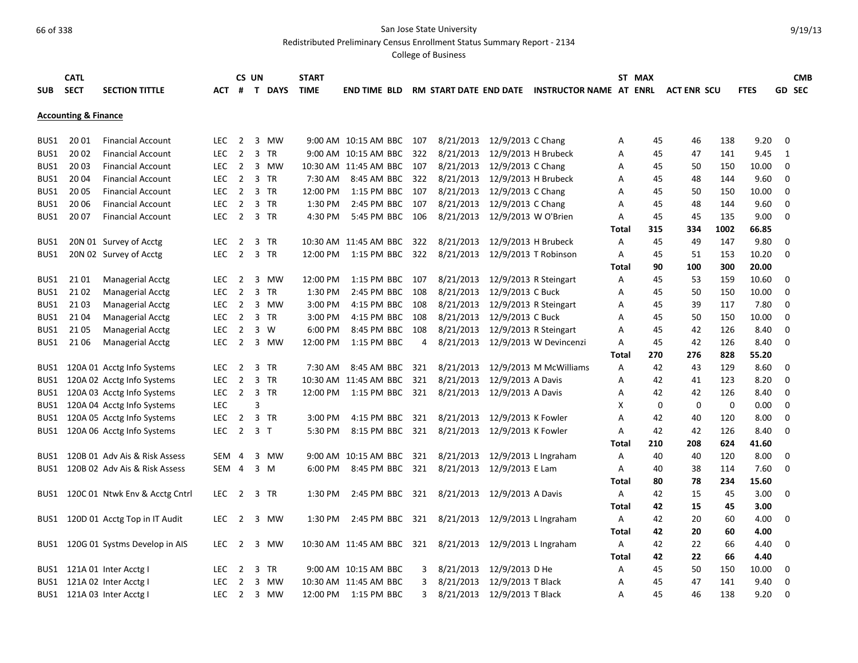Redistributed Preliminary Census Enrollment Status Summary Report - 2134

|            | <b>CATL</b>                     |                                |            |                | CS UN |                | <b>START</b> |                           |     |           |                     |                                                |       | ST MAX |                    |      |             |             | <b>CMB</b>    |
|------------|---------------------------------|--------------------------------|------------|----------------|-------|----------------|--------------|---------------------------|-----|-----------|---------------------|------------------------------------------------|-------|--------|--------------------|------|-------------|-------------|---------------|
| <b>SUB</b> | <b>SECT</b>                     | <b>SECTION TITTLE</b>          | АСТ        | #              |       | T DAYS         | <b>TIME</b>  | END TIME BLD              |     |           |                     | RM START DATE END DATE INSTRUCTOR NAME AT ENRL |       |        | <b>ACT ENR SCU</b> |      | <b>FTES</b> |             | <b>GD SEC</b> |
|            |                                 |                                |            |                |       |                |              |                           |     |           |                     |                                                |       |        |                    |      |             |             |               |
|            | <b>Accounting &amp; Finance</b> |                                |            |                |       |                |              |                           |     |           |                     |                                                |       |        |                    |      |             |             |               |
|            |                                 |                                |            |                |       |                |              |                           |     |           |                     |                                                |       |        |                    |      |             |             |               |
| BUS1       | 20 01                           | <b>Financial Account</b>       | LEC.       | $\overline{2}$ |       | 3 MW           |              | 9:00 AM 10:15 AM BBC 107  |     | 8/21/2013 | 12/9/2013 C Chang   |                                                | А     | 45     | 46                 | 138  | 9.20        | 0           |               |
| BUS1       | 20 02                           | <b>Financial Account</b>       | <b>LEC</b> | $\overline{2}$ |       | 3 TR           |              | 9:00 AM 10:15 AM BBC 322  |     | 8/21/2013 | 12/9/2013 H Brubeck |                                                | A     | 45     | 47                 | 141  | 9.45        | 1           |               |
| BUS1       | 20 03                           | <b>Financial Account</b>       | <b>LEC</b> | $\overline{2}$ |       | 3 MW           |              | 10:30 AM 11:45 AM BBC 107 |     | 8/21/2013 | 12/9/2013 C Chang   |                                                | А     | 45     | 50                 | 150  | 10.00       | 0           |               |
| BUS1       | 2004                            | <b>Financial Account</b>       | <b>LEC</b> | $\overline{2}$ |       | 3 TR           | 7:30 AM      | 8:45 AM BBC 322           |     | 8/21/2013 | 12/9/2013 H Brubeck |                                                | А     | 45     | 48                 | 144  | 9.60        | 0           |               |
| BUS1       | 2005                            | <b>Financial Account</b>       | LEC.       | 2              |       | 3 TR           |              | 12:00 PM 1:15 PM BBC 107  |     | 8/21/2013 | 12/9/2013 C Chang   |                                                | A     | 45     | 50                 | 150  | 10.00       | 0           |               |
| BUS1       | 2006                            | <b>Financial Account</b>       | <b>LEC</b> | $\overline{2}$ |       | 3 TR           | 1:30 PM      | 2:45 PM BBC 107           |     | 8/21/2013 | 12/9/2013 C Chang   |                                                | А     | 45     | 48                 | 144  | 9.60        | $\mathbf 0$ |               |
| BUS1       | 2007                            | <b>Financial Account</b>       | LEC        | $\overline{2}$ |       | 3 TR           | 4:30 PM      | 5:45 PM BBC 106           |     | 8/21/2013 | 12/9/2013 W O'Brien |                                                | А     | 45     | 45                 | 135  | 9.00        | $\Omega$    |               |
|            |                                 |                                |            |                |       |                |              |                           |     |           |                     |                                                | Total | 315    | 334                | 1002 | 66.85       |             |               |
| BUS1       |                                 | 20N 01 Survey of Acctg         | <b>LEC</b> | $\overline{2}$ |       | 3 TR           |              | 10:30 AM 11:45 AM BBC     | 322 | 8/21/2013 | 12/9/2013 H Brubeck |                                                | А     | 45     | 49                 | 147  | 9.80        | 0           |               |
| BUS1       |                                 | 20N 02 Survey of Acctg         | <b>LEC</b> | $\overline{2}$ |       | 3 TR           | 12:00 PM     | 1:15 PM BBC 322           |     | 8/21/2013 |                     | 12/9/2013 T Robinson                           | Α     | 45     | 51                 | 153  | 10.20       | $\Omega$    |               |
|            |                                 |                                |            |                |       |                |              |                           |     |           |                     |                                                | Total | 90     | 100                | 300  | 20.00       |             |               |
| BUS1       | 2101                            | <b>Managerial Acctg</b>        | <b>LEC</b> | 2              |       | 3 MW           | 12:00 PM     | 1:15 PM BBC 107           |     | 8/21/2013 |                     | 12/9/2013 R Steingart                          | А     | 45     | 53                 | 159  | 10.60       | 0           |               |
| BUS1       | 2102                            | <b>Managerial Acctg</b>        | <b>LEC</b> | $\overline{2}$ |       | 3 TR           | 1:30 PM      | 2:45 PM BBC 108           |     | 8/21/2013 | 12/9/2013 C Buck    |                                                | A     | 45     | 50                 | 150  | 10.00       | 0           |               |
| BUS1       | 2103                            | Managerial Acctg               | <b>LEC</b> | 2              |       | 3 MW           | $3:00$ PM    | 4:15 PM BBC 108           |     | 8/21/2013 |                     | 12/9/2013 R Steingart                          | А     | 45     | 39                 | 117  | 7.80        | 0           |               |
| BUS1       | 2104                            | <b>Managerial Acctg</b>        | LEC        | $\overline{2}$ |       | 3 TR           | 3:00 PM      | 4:15 PM BBC 108           |     | 8/21/2013 | 12/9/2013 C Buck    |                                                | А     | 45     | 50                 | 150  | 10.00       | 0           |               |
| BUS1       | 21 05                           | <b>Managerial Acctg</b>        | <b>LEC</b> | $\overline{2}$ |       | 3 W            | 6:00 PM      | 8:45 PM BBC 108           |     | 8/21/2013 |                     | 12/9/2013 R Steingart                          | A     | 45     | 42                 | 126  | 8.40        | 0           |               |
| BUS1       | 21 06                           | Managerial Acctg               | <b>LEC</b> | 2              |       | 3 MW           | 12:00 PM     | 1:15 PM BBC               | 4   | 8/21/2013 |                     | 12/9/2013 W Devincenzi                         | А     | 45     | 42                 | 126  | 8.40        | 0           |               |
|            |                                 |                                |            |                |       |                |              |                           |     |           |                     |                                                | Total | 270    | 276                | 828  | 55.20       |             |               |
| BUS1       |                                 | 120A 01 Acctg Info Systems     | <b>LEC</b> | $\overline{2}$ |       | 3 TR           | 7:30 AM      | 8:45 AM BBC               | 321 | 8/21/2013 |                     | 12/9/2013 M McWilliams                         | А     | 42     | 43                 | 129  | 8.60        | 0           |               |
| BUS1       |                                 | 120A 02 Acctg Info Systems     | <b>LEC</b> | $\overline{2}$ |       | 3 TR           |              | 10:30 AM 11:45 AM BBC     | 321 | 8/21/2013 | 12/9/2013 A Davis   |                                                | A     | 42     | 41                 | 123  | 8.20        | 0           |               |
| BUS1       |                                 | 120A 03 Acctg Info Systems     | <b>LEC</b> | $\overline{2}$ |       | 3 TR           |              | 12:00 PM 1:15 PM BBC 321  |     | 8/21/2013 | 12/9/2013 A Davis   |                                                | А     | 42     | 42                 | 126  | 8.40        | 0           |               |
| BUS1       |                                 | 120A 04 Acctg Info Systems     | <b>LEC</b> |                | 3     |                |              |                           |     |           |                     |                                                | х     | 0      | 0                  | 0    | 0.00        | 0           |               |
| BUS1       |                                 | 120A 05 Acctg Info Systems     | LEC        | 2              |       | 3 TR           | 3:00 PM      | 4:15 PM BBC               | 321 | 8/21/2013 | 12/9/2013 K Fowler  |                                                | А     | 42     | 40                 | 120  | 8.00        | 0           |               |
| BUS1       |                                 | 120A 06 Acctg Info Systems     | <b>LEC</b> | $\overline{2}$ |       | 3 <sub>1</sub> | 5:30 PM      | 8:15 PM BBC               | 321 | 8/21/2013 | 12/9/2013 K Fowler  |                                                | А     | 42     | 42                 | 126  | 8.40        | 0           |               |
|            |                                 |                                |            |                |       |                |              |                           |     |           |                     |                                                | Total | 210    | 208                | 624  | 41.60       |             |               |
| BUS1       |                                 | 120B 01 Adv Ais & Risk Assess  | SEM        | -4             |       | 3 MW           |              | 9:00 AM 10:15 AM BBC      | 321 | 8/21/2013 |                     | 12/9/2013 L Ingraham                           | Α     | 40     | 40                 | 120  | 8.00        | 0           |               |
| BUS1       |                                 | 120B 02 Adv Ais & Risk Assess  | SEM 4      |                |       | 3 M            | 6:00 PM      | 8:45 PM BBC 321           |     | 8/21/2013 | 12/9/2013 E Lam     |                                                | А     | 40     | 38                 | 114  | 7.60        | $\Omega$    |               |
|            |                                 |                                |            |                |       |                |              |                           |     |           |                     |                                                | Total | 80     | 78                 | 234  | 15.60       |             |               |
| BUS1       |                                 | 120C 01 Ntwk Env & Acctg Cntrl | <b>LEC</b> | $\overline{2}$ |       | 3 TR           | 1:30 PM      | 2:45 PM BBC               | 321 | 8/21/2013 | 12/9/2013 A Davis   |                                                | А     | 42     | 15                 | 45   | 3.00        | 0           |               |
|            |                                 |                                |            |                |       |                |              |                           |     |           |                     |                                                | Total | 42     | 15                 | 45   | 3.00        |             |               |
| BUS1       |                                 | 120D 01 Acctg Top in IT Audit  | <b>LEC</b> | $\overline{2}$ |       | 3 MW           | 1:30 PM      | 2:45 PM BBC               | 321 | 8/21/2013 |                     | 12/9/2013 L Ingraham                           | Α     | 42     | 20                 | 60   | 4.00        | 0           |               |
|            |                                 |                                |            |                |       |                |              |                           |     |           |                     |                                                | Total | 42     | 20                 | 60   | 4.00        |             |               |
| BUS1       |                                 | 120G 01 Systms Develop in AIS  | LEC.       | 2              | 3     | MW             |              | 10:30 AM 11:45 AM BBC 321 |     | 8/21/2013 |                     | 12/9/2013 L Ingraham                           | Α     | 42     | 22                 | 66   | 4.40        | 0           |               |
|            |                                 |                                |            |                |       |                |              |                           |     |           |                     |                                                | Total | 42     | 22                 | 66   | 4.40        |             |               |
| BUS1       |                                 | 121A 01 Inter Acctg I          | <b>LEC</b> | $\overline{2}$ | 3     | TR             |              | 9:00 AM 10:15 AM BBC      | 3   | 8/21/2013 | 12/9/2013 D He      |                                                | Α     | 45     | 50                 | 150  | 10.00       | 0           |               |
| BUS1       |                                 | 121A 02 Inter Acctg I          | <b>LEC</b> | $\overline{2}$ | 3     | <b>MW</b>      |              | 10:30 AM 11:45 AM BBC     | 3   | 8/21/2013 | 12/9/2013 T Black   |                                                | A     | 45     | 47                 | 141  | 9.40        | 0           |               |
| BUS1       |                                 | 121A 03 Inter Acctg I          | <b>LEC</b> | $\overline{2}$ |       | 3 MW           |              | 12:00 PM 1:15 PM BBC      | 3   | 8/21/2013 | 12/9/2013 T Black   |                                                | А     | 45     | 46                 | 138  | 9.20        | $\Omega$    |               |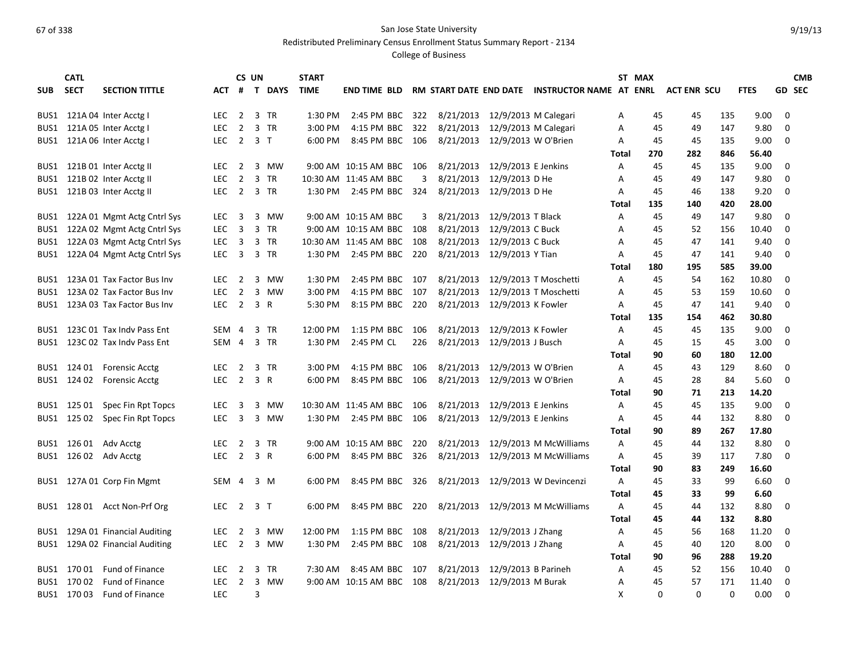Redistributed Preliminary Census Enrollment Status Summary Report - 2134

|            | <b>CATL</b> |                                 |            | CS UN                   |     |                | <b>START</b> |                           |     |                               |                      |                                  |              | ST MAX |                    |          |             |             | <b>CMB</b> |
|------------|-------------|---------------------------------|------------|-------------------------|-----|----------------|--------------|---------------------------|-----|-------------------------------|----------------------|----------------------------------|--------------|--------|--------------------|----------|-------------|-------------|------------|
| <b>SUB</b> | <b>SECT</b> | <b>SECTION TITTLE</b>           | ACT        | #                       |     | T DAYS         | <b>TIME</b>  | <b>END TIME BLD</b>       |     | RM START DATE END DATE        |                      | <b>INSTRUCTOR NAME AT ENRL</b>   |              |        | <b>ACT ENR SCU</b> |          | <b>FTES</b> |             | GD SEC     |
|            |             |                                 |            |                         |     |                |              |                           |     |                               |                      |                                  |              |        |                    |          |             |             |            |
| BUS1       |             | 121A 04 Inter Acctg I           | <b>LEC</b> | $\overline{2}$          |     | 3 TR           | 1:30 PM      | 2:45 PM BBC               | 322 | 8/21/2013                     | 12/9/2013 M Calegari |                                  | A            | 45     | 45                 | 135      | 9.00        | $\Omega$    |            |
| BUS1       |             | 121A 05 Inter Acctg I           | LEC.       | $\overline{2}$          |     | 3 TR           | 3:00 PM      | 4:15 PM BBC               | 322 | 8/21/2013                     |                      | 12/9/2013 M Calegari             | A            | 45     | 49                 | 147      | 9.80        | $\Omega$    |            |
| BUS1       |             | 121A 06 Inter Acctg I           | <b>LEC</b> | $\overline{2}$          |     | 3 <sub>1</sub> | 6:00 PM      | 8:45 PM BBC 106           |     | 8/21/2013 12/9/2013 W O'Brien |                      |                                  | Α            | 45     | 45                 | 135      | 9.00        | $\mathbf 0$ |            |
|            |             |                                 |            |                         |     |                |              |                           |     |                               |                      |                                  | <b>Total</b> | 270    | 282                | 846      | 56.40       |             |            |
|            |             | BUS1 121B 01 Inter Acctg II     | LEC.       | $\overline{2}$          |     | 3 MW           |              | 9:00 AM 10:15 AM BBC 106  |     | 8/21/2013                     | 12/9/2013 E Jenkins  |                                  | Α            | 45     | 45                 | 135      | 9.00        | 0           |            |
| BUS1       |             | 121B 02 Inter Acctg II          | <b>LEC</b> | $\overline{2}$          |     | 3 TR           |              | 10:30 AM 11:45 AM BBC     | 3   | 8/21/2013                     | 12/9/2013 D He       |                                  | Α            | 45     | 49                 | 147      | 9.80        | $\mathbf 0$ |            |
|            |             | BUS1 121B 03 Inter Acctg II     | LEC 2 3 TR |                         |     |                |              | 1:30 PM 2:45 PM BBC 324   |     | 8/21/2013                     | 12/9/2013 D He       |                                  | A            | 45     | 46                 | 138      | 9.20        | $\Omega$    |            |
|            |             |                                 |            |                         |     |                |              |                           |     |                               |                      |                                  | Total        | 135    | 140                | 420      | 28.00       |             |            |
| BUS1       |             | 122A 01 Mgmt Actg Cntrl Sys     | <b>LEC</b> | 3                       | 3   | MW             |              | 9:00 AM 10:15 AM BBC      | 3   | 8/21/2013                     | 12/9/2013 T Black    |                                  | Α            | 45     | 49                 | 147      | 9.80        | $\mathbf 0$ |            |
| BUS1       |             | 122A 02 Mgmt Actg Cntrl Sys     | LEC.       | $\overline{3}$          |     | 3 TR           |              | 9:00 AM 10:15 AM BBC      | 108 | 8/21/2013                     | 12/9/2013 C Buck     |                                  | A            | 45     | 52                 | 156      | 10.40       | $\mathbf 0$ |            |
| BUS1       |             | 122A 03 Mgmt Actg Cntrl Sys     | <b>LEC</b> | -3                      |     | 3 TR           |              | 10:30 AM 11:45 AM BBC 108 |     | 8/21/2013                     | 12/9/2013 C Buck     |                                  | A            | 45     | 47                 | 141      | 9.40        | $\mathbf 0$ |            |
| BUS1       |             | 122A 04 Mgmt Actg Cntrl Sys     | <b>LEC</b> | $\overline{3}$          |     | 3 TR           | 1:30 PM      | 2:45 PM BBC 220           |     | 8/21/2013                     | 12/9/2013 Y Tian     |                                  | A            | 45     | 47                 | 141      | 9.40        | $\mathbf 0$ |            |
|            |             |                                 |            |                         |     |                |              |                           |     |                               |                      |                                  | Total        | 180    | 195                | 585      | 39.00       |             |            |
| BUS1       |             | 123A 01 Tax Factor Bus Inv      | <b>LEC</b> | $\overline{2}$          |     | 3 MW           | 1:30 PM      | 2:45 PM BBC 107           |     | 8/21/2013                     |                      | 12/9/2013 T Moschetti            | A            | 45     | -54                | 162      | 10.80       | 0           |            |
| BUS1       |             | 123A 02 Tax Factor Bus Inv      | <b>LEC</b> | $\overline{2}$          |     | 3 MW           | 3:00 PM      | 4:15 PM BBC 107           |     | 8/21/2013                     |                      | 12/9/2013 T Moschetti            | A            | 45     | 53                 | 159      | 10.60       | $\mathbf 0$ |            |
| BUS1       |             | 123A 03 Tax Factor Bus Inv      | LEC.       | $\overline{2}$          | 3 R |                | 5:30 PM      | 8:15 PM BBC 220           |     | 8/21/2013                     | 12/9/2013 K Fowler   |                                  | A            | 45     | 47                 | 141      | 9.40        | $\Omega$    |            |
|            |             |                                 |            |                         |     |                |              |                           |     |                               |                      |                                  | Total        | 135    | 154                | 462      | 30.80       |             |            |
| BUS1       |             | 123C 01 Tax Indy Pass Ent       | <b>SEM</b> | 4                       |     | 3 TR           | 12:00 PM     | 1:15 PM BBC               | 106 | 8/21/2013                     | 12/9/2013 K Fowler   |                                  | Α            | 45     | 45                 | 135      | 9.00        | $\mathbf 0$ |            |
| BUS1       |             | 123C 02 Tax Indy Pass Ent       | SEM 4      |                         |     | 3 TR           | 1:30 PM      | 2:45 PM CL                | 226 | 8/21/2013                     | 12/9/2013 J Busch    |                                  | A            | 45     | 15                 | 45       | 3.00        | $\Omega$    |            |
|            |             |                                 |            |                         |     |                |              |                           |     |                               |                      |                                  | Total        | 90     | -60                | 180      | 12.00       |             |            |
|            | BUS1 124 01 | <b>Forensic Acctg</b>           | <b>LEC</b> | $\overline{2}$          |     | 3 TR           | 3:00 PM      | 4:15 PM BBC               | 106 | 8/21/2013                     | 12/9/2013 W O'Brien  |                                  | A            | 45     | 43                 | 129      | 8.60        | $\mathbf 0$ |            |
| BUS1       | 124 02      | <b>Forensic Acctg</b>           | <b>LEC</b> | $\overline{2}$          |     | 3 R            | 6:00 PM      | 8:45 PM BBC               | 106 | 8/21/2013                     | 12/9/2013 W O'Brien  |                                  | A            | 45     | 28                 | 84       | 5.60        | $\Omega$    |            |
|            |             |                                 |            |                         |     |                |              |                           |     |                               |                      |                                  | Total        | 90     | 71                 | 213      | 14.20       |             |            |
|            |             | BUS1 125 01 Spec Fin Rpt Topcs  | LEC.       | 3                       |     | 3 MW           |              | 10:30 AM 11:45 AM BBC     | 106 | 8/21/2013                     | 12/9/2013 E Jenkins  |                                  | A            | 45     | 45                 | 135      | 9.00        | $\mathbf 0$ |            |
|            | BUS1 125 02 | Spec Fin Rpt Topcs              | <b>LEC</b> | $\overline{\mathbf{3}}$ |     | 3 MW           | 1:30 PM      | 2:45 PM BBC 106           |     | 8/21/2013                     | 12/9/2013 E Jenkins  |                                  | A            | 45     | 44                 | 132      | 8.80        | $\Omega$    |            |
|            |             |                                 |            |                         |     |                |              |                           |     |                               |                      |                                  | Total        | 90     | 89                 | 267      | 17.80       |             |            |
| BUS1       | 126 01      | Adv Acctg                       | <b>LEC</b> | $\overline{2}$          |     | 3 TR           |              | 9:00 AM 10:15 AM BBC      | 220 | 8/21/2013                     |                      | 12/9/2013 M McWilliams           | Α            | 45     | 44                 | 132      | 8.80        | $\mathbf 0$ |            |
|            |             | BUS1 126 02 Adv Acctg           | <b>LEC</b> | $\overline{2}$          |     | 3 R            | 6:00 PM      | 8:45 PM BBC               | 326 | 8/21/2013                     |                      | 12/9/2013 M McWilliams           | A            | 45     | 39                 | 117      | 7.80        | $\Omega$    |            |
|            |             |                                 |            |                         |     |                |              |                           |     |                               |                      |                                  | Total        | 90     | 83                 | 249      | 16.60       |             |            |
| BUS1       |             | 127A 01 Corp Fin Mgmt           | SEM        | $\overline{4}$          |     | 3 M            | 6:00 PM      | 8:45 PM BBC               | 326 | 8/21/2013                     |                      | 12/9/2013 W Devincenzi           | Α            | 45     | 33                 | 99       | 6.60        | $\mathbf 0$ |            |
|            |             |                                 |            |                         |     |                |              |                           |     |                               |                      |                                  | <b>Total</b> | 45     | 33                 | 99       | 6.60        |             |            |
| BUS1       |             | 128 01 Acct Non-Prf Org         | <b>LEC</b> | 2                       |     | 3 <sub>7</sub> | 6:00 PM      | 8:45 PM BBC               | 220 |                               |                      | 8/21/2013 12/9/2013 M McWilliams | A            | 45     | 44                 | 132      | 8.80        | 0           |            |
|            |             |                                 |            |                         |     |                |              |                           |     |                               |                      |                                  | Total        | 45     | 44                 | 132      | 8.80        |             |            |
|            |             | BUS1 129A 01 Financial Auditing | <b>LEC</b> | 2                       | 3   | MW             | 12:00 PM     | 1:15 PM BBC               | 108 | 8/21/2013                     | 12/9/2013 J Zhang    |                                  | A            | 45     | 56                 | 168      | 11.20       | $\mathbf 0$ |            |
| BUS1       |             | 129A 02 Financial Auditing      | LEC.       | $\overline{2}$          | 3   | MW             | 1:30 PM      | 2:45 PM BBC 108           |     | 8/21/2013                     | 12/9/2013 J Zhang    |                                  | A            | 45     | 40                 | 120      | 8.00        | $\Omega$    |            |
|            |             |                                 |            |                         |     |                |              |                           |     |                               |                      |                                  | Total        | 90     | 96                 | 288      | 19.20       |             |            |
|            |             | BUS1 170 01 Fund of Finance     | LEC.       | 2                       |     | 3 TR           | 7:30 AM      | 8:45 AM BBC               | 107 | 8/21/2013                     | 12/9/2013 B Parineh  |                                  | A            | 45     | 52                 | 156      | 10.40       | $\Omega$    |            |
|            | BUS1 170 02 | <b>Fund of Finance</b>          | LEC.       | 2                       |     | 3 MW           |              | 9:00 AM 10:15 AM BBC 108  |     | 8/21/2013                     | 12/9/2013 M Burak    |                                  | A            | 45     | 57                 | 171      | 11.40       | $\mathbf 0$ |            |
|            | BUS1 17003  | <b>Fund of Finance</b>          | <b>LEC</b> |                         | 3   |                |              |                           |     |                               |                      |                                  | X            | 0      | $\Omega$           | $\Omega$ | 0.00        | $\mathbf 0$ |            |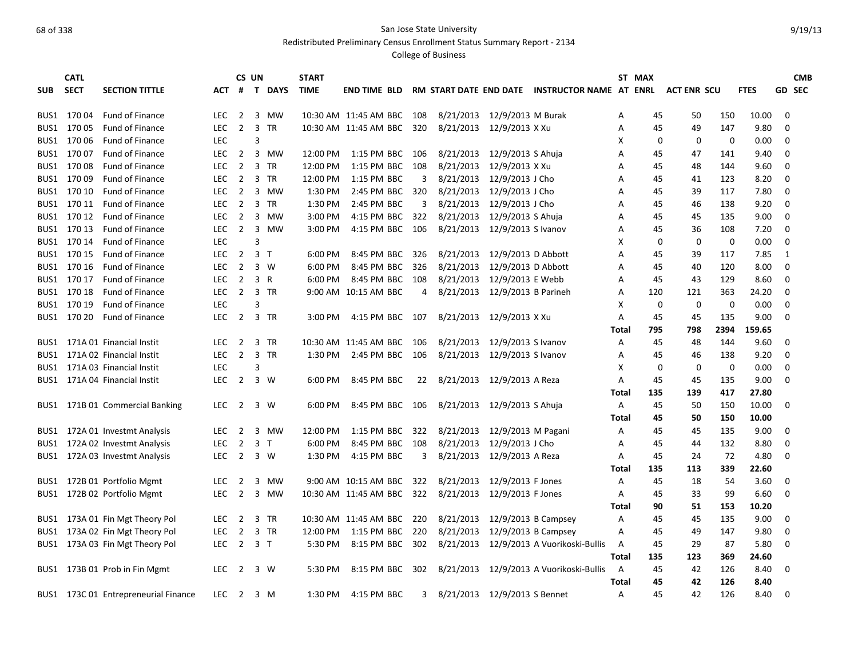Redistributed Preliminary Census Enrollment Status Summary Report - 2134

| RM START DATE END DATE INSTRUCTOR NAME AT ENRL<br><b>GD SEC</b><br><b>SECT</b><br><b>SECTION TITTLE</b><br>#<br>T DAYS<br><b>TIME</b><br><b>ACT ENR SCU</b><br><b>FTES</b><br><b>SUB</b><br>ACT<br><b>END TIME BLD</b><br>8/21/2013<br>12/9/2013 M Burak<br>BUS1 17004<br>Fund of Finance<br>2 3 MW<br>10:30 AM 11:45 AM BBC 108<br>45<br>50<br>150<br>10.00<br>0<br><b>LEC</b><br>Α<br>Fund of Finance<br>$\overline{2}$<br>3 TR<br>10:30 AM 11:45 AM BBC<br>8/21/2013<br>12/9/2013 X Xu<br>45<br>147<br>9.80<br>0<br>BUS1 170 05<br><b>LEC</b><br>320<br>A<br>49<br>BUS1 170 06<br><b>LEC</b><br>$\mathbf 0$<br>0.00<br>$\mathbf 0$<br>Fund of Finance<br>3<br>Х<br>0<br>0<br>2<br>12/9/2013 S Ahuja<br>BUS1 17007<br><b>Fund of Finance</b><br><b>LEC</b><br>3 MW<br>12:00 PM 1:15 PM BBC 106<br>8/21/2013<br>45<br>141<br>9.40<br>$\Omega$<br>A<br>47<br>12/9/2013 X Xu<br>BUS1 17008<br><b>Fund of Finance</b><br><b>LEC</b><br>$\overline{2}$<br>3 TR<br>12:00 PM<br>1:15 PM BBC 108<br>8/21/2013<br>144<br>$\mathbf 0$<br>A<br>45<br>48<br>9.60<br>BUS1 170 09<br>8/21/2013<br>12/9/2013 J Cho<br><b>Fund of Finance</b><br><b>LEC</b><br>$\overline{2}$<br>3 TR<br>12:00 PM<br>1:15 PM BBC<br>45<br>123<br>8.20<br>$\Omega$<br>3<br>A<br>41<br>8/21/2013<br>12/9/2013 J Cho<br>BUS1 170 10<br><b>LEC</b><br>$\overline{2}$<br>3 MW<br>1:30 PM<br>2:45 PM BBC<br>320<br>45<br>39<br>117<br>7.80<br>$\mathbf 0$<br>Fund of Finance<br>A<br>$\overline{2}$<br>3 TR<br>8/21/2013<br>12/9/2013 J Cho<br>138<br>9.20<br>$\Omega$<br>BUS1 170 11<br>Fund of Finance<br>LEC.<br>1:30 PM<br>2:45 PM BBC<br>3<br>45<br>46<br>Α<br>8/21/2013<br>BUS1 170 12<br>2<br>3 MW<br>3:00 PM<br>4:15 PM BBC 322<br>12/9/2013 S Ahuja<br>135<br>9.00<br>0<br>Fund of Finance<br>LEC.<br>A<br>45<br>45<br>8/21/2013<br>12/9/2013 S Ivanov<br>$\mathbf 0$<br>BUS1 170 13<br>Fund of Finance<br><b>LEC</b><br>$\overline{2}$<br>3 MW<br>3:00 PM<br>4:15 PM BBC 106<br>Α<br>45<br>36<br>108<br>7.20<br>BUS1 170 14<br><b>Fund of Finance</b><br><b>LEC</b><br>3<br>х<br>0<br>$\mathbf 0$<br>$\mathbf 0$<br>0.00<br>0<br>BUS1 170 15<br>$\overline{2}$<br>8/21/2013<br>12/9/2013 D Abbott<br>7.85<br>Fund of Finance<br><b>LEC</b><br>3 <sub>1</sub><br>6:00 PM<br>8:45 PM BBC<br>326<br>Α<br>45<br>39<br>117<br>1<br>12/9/2013 D Abbott<br>$\mathbf 0$<br>BUS1 170 16<br><b>Fund of Finance</b><br><b>LEC</b><br>2<br>$3 \ W$<br>6:00 PM<br>8:45 PM BBC<br>326<br>8/21/2013<br>45<br>40<br>120<br>8.00<br>A<br>12/9/2013 E Webb<br>BUS1 170 17<br><b>Fund of Finance</b><br><b>LEC</b><br>2<br>3 R<br>6:00 PM<br>8:45 PM BBC 108<br>8/21/2013<br>129<br>8.60<br>0<br>A<br>45<br>43<br>BUS1 170 18<br>8/21/2013<br>12/9/2013 B Parineh<br>$\mathbf 0$<br><b>Fund of Finance</b><br><b>LEC</b><br>2 3 TR<br>9:00 AM 10:15 AM BBC<br>121<br>363<br>24.20<br>4<br>A<br>120<br>BUS1 170 19<br><b>Fund of Finance</b><br><b>LEC</b><br>3<br>х<br>0<br>0<br>0<br>0.00<br>$\mathbf 0$<br>BUS1 170 20<br>$\overline{2}$<br>3 TR<br>8/21/2013 12/9/2013 X Xu<br>45<br>45<br>135<br>9.00<br>$\mathbf 0$<br>Fund of Finance<br><b>LEC</b><br>3:00 PM<br>4:15 PM BBC 107<br>Α<br>2394<br>159.65<br>Total<br>795<br>798<br>8/21/2013<br>12/9/2013 S Ivanov<br>BUS1 171A 01 Financial Instit<br><b>LEC</b><br>$\overline{2}$<br>3 TR<br>10:30 AM 11:45 AM BBC 106<br>Α<br>45<br>48<br>144<br>9.60<br>$\mathbf 0$<br>BUS1 171A 02 Financial Instit<br><b>LEC</b><br>$\overline{2}$<br>3 TR<br>2:45 PM BBC 106<br>8/21/2013<br>12/9/2013 S Ivanov<br>45<br>138<br>9.20<br>0<br>1:30 PM<br>A<br>46<br>BUS1 171A 03 Financial Instit<br><b>LEC</b><br>3<br>0<br>0<br>0<br>0.00<br>0<br>X<br>2<br>$3 \ W$<br>8/21/2013<br>135<br>9.00<br>$\Omega$<br>BUS1 171A 04 Financial Instit<br><b>LEC</b><br>6:00 PM<br>8:45 PM BBC<br>22<br>12/9/2013 A Reza<br>45<br>45<br>A<br>417<br>27.80<br>135<br>139<br>Total<br>8/21/2013 12/9/2013 S Ahuja<br>10.00<br>BUS1 171B 01 Commercial Banking<br>$\overline{2}$<br>6:00 PM<br>8:45 PM BBC 106<br>Α<br>45<br>50<br>150<br>$\mathbf 0$<br><b>LEC</b><br>3 W<br>10.00<br>Total<br>45<br>50<br>150<br>12/9/2013 M Pagani<br>BUS1 172A 01 Investmt Analysis<br>$\overline{2}$<br>3 MW<br>12:00 PM<br>1:15 PM BBC<br>322<br>8/21/2013<br>Α<br>45<br>45<br>135<br>9.00<br>0<br><b>LEC</b><br>8/21/2013<br>12/9/2013 J Cho<br>BUS1 172A 02 Investmt Analysis<br>$\overline{2}$<br>3 <sub>T</sub><br>6:00 PM<br>8:45 PM BBC 108<br>A<br>45<br>132<br>8.80<br>$\mathbf 0$<br>LEC.<br>44<br>$\overline{2}$<br>3 W<br>4:15 PM BBC<br>8/21/2013<br>12/9/2013 A Reza<br>72<br>4.80<br>BUS1 172A 03 Investmt Analysis<br>LEC.<br>1:30 PM<br>3<br>Α<br>45<br>24<br>0<br>135<br>113<br>339<br>22.60<br>Total<br>BUS1 172B 01 Portfolio Mgmt<br>$\overline{2}$<br>9:00 AM 10:15 AM BBC 322<br>8/21/2013<br>12/9/2013 F Jones<br>45<br>54<br>3.60<br><b>LEC</b><br>3 MW<br>A<br>18<br>0<br>$\overline{2}$<br>10:30 AM 11:45 AM BBC 322<br>8/21/2013<br>12/9/2013 F Jones<br>99<br>6.60<br>$\Omega$<br>BUS1 172B 02 Portfolio Mgmt<br><b>LEC</b><br>3 MW<br>45<br>33<br>A<br>90<br>153<br>10.20<br>51<br>Total<br>8/21/2013<br>12/9/2013 B Campsey<br>9.00<br>BUS1 173A 01 Fin Mgt Theory Pol<br>$\overline{2}$<br>3 TR<br>10:30 AM 11:45 AM BBC 220<br>45<br>45<br>135<br>$\mathbf 0$<br><b>LEC</b><br>Α<br>BUS1 173A 02 Fin Mgt Theory Pol<br>$\overline{2}$<br>3 TR<br>1:15 PM BBC 220<br>8/21/2013<br>12/9/2013 B Campsey<br>147<br>9.80<br>$\mathbf 0$<br><b>LEC</b><br>12:00 PM<br>A<br>45<br>49 | <b>CATL</b> |  | CS UN | <b>START</b> |  |  |  | ST MAX |  |  | <b>CMB</b> |
|-----------------------------------------------------------------------------------------------------------------------------------------------------------------------------------------------------------------------------------------------------------------------------------------------------------------------------------------------------------------------------------------------------------------------------------------------------------------------------------------------------------------------------------------------------------------------------------------------------------------------------------------------------------------------------------------------------------------------------------------------------------------------------------------------------------------------------------------------------------------------------------------------------------------------------------------------------------------------------------------------------------------------------------------------------------------------------------------------------------------------------------------------------------------------------------------------------------------------------------------------------------------------------------------------------------------------------------------------------------------------------------------------------------------------------------------------------------------------------------------------------------------------------------------------------------------------------------------------------------------------------------------------------------------------------------------------------------------------------------------------------------------------------------------------------------------------------------------------------------------------------------------------------------------------------------------------------------------------------------------------------------------------------------------------------------------------------------------------------------------------------------------------------------------------------------------------------------------------------------------------------------------------------------------------------------------------------------------------------------------------------------------------------------------------------------------------------------------------------------------------------------------------------------------------------------------------------------------------------------------------------------------------------------------------------------------------------------------------------------------------------------------------------------------------------------------------------------------------------------------------------------------------------------------------------------------------------------------------------------------------------------------------------------------------------------------------------------------------------------------------------------------------------------------------------------------------------------------------------------------------------------------------------------------------------------------------------------------------------------------------------------------------------------------------------------------------------------------------------------------------------------------------------------------------------------------------------------------------------------------------------------------------------------------------------------------------------------------------------------------------------------------------------------------------------------------------------------------------------------------------------------------------------------------------------------------------------------------------------------------------------------------------------------------------------------------------------------------------------------------------------------------------------------------------------------------------------------------------------------------------------------------------------------------------------------------------------------------------------------------------------------------------------------------------------------------------------------------------------------------------------------------------------------------------------------------------------------------------------------------------------------------------------------------------------------------------------------------------------------------------------------------------------------------------------------------------------------------------------------------------------------------------------------------------------------------------------------------------------------------------------------------------------------------------------------------------------------------------------------------------------------------------------------------------------------------------------------------------------------------------------------------------------------------------------------------------------------------------------------------------------------------------------------------------------------------------------------------------------------------|-------------|--|-------|--------------|--|--|--|--------|--|--|------------|
|                                                                                                                                                                                                                                                                                                                                                                                                                                                                                                                                                                                                                                                                                                                                                                                                                                                                                                                                                                                                                                                                                                                                                                                                                                                                                                                                                                                                                                                                                                                                                                                                                                                                                                                                                                                                                                                                                                                                                                                                                                                                                                                                                                                                                                                                                                                                                                                                                                                                                                                                                                                                                                                                                                                                                                                                                                                                                                                                                                                                                                                                                                                                                                                                                                                                                                                                                                                                                                                                                                                                                                                                                                                                                                                                                                                                                                                                                                                                                                                                                                                                                                                                                                                                                                                                                                                                                                                                                                                                                                                                                                                                                                                                                                                                                                                                                                                                                                                                                                                                                                                                                                                                                                                                                                                                                                                                                                                                                                                                                         |             |  |       |              |  |  |  |        |  |  |            |
|                                                                                                                                                                                                                                                                                                                                                                                                                                                                                                                                                                                                                                                                                                                                                                                                                                                                                                                                                                                                                                                                                                                                                                                                                                                                                                                                                                                                                                                                                                                                                                                                                                                                                                                                                                                                                                                                                                                                                                                                                                                                                                                                                                                                                                                                                                                                                                                                                                                                                                                                                                                                                                                                                                                                                                                                                                                                                                                                                                                                                                                                                                                                                                                                                                                                                                                                                                                                                                                                                                                                                                                                                                                                                                                                                                                                                                                                                                                                                                                                                                                                                                                                                                                                                                                                                                                                                                                                                                                                                                                                                                                                                                                                                                                                                                                                                                                                                                                                                                                                                                                                                                                                                                                                                                                                                                                                                                                                                                                                                         |             |  |       |              |  |  |  |        |  |  |            |
|                                                                                                                                                                                                                                                                                                                                                                                                                                                                                                                                                                                                                                                                                                                                                                                                                                                                                                                                                                                                                                                                                                                                                                                                                                                                                                                                                                                                                                                                                                                                                                                                                                                                                                                                                                                                                                                                                                                                                                                                                                                                                                                                                                                                                                                                                                                                                                                                                                                                                                                                                                                                                                                                                                                                                                                                                                                                                                                                                                                                                                                                                                                                                                                                                                                                                                                                                                                                                                                                                                                                                                                                                                                                                                                                                                                                                                                                                                                                                                                                                                                                                                                                                                                                                                                                                                                                                                                                                                                                                                                                                                                                                                                                                                                                                                                                                                                                                                                                                                                                                                                                                                                                                                                                                                                                                                                                                                                                                                                                                         |             |  |       |              |  |  |  |        |  |  |            |
|                                                                                                                                                                                                                                                                                                                                                                                                                                                                                                                                                                                                                                                                                                                                                                                                                                                                                                                                                                                                                                                                                                                                                                                                                                                                                                                                                                                                                                                                                                                                                                                                                                                                                                                                                                                                                                                                                                                                                                                                                                                                                                                                                                                                                                                                                                                                                                                                                                                                                                                                                                                                                                                                                                                                                                                                                                                                                                                                                                                                                                                                                                                                                                                                                                                                                                                                                                                                                                                                                                                                                                                                                                                                                                                                                                                                                                                                                                                                                                                                                                                                                                                                                                                                                                                                                                                                                                                                                                                                                                                                                                                                                                                                                                                                                                                                                                                                                                                                                                                                                                                                                                                                                                                                                                                                                                                                                                                                                                                                                         |             |  |       |              |  |  |  |        |  |  |            |
|                                                                                                                                                                                                                                                                                                                                                                                                                                                                                                                                                                                                                                                                                                                                                                                                                                                                                                                                                                                                                                                                                                                                                                                                                                                                                                                                                                                                                                                                                                                                                                                                                                                                                                                                                                                                                                                                                                                                                                                                                                                                                                                                                                                                                                                                                                                                                                                                                                                                                                                                                                                                                                                                                                                                                                                                                                                                                                                                                                                                                                                                                                                                                                                                                                                                                                                                                                                                                                                                                                                                                                                                                                                                                                                                                                                                                                                                                                                                                                                                                                                                                                                                                                                                                                                                                                                                                                                                                                                                                                                                                                                                                                                                                                                                                                                                                                                                                                                                                                                                                                                                                                                                                                                                                                                                                                                                                                                                                                                                                         |             |  |       |              |  |  |  |        |  |  |            |
|                                                                                                                                                                                                                                                                                                                                                                                                                                                                                                                                                                                                                                                                                                                                                                                                                                                                                                                                                                                                                                                                                                                                                                                                                                                                                                                                                                                                                                                                                                                                                                                                                                                                                                                                                                                                                                                                                                                                                                                                                                                                                                                                                                                                                                                                                                                                                                                                                                                                                                                                                                                                                                                                                                                                                                                                                                                                                                                                                                                                                                                                                                                                                                                                                                                                                                                                                                                                                                                                                                                                                                                                                                                                                                                                                                                                                                                                                                                                                                                                                                                                                                                                                                                                                                                                                                                                                                                                                                                                                                                                                                                                                                                                                                                                                                                                                                                                                                                                                                                                                                                                                                                                                                                                                                                                                                                                                                                                                                                                                         |             |  |       |              |  |  |  |        |  |  |            |
|                                                                                                                                                                                                                                                                                                                                                                                                                                                                                                                                                                                                                                                                                                                                                                                                                                                                                                                                                                                                                                                                                                                                                                                                                                                                                                                                                                                                                                                                                                                                                                                                                                                                                                                                                                                                                                                                                                                                                                                                                                                                                                                                                                                                                                                                                                                                                                                                                                                                                                                                                                                                                                                                                                                                                                                                                                                                                                                                                                                                                                                                                                                                                                                                                                                                                                                                                                                                                                                                                                                                                                                                                                                                                                                                                                                                                                                                                                                                                                                                                                                                                                                                                                                                                                                                                                                                                                                                                                                                                                                                                                                                                                                                                                                                                                                                                                                                                                                                                                                                                                                                                                                                                                                                                                                                                                                                                                                                                                                                                         |             |  |       |              |  |  |  |        |  |  |            |
|                                                                                                                                                                                                                                                                                                                                                                                                                                                                                                                                                                                                                                                                                                                                                                                                                                                                                                                                                                                                                                                                                                                                                                                                                                                                                                                                                                                                                                                                                                                                                                                                                                                                                                                                                                                                                                                                                                                                                                                                                                                                                                                                                                                                                                                                                                                                                                                                                                                                                                                                                                                                                                                                                                                                                                                                                                                                                                                                                                                                                                                                                                                                                                                                                                                                                                                                                                                                                                                                                                                                                                                                                                                                                                                                                                                                                                                                                                                                                                                                                                                                                                                                                                                                                                                                                                                                                                                                                                                                                                                                                                                                                                                                                                                                                                                                                                                                                                                                                                                                                                                                                                                                                                                                                                                                                                                                                                                                                                                                                         |             |  |       |              |  |  |  |        |  |  |            |
|                                                                                                                                                                                                                                                                                                                                                                                                                                                                                                                                                                                                                                                                                                                                                                                                                                                                                                                                                                                                                                                                                                                                                                                                                                                                                                                                                                                                                                                                                                                                                                                                                                                                                                                                                                                                                                                                                                                                                                                                                                                                                                                                                                                                                                                                                                                                                                                                                                                                                                                                                                                                                                                                                                                                                                                                                                                                                                                                                                                                                                                                                                                                                                                                                                                                                                                                                                                                                                                                                                                                                                                                                                                                                                                                                                                                                                                                                                                                                                                                                                                                                                                                                                                                                                                                                                                                                                                                                                                                                                                                                                                                                                                                                                                                                                                                                                                                                                                                                                                                                                                                                                                                                                                                                                                                                                                                                                                                                                                                                         |             |  |       |              |  |  |  |        |  |  |            |
|                                                                                                                                                                                                                                                                                                                                                                                                                                                                                                                                                                                                                                                                                                                                                                                                                                                                                                                                                                                                                                                                                                                                                                                                                                                                                                                                                                                                                                                                                                                                                                                                                                                                                                                                                                                                                                                                                                                                                                                                                                                                                                                                                                                                                                                                                                                                                                                                                                                                                                                                                                                                                                                                                                                                                                                                                                                                                                                                                                                                                                                                                                                                                                                                                                                                                                                                                                                                                                                                                                                                                                                                                                                                                                                                                                                                                                                                                                                                                                                                                                                                                                                                                                                                                                                                                                                                                                                                                                                                                                                                                                                                                                                                                                                                                                                                                                                                                                                                                                                                                                                                                                                                                                                                                                                                                                                                                                                                                                                                                         |             |  |       |              |  |  |  |        |  |  |            |
|                                                                                                                                                                                                                                                                                                                                                                                                                                                                                                                                                                                                                                                                                                                                                                                                                                                                                                                                                                                                                                                                                                                                                                                                                                                                                                                                                                                                                                                                                                                                                                                                                                                                                                                                                                                                                                                                                                                                                                                                                                                                                                                                                                                                                                                                                                                                                                                                                                                                                                                                                                                                                                                                                                                                                                                                                                                                                                                                                                                                                                                                                                                                                                                                                                                                                                                                                                                                                                                                                                                                                                                                                                                                                                                                                                                                                                                                                                                                                                                                                                                                                                                                                                                                                                                                                                                                                                                                                                                                                                                                                                                                                                                                                                                                                                                                                                                                                                                                                                                                                                                                                                                                                                                                                                                                                                                                                                                                                                                                                         |             |  |       |              |  |  |  |        |  |  |            |
|                                                                                                                                                                                                                                                                                                                                                                                                                                                                                                                                                                                                                                                                                                                                                                                                                                                                                                                                                                                                                                                                                                                                                                                                                                                                                                                                                                                                                                                                                                                                                                                                                                                                                                                                                                                                                                                                                                                                                                                                                                                                                                                                                                                                                                                                                                                                                                                                                                                                                                                                                                                                                                                                                                                                                                                                                                                                                                                                                                                                                                                                                                                                                                                                                                                                                                                                                                                                                                                                                                                                                                                                                                                                                                                                                                                                                                                                                                                                                                                                                                                                                                                                                                                                                                                                                                                                                                                                                                                                                                                                                                                                                                                                                                                                                                                                                                                                                                                                                                                                                                                                                                                                                                                                                                                                                                                                                                                                                                                                                         |             |  |       |              |  |  |  |        |  |  |            |
|                                                                                                                                                                                                                                                                                                                                                                                                                                                                                                                                                                                                                                                                                                                                                                                                                                                                                                                                                                                                                                                                                                                                                                                                                                                                                                                                                                                                                                                                                                                                                                                                                                                                                                                                                                                                                                                                                                                                                                                                                                                                                                                                                                                                                                                                                                                                                                                                                                                                                                                                                                                                                                                                                                                                                                                                                                                                                                                                                                                                                                                                                                                                                                                                                                                                                                                                                                                                                                                                                                                                                                                                                                                                                                                                                                                                                                                                                                                                                                                                                                                                                                                                                                                                                                                                                                                                                                                                                                                                                                                                                                                                                                                                                                                                                                                                                                                                                                                                                                                                                                                                                                                                                                                                                                                                                                                                                                                                                                                                                         |             |  |       |              |  |  |  |        |  |  |            |
|                                                                                                                                                                                                                                                                                                                                                                                                                                                                                                                                                                                                                                                                                                                                                                                                                                                                                                                                                                                                                                                                                                                                                                                                                                                                                                                                                                                                                                                                                                                                                                                                                                                                                                                                                                                                                                                                                                                                                                                                                                                                                                                                                                                                                                                                                                                                                                                                                                                                                                                                                                                                                                                                                                                                                                                                                                                                                                                                                                                                                                                                                                                                                                                                                                                                                                                                                                                                                                                                                                                                                                                                                                                                                                                                                                                                                                                                                                                                                                                                                                                                                                                                                                                                                                                                                                                                                                                                                                                                                                                                                                                                                                                                                                                                                                                                                                                                                                                                                                                                                                                                                                                                                                                                                                                                                                                                                                                                                                                                                         |             |  |       |              |  |  |  |        |  |  |            |
|                                                                                                                                                                                                                                                                                                                                                                                                                                                                                                                                                                                                                                                                                                                                                                                                                                                                                                                                                                                                                                                                                                                                                                                                                                                                                                                                                                                                                                                                                                                                                                                                                                                                                                                                                                                                                                                                                                                                                                                                                                                                                                                                                                                                                                                                                                                                                                                                                                                                                                                                                                                                                                                                                                                                                                                                                                                                                                                                                                                                                                                                                                                                                                                                                                                                                                                                                                                                                                                                                                                                                                                                                                                                                                                                                                                                                                                                                                                                                                                                                                                                                                                                                                                                                                                                                                                                                                                                                                                                                                                                                                                                                                                                                                                                                                                                                                                                                                                                                                                                                                                                                                                                                                                                                                                                                                                                                                                                                                                                                         |             |  |       |              |  |  |  |        |  |  |            |
|                                                                                                                                                                                                                                                                                                                                                                                                                                                                                                                                                                                                                                                                                                                                                                                                                                                                                                                                                                                                                                                                                                                                                                                                                                                                                                                                                                                                                                                                                                                                                                                                                                                                                                                                                                                                                                                                                                                                                                                                                                                                                                                                                                                                                                                                                                                                                                                                                                                                                                                                                                                                                                                                                                                                                                                                                                                                                                                                                                                                                                                                                                                                                                                                                                                                                                                                                                                                                                                                                                                                                                                                                                                                                                                                                                                                                                                                                                                                                                                                                                                                                                                                                                                                                                                                                                                                                                                                                                                                                                                                                                                                                                                                                                                                                                                                                                                                                                                                                                                                                                                                                                                                                                                                                                                                                                                                                                                                                                                                                         |             |  |       |              |  |  |  |        |  |  |            |
|                                                                                                                                                                                                                                                                                                                                                                                                                                                                                                                                                                                                                                                                                                                                                                                                                                                                                                                                                                                                                                                                                                                                                                                                                                                                                                                                                                                                                                                                                                                                                                                                                                                                                                                                                                                                                                                                                                                                                                                                                                                                                                                                                                                                                                                                                                                                                                                                                                                                                                                                                                                                                                                                                                                                                                                                                                                                                                                                                                                                                                                                                                                                                                                                                                                                                                                                                                                                                                                                                                                                                                                                                                                                                                                                                                                                                                                                                                                                                                                                                                                                                                                                                                                                                                                                                                                                                                                                                                                                                                                                                                                                                                                                                                                                                                                                                                                                                                                                                                                                                                                                                                                                                                                                                                                                                                                                                                                                                                                                                         |             |  |       |              |  |  |  |        |  |  |            |
|                                                                                                                                                                                                                                                                                                                                                                                                                                                                                                                                                                                                                                                                                                                                                                                                                                                                                                                                                                                                                                                                                                                                                                                                                                                                                                                                                                                                                                                                                                                                                                                                                                                                                                                                                                                                                                                                                                                                                                                                                                                                                                                                                                                                                                                                                                                                                                                                                                                                                                                                                                                                                                                                                                                                                                                                                                                                                                                                                                                                                                                                                                                                                                                                                                                                                                                                                                                                                                                                                                                                                                                                                                                                                                                                                                                                                                                                                                                                                                                                                                                                                                                                                                                                                                                                                                                                                                                                                                                                                                                                                                                                                                                                                                                                                                                                                                                                                                                                                                                                                                                                                                                                                                                                                                                                                                                                                                                                                                                                                         |             |  |       |              |  |  |  |        |  |  |            |
|                                                                                                                                                                                                                                                                                                                                                                                                                                                                                                                                                                                                                                                                                                                                                                                                                                                                                                                                                                                                                                                                                                                                                                                                                                                                                                                                                                                                                                                                                                                                                                                                                                                                                                                                                                                                                                                                                                                                                                                                                                                                                                                                                                                                                                                                                                                                                                                                                                                                                                                                                                                                                                                                                                                                                                                                                                                                                                                                                                                                                                                                                                                                                                                                                                                                                                                                                                                                                                                                                                                                                                                                                                                                                                                                                                                                                                                                                                                                                                                                                                                                                                                                                                                                                                                                                                                                                                                                                                                                                                                                                                                                                                                                                                                                                                                                                                                                                                                                                                                                                                                                                                                                                                                                                                                                                                                                                                                                                                                                                         |             |  |       |              |  |  |  |        |  |  |            |
|                                                                                                                                                                                                                                                                                                                                                                                                                                                                                                                                                                                                                                                                                                                                                                                                                                                                                                                                                                                                                                                                                                                                                                                                                                                                                                                                                                                                                                                                                                                                                                                                                                                                                                                                                                                                                                                                                                                                                                                                                                                                                                                                                                                                                                                                                                                                                                                                                                                                                                                                                                                                                                                                                                                                                                                                                                                                                                                                                                                                                                                                                                                                                                                                                                                                                                                                                                                                                                                                                                                                                                                                                                                                                                                                                                                                                                                                                                                                                                                                                                                                                                                                                                                                                                                                                                                                                                                                                                                                                                                                                                                                                                                                                                                                                                                                                                                                                                                                                                                                                                                                                                                                                                                                                                                                                                                                                                                                                                                                                         |             |  |       |              |  |  |  |        |  |  |            |
|                                                                                                                                                                                                                                                                                                                                                                                                                                                                                                                                                                                                                                                                                                                                                                                                                                                                                                                                                                                                                                                                                                                                                                                                                                                                                                                                                                                                                                                                                                                                                                                                                                                                                                                                                                                                                                                                                                                                                                                                                                                                                                                                                                                                                                                                                                                                                                                                                                                                                                                                                                                                                                                                                                                                                                                                                                                                                                                                                                                                                                                                                                                                                                                                                                                                                                                                                                                                                                                                                                                                                                                                                                                                                                                                                                                                                                                                                                                                                                                                                                                                                                                                                                                                                                                                                                                                                                                                                                                                                                                                                                                                                                                                                                                                                                                                                                                                                                                                                                                                                                                                                                                                                                                                                                                                                                                                                                                                                                                                                         |             |  |       |              |  |  |  |        |  |  |            |
|                                                                                                                                                                                                                                                                                                                                                                                                                                                                                                                                                                                                                                                                                                                                                                                                                                                                                                                                                                                                                                                                                                                                                                                                                                                                                                                                                                                                                                                                                                                                                                                                                                                                                                                                                                                                                                                                                                                                                                                                                                                                                                                                                                                                                                                                                                                                                                                                                                                                                                                                                                                                                                                                                                                                                                                                                                                                                                                                                                                                                                                                                                                                                                                                                                                                                                                                                                                                                                                                                                                                                                                                                                                                                                                                                                                                                                                                                                                                                                                                                                                                                                                                                                                                                                                                                                                                                                                                                                                                                                                                                                                                                                                                                                                                                                                                                                                                                                                                                                                                                                                                                                                                                                                                                                                                                                                                                                                                                                                                                         |             |  |       |              |  |  |  |        |  |  |            |
|                                                                                                                                                                                                                                                                                                                                                                                                                                                                                                                                                                                                                                                                                                                                                                                                                                                                                                                                                                                                                                                                                                                                                                                                                                                                                                                                                                                                                                                                                                                                                                                                                                                                                                                                                                                                                                                                                                                                                                                                                                                                                                                                                                                                                                                                                                                                                                                                                                                                                                                                                                                                                                                                                                                                                                                                                                                                                                                                                                                                                                                                                                                                                                                                                                                                                                                                                                                                                                                                                                                                                                                                                                                                                                                                                                                                                                                                                                                                                                                                                                                                                                                                                                                                                                                                                                                                                                                                                                                                                                                                                                                                                                                                                                                                                                                                                                                                                                                                                                                                                                                                                                                                                                                                                                                                                                                                                                                                                                                                                         |             |  |       |              |  |  |  |        |  |  |            |
|                                                                                                                                                                                                                                                                                                                                                                                                                                                                                                                                                                                                                                                                                                                                                                                                                                                                                                                                                                                                                                                                                                                                                                                                                                                                                                                                                                                                                                                                                                                                                                                                                                                                                                                                                                                                                                                                                                                                                                                                                                                                                                                                                                                                                                                                                                                                                                                                                                                                                                                                                                                                                                                                                                                                                                                                                                                                                                                                                                                                                                                                                                                                                                                                                                                                                                                                                                                                                                                                                                                                                                                                                                                                                                                                                                                                                                                                                                                                                                                                                                                                                                                                                                                                                                                                                                                                                                                                                                                                                                                                                                                                                                                                                                                                                                                                                                                                                                                                                                                                                                                                                                                                                                                                                                                                                                                                                                                                                                                                                         |             |  |       |              |  |  |  |        |  |  |            |
|                                                                                                                                                                                                                                                                                                                                                                                                                                                                                                                                                                                                                                                                                                                                                                                                                                                                                                                                                                                                                                                                                                                                                                                                                                                                                                                                                                                                                                                                                                                                                                                                                                                                                                                                                                                                                                                                                                                                                                                                                                                                                                                                                                                                                                                                                                                                                                                                                                                                                                                                                                                                                                                                                                                                                                                                                                                                                                                                                                                                                                                                                                                                                                                                                                                                                                                                                                                                                                                                                                                                                                                                                                                                                                                                                                                                                                                                                                                                                                                                                                                                                                                                                                                                                                                                                                                                                                                                                                                                                                                                                                                                                                                                                                                                                                                                                                                                                                                                                                                                                                                                                                                                                                                                                                                                                                                                                                                                                                                                                         |             |  |       |              |  |  |  |        |  |  |            |
|                                                                                                                                                                                                                                                                                                                                                                                                                                                                                                                                                                                                                                                                                                                                                                                                                                                                                                                                                                                                                                                                                                                                                                                                                                                                                                                                                                                                                                                                                                                                                                                                                                                                                                                                                                                                                                                                                                                                                                                                                                                                                                                                                                                                                                                                                                                                                                                                                                                                                                                                                                                                                                                                                                                                                                                                                                                                                                                                                                                                                                                                                                                                                                                                                                                                                                                                                                                                                                                                                                                                                                                                                                                                                                                                                                                                                                                                                                                                                                                                                                                                                                                                                                                                                                                                                                                                                                                                                                                                                                                                                                                                                                                                                                                                                                                                                                                                                                                                                                                                                                                                                                                                                                                                                                                                                                                                                                                                                                                                                         |             |  |       |              |  |  |  |        |  |  |            |
|                                                                                                                                                                                                                                                                                                                                                                                                                                                                                                                                                                                                                                                                                                                                                                                                                                                                                                                                                                                                                                                                                                                                                                                                                                                                                                                                                                                                                                                                                                                                                                                                                                                                                                                                                                                                                                                                                                                                                                                                                                                                                                                                                                                                                                                                                                                                                                                                                                                                                                                                                                                                                                                                                                                                                                                                                                                                                                                                                                                                                                                                                                                                                                                                                                                                                                                                                                                                                                                                                                                                                                                                                                                                                                                                                                                                                                                                                                                                                                                                                                                                                                                                                                                                                                                                                                                                                                                                                                                                                                                                                                                                                                                                                                                                                                                                                                                                                                                                                                                                                                                                                                                                                                                                                                                                                                                                                                                                                                                                                         |             |  |       |              |  |  |  |        |  |  |            |
|                                                                                                                                                                                                                                                                                                                                                                                                                                                                                                                                                                                                                                                                                                                                                                                                                                                                                                                                                                                                                                                                                                                                                                                                                                                                                                                                                                                                                                                                                                                                                                                                                                                                                                                                                                                                                                                                                                                                                                                                                                                                                                                                                                                                                                                                                                                                                                                                                                                                                                                                                                                                                                                                                                                                                                                                                                                                                                                                                                                                                                                                                                                                                                                                                                                                                                                                                                                                                                                                                                                                                                                                                                                                                                                                                                                                                                                                                                                                                                                                                                                                                                                                                                                                                                                                                                                                                                                                                                                                                                                                                                                                                                                                                                                                                                                                                                                                                                                                                                                                                                                                                                                                                                                                                                                                                                                                                                                                                                                                                         |             |  |       |              |  |  |  |        |  |  |            |
|                                                                                                                                                                                                                                                                                                                                                                                                                                                                                                                                                                                                                                                                                                                                                                                                                                                                                                                                                                                                                                                                                                                                                                                                                                                                                                                                                                                                                                                                                                                                                                                                                                                                                                                                                                                                                                                                                                                                                                                                                                                                                                                                                                                                                                                                                                                                                                                                                                                                                                                                                                                                                                                                                                                                                                                                                                                                                                                                                                                                                                                                                                                                                                                                                                                                                                                                                                                                                                                                                                                                                                                                                                                                                                                                                                                                                                                                                                                                                                                                                                                                                                                                                                                                                                                                                                                                                                                                                                                                                                                                                                                                                                                                                                                                                                                                                                                                                                                                                                                                                                                                                                                                                                                                                                                                                                                                                                                                                                                                                         |             |  |       |              |  |  |  |        |  |  |            |
|                                                                                                                                                                                                                                                                                                                                                                                                                                                                                                                                                                                                                                                                                                                                                                                                                                                                                                                                                                                                                                                                                                                                                                                                                                                                                                                                                                                                                                                                                                                                                                                                                                                                                                                                                                                                                                                                                                                                                                                                                                                                                                                                                                                                                                                                                                                                                                                                                                                                                                                                                                                                                                                                                                                                                                                                                                                                                                                                                                                                                                                                                                                                                                                                                                                                                                                                                                                                                                                                                                                                                                                                                                                                                                                                                                                                                                                                                                                                                                                                                                                                                                                                                                                                                                                                                                                                                                                                                                                                                                                                                                                                                                                                                                                                                                                                                                                                                                                                                                                                                                                                                                                                                                                                                                                                                                                                                                                                                                                                                         |             |  |       |              |  |  |  |        |  |  |            |
|                                                                                                                                                                                                                                                                                                                                                                                                                                                                                                                                                                                                                                                                                                                                                                                                                                                                                                                                                                                                                                                                                                                                                                                                                                                                                                                                                                                                                                                                                                                                                                                                                                                                                                                                                                                                                                                                                                                                                                                                                                                                                                                                                                                                                                                                                                                                                                                                                                                                                                                                                                                                                                                                                                                                                                                                                                                                                                                                                                                                                                                                                                                                                                                                                                                                                                                                                                                                                                                                                                                                                                                                                                                                                                                                                                                                                                                                                                                                                                                                                                                                                                                                                                                                                                                                                                                                                                                                                                                                                                                                                                                                                                                                                                                                                                                                                                                                                                                                                                                                                                                                                                                                                                                                                                                                                                                                                                                                                                                                                         |             |  |       |              |  |  |  |        |  |  |            |
|                                                                                                                                                                                                                                                                                                                                                                                                                                                                                                                                                                                                                                                                                                                                                                                                                                                                                                                                                                                                                                                                                                                                                                                                                                                                                                                                                                                                                                                                                                                                                                                                                                                                                                                                                                                                                                                                                                                                                                                                                                                                                                                                                                                                                                                                                                                                                                                                                                                                                                                                                                                                                                                                                                                                                                                                                                                                                                                                                                                                                                                                                                                                                                                                                                                                                                                                                                                                                                                                                                                                                                                                                                                                                                                                                                                                                                                                                                                                                                                                                                                                                                                                                                                                                                                                                                                                                                                                                                                                                                                                                                                                                                                                                                                                                                                                                                                                                                                                                                                                                                                                                                                                                                                                                                                                                                                                                                                                                                                                                         |             |  |       |              |  |  |  |        |  |  |            |
|                                                                                                                                                                                                                                                                                                                                                                                                                                                                                                                                                                                                                                                                                                                                                                                                                                                                                                                                                                                                                                                                                                                                                                                                                                                                                                                                                                                                                                                                                                                                                                                                                                                                                                                                                                                                                                                                                                                                                                                                                                                                                                                                                                                                                                                                                                                                                                                                                                                                                                                                                                                                                                                                                                                                                                                                                                                                                                                                                                                                                                                                                                                                                                                                                                                                                                                                                                                                                                                                                                                                                                                                                                                                                                                                                                                                                                                                                                                                                                                                                                                                                                                                                                                                                                                                                                                                                                                                                                                                                                                                                                                                                                                                                                                                                                                                                                                                                                                                                                                                                                                                                                                                                                                                                                                                                                                                                                                                                                                                                         |             |  |       |              |  |  |  |        |  |  |            |
|                                                                                                                                                                                                                                                                                                                                                                                                                                                                                                                                                                                                                                                                                                                                                                                                                                                                                                                                                                                                                                                                                                                                                                                                                                                                                                                                                                                                                                                                                                                                                                                                                                                                                                                                                                                                                                                                                                                                                                                                                                                                                                                                                                                                                                                                                                                                                                                                                                                                                                                                                                                                                                                                                                                                                                                                                                                                                                                                                                                                                                                                                                                                                                                                                                                                                                                                                                                                                                                                                                                                                                                                                                                                                                                                                                                                                                                                                                                                                                                                                                                                                                                                                                                                                                                                                                                                                                                                                                                                                                                                                                                                                                                                                                                                                                                                                                                                                                                                                                                                                                                                                                                                                                                                                                                                                                                                                                                                                                                                                         |             |  |       |              |  |  |  |        |  |  |            |
|                                                                                                                                                                                                                                                                                                                                                                                                                                                                                                                                                                                                                                                                                                                                                                                                                                                                                                                                                                                                                                                                                                                                                                                                                                                                                                                                                                                                                                                                                                                                                                                                                                                                                                                                                                                                                                                                                                                                                                                                                                                                                                                                                                                                                                                                                                                                                                                                                                                                                                                                                                                                                                                                                                                                                                                                                                                                                                                                                                                                                                                                                                                                                                                                                                                                                                                                                                                                                                                                                                                                                                                                                                                                                                                                                                                                                                                                                                                                                                                                                                                                                                                                                                                                                                                                                                                                                                                                                                                                                                                                                                                                                                                                                                                                                                                                                                                                                                                                                                                                                                                                                                                                                                                                                                                                                                                                                                                                                                                                                         |             |  |       |              |  |  |  |        |  |  |            |
|                                                                                                                                                                                                                                                                                                                                                                                                                                                                                                                                                                                                                                                                                                                                                                                                                                                                                                                                                                                                                                                                                                                                                                                                                                                                                                                                                                                                                                                                                                                                                                                                                                                                                                                                                                                                                                                                                                                                                                                                                                                                                                                                                                                                                                                                                                                                                                                                                                                                                                                                                                                                                                                                                                                                                                                                                                                                                                                                                                                                                                                                                                                                                                                                                                                                                                                                                                                                                                                                                                                                                                                                                                                                                                                                                                                                                                                                                                                                                                                                                                                                                                                                                                                                                                                                                                                                                                                                                                                                                                                                                                                                                                                                                                                                                                                                                                                                                                                                                                                                                                                                                                                                                                                                                                                                                                                                                                                                                                                                                         |             |  |       |              |  |  |  |        |  |  |            |
| BUS1 173A 03 Fin Mgt Theory Pol<br>$\overline{\mathbf{2}}$<br>3 <sub>1</sub><br>8/21/2013<br>12/9/2013 A Vuorikoski-Bullis<br>5.80<br>$\mathbf 0$<br><b>LEC</b><br>5:30 PM<br>8:15 PM BBC 302<br>Α<br>45<br>29<br>87                                                                                                                                                                                                                                                                                                                                                                                                                                                                                                                                                                                                                                                                                                                                                                                                                                                                                                                                                                                                                                                                                                                                                                                                                                                                                                                                                                                                                                                                                                                                                                                                                                                                                                                                                                                                                                                                                                                                                                                                                                                                                                                                                                                                                                                                                                                                                                                                                                                                                                                                                                                                                                                                                                                                                                                                                                                                                                                                                                                                                                                                                                                                                                                                                                                                                                                                                                                                                                                                                                                                                                                                                                                                                                                                                                                                                                                                                                                                                                                                                                                                                                                                                                                                                                                                                                                                                                                                                                                                                                                                                                                                                                                                                                                                                                                                                                                                                                                                                                                                                                                                                                                                                                                                                                                                    |             |  |       |              |  |  |  |        |  |  |            |
| 123<br>369<br>24.60<br>Total<br>135                                                                                                                                                                                                                                                                                                                                                                                                                                                                                                                                                                                                                                                                                                                                                                                                                                                                                                                                                                                                                                                                                                                                                                                                                                                                                                                                                                                                                                                                                                                                                                                                                                                                                                                                                                                                                                                                                                                                                                                                                                                                                                                                                                                                                                                                                                                                                                                                                                                                                                                                                                                                                                                                                                                                                                                                                                                                                                                                                                                                                                                                                                                                                                                                                                                                                                                                                                                                                                                                                                                                                                                                                                                                                                                                                                                                                                                                                                                                                                                                                                                                                                                                                                                                                                                                                                                                                                                                                                                                                                                                                                                                                                                                                                                                                                                                                                                                                                                                                                                                                                                                                                                                                                                                                                                                                                                                                                                                                                                     |             |  |       |              |  |  |  |        |  |  |            |
| 8/21/2013 12/9/2013 A Vuorikoski-Bullis<br>A<br>BUS1 173B 01 Prob in Fin Mgmt<br><b>LEC</b><br>$\overline{2}$<br>3 W<br>5:30 PM<br>8:15 PM BBC<br>302<br>45<br>42<br>126<br>8.40<br>0                                                                                                                                                                                                                                                                                                                                                                                                                                                                                                                                                                                                                                                                                                                                                                                                                                                                                                                                                                                                                                                                                                                                                                                                                                                                                                                                                                                                                                                                                                                                                                                                                                                                                                                                                                                                                                                                                                                                                                                                                                                                                                                                                                                                                                                                                                                                                                                                                                                                                                                                                                                                                                                                                                                                                                                                                                                                                                                                                                                                                                                                                                                                                                                                                                                                                                                                                                                                                                                                                                                                                                                                                                                                                                                                                                                                                                                                                                                                                                                                                                                                                                                                                                                                                                                                                                                                                                                                                                                                                                                                                                                                                                                                                                                                                                                                                                                                                                                                                                                                                                                                                                                                                                                                                                                                                                   |             |  |       |              |  |  |  |        |  |  |            |
| <b>Total</b><br>45<br>42<br>126<br>8.40                                                                                                                                                                                                                                                                                                                                                                                                                                                                                                                                                                                                                                                                                                                                                                                                                                                                                                                                                                                                                                                                                                                                                                                                                                                                                                                                                                                                                                                                                                                                                                                                                                                                                                                                                                                                                                                                                                                                                                                                                                                                                                                                                                                                                                                                                                                                                                                                                                                                                                                                                                                                                                                                                                                                                                                                                                                                                                                                                                                                                                                                                                                                                                                                                                                                                                                                                                                                                                                                                                                                                                                                                                                                                                                                                                                                                                                                                                                                                                                                                                                                                                                                                                                                                                                                                                                                                                                                                                                                                                                                                                                                                                                                                                                                                                                                                                                                                                                                                                                                                                                                                                                                                                                                                                                                                                                                                                                                                                                 |             |  |       |              |  |  |  |        |  |  |            |
| <b>LEC</b><br>2 3 M<br>1:30 PM<br>4:15 PM BBC<br>8/21/2013 12/9/2013 S Bennet<br>45<br>42<br>126<br>8.40<br>$\Omega$<br>BUS1 173C 01 Entrepreneurial Finance<br>3<br>A                                                                                                                                                                                                                                                                                                                                                                                                                                                                                                                                                                                                                                                                                                                                                                                                                                                                                                                                                                                                                                                                                                                                                                                                                                                                                                                                                                                                                                                                                                                                                                                                                                                                                                                                                                                                                                                                                                                                                                                                                                                                                                                                                                                                                                                                                                                                                                                                                                                                                                                                                                                                                                                                                                                                                                                                                                                                                                                                                                                                                                                                                                                                                                                                                                                                                                                                                                                                                                                                                                                                                                                                                                                                                                                                                                                                                                                                                                                                                                                                                                                                                                                                                                                                                                                                                                                                                                                                                                                                                                                                                                                                                                                                                                                                                                                                                                                                                                                                                                                                                                                                                                                                                                                                                                                                                                                  |             |  |       |              |  |  |  |        |  |  |            |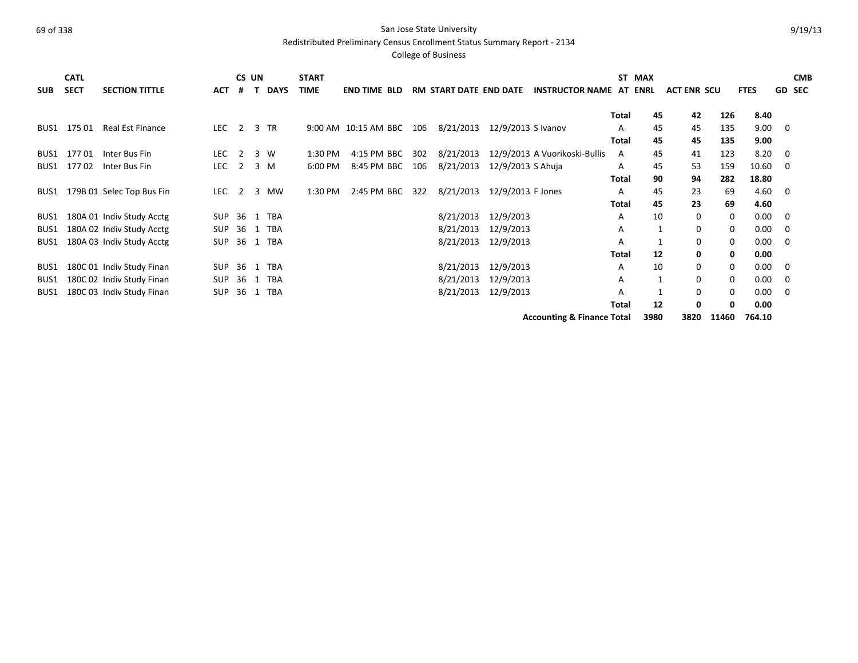Redistributed Preliminary Census Enrollment Status Summary Report - 2134

|                  | <b>CATL</b> |                           |            | CS UN          |   |             | <b>START</b> |                      |     |                               |                    |                                       | <b>ST</b>    | <b>MAX</b> |                    |          |             |          | <b>CMB</b> |
|------------------|-------------|---------------------------|------------|----------------|---|-------------|--------------|----------------------|-----|-------------------------------|--------------------|---------------------------------------|--------------|------------|--------------------|----------|-------------|----------|------------|
| <b>SUB</b>       | <b>SECT</b> | <b>SECTION TITTLE</b>     | <b>ACT</b> | #              | T | <b>DAYS</b> | <b>TIME</b>  | <b>END TIME BLD</b>  |     | <b>RM START DATE END DATE</b> |                    | <b>INSTRUCTOR NAME AT ENRL</b>        |              |            | <b>ACT ENR SCU</b> |          | <b>FTES</b> | GD       | <b>SEC</b> |
|                  |             |                           |            |                |   |             |              |                      |     |                               |                    |                                       |              |            |                    |          |             |          |            |
|                  |             |                           |            |                |   |             |              |                      |     |                               |                    |                                       | Total        | 45         | 42                 | 126      | 8.40        |          |            |
| BUS1             | 175 01      | <b>Real Est Finance</b>   | LEC        | $\overline{2}$ |   | 3 TR        |              | 9:00 AM 10:15 AM BBC | 106 | 8/21/2013                     | 12/9/2013 S Ivanov |                                       | A            | 45         | 45                 | 135      | 9.00        | 0        |            |
|                  |             |                           |            |                |   |             |              |                      |     |                               |                    |                                       | <b>Total</b> | 45         | 45                 | 135      | 9.00        |          |            |
| BUS <sub>1</sub> | 17701       | Inter Bus Fin             | <b>LEC</b> | $\overline{2}$ |   | 3 W         | 1:30 PM      | 4:15 PM BBC          | 302 | 8/21/2013                     |                    | 12/9/2013 A Vuorikoski-Bullis         | A            | 45         | 41                 | 123      | 8.20        | 0        |            |
| BUS1             | 17702       | Inter Bus Fin             | LEC        | 2              |   | $3 \, M$    | 6:00 PM      | 8:45 PM BBC          | 106 | 8/21/2013                     | 12/9/2013 S Ahuja  |                                       | A            | 45         | 53                 | 159      | 10.60       | $\Omega$ |            |
|                  |             |                           |            |                |   |             |              |                      |     |                               |                    |                                       | Total        | 90         | 94                 | 282      | 18.80       |          |            |
| BUS1             |             | 179B 01 Selec Top Bus Fin | <b>LEC</b> | 2              | 3 | MW          | 1:30 PM      | 2:45 PM BBC          | 322 | 8/21/2013                     | 12/9/2013 F Jones  |                                       | A            | 45         | 23                 | 69       | 4.60        | 0        |            |
|                  |             |                           |            |                |   |             |              |                      |     |                               |                    |                                       | Total        | 45         | 23                 | 69       | 4.60        |          |            |
| BUS1             |             | 180A 01 Indiv Study Acctg | SUP        |                |   | 36 1 TBA    |              |                      |     | 8/21/2013                     | 12/9/2013          |                                       | A            | 10         | $\Omega$           | $\Omega$ | 0.00        | 0        |            |
| BUS1             |             | 180A 02 Indiv Study Acctg | SUP        | 36             |   | 1 TBA       |              |                      |     | 8/21/2013                     | 12/9/2013          |                                       | A            |            | 0                  | 0        | 0.00        | 0        |            |
| BUS1             |             | 180A 03 Indiv Study Acctg | <b>SUP</b> | 36             |   | 1 TBA       |              |                      |     | 8/21/2013                     | 12/9/2013          |                                       | A            |            | 0                  | $\Omega$ | 0.00        | $\Omega$ |            |
|                  |             |                           |            |                |   |             |              |                      |     |                               |                    |                                       | Total        | 12         | 0                  | 0        | 0.00        |          |            |
| BUS1             |             | 180C 01 Indiv Study Finan | SUP        | 36             |   | 1 TBA       |              |                      |     | 8/21/2013                     | 12/9/2013          |                                       | A            | 10         | $\Omega$           | 0        | 0.00        | 0        |            |
| BUS1             |             | 180C 02 Indiv Study Finan | SUP        | 36             |   | 1 TBA       |              |                      |     | 8/21/2013                     | 12/9/2013          |                                       | Α            |            | 0                  | 0        | 0.00        | 0        |            |
| BUS1             |             | 180C 03 Indiv Study Finan | SUP        | 36             |   | 1 TBA       |              |                      |     | 8/21/2013                     | 12/9/2013          |                                       | A            |            | $\Omega$           | 0        | 0.00        | 0        |            |
|                  |             |                           |            |                |   |             |              |                      |     |                               |                    |                                       | <b>Total</b> | 12         | 0                  | 0        | 0.00        |          |            |
|                  |             |                           |            |                |   |             |              |                      |     |                               |                    | <b>Accounting &amp; Finance Total</b> |              | 3980       | 3820               | 11460    | 764.10      |          |            |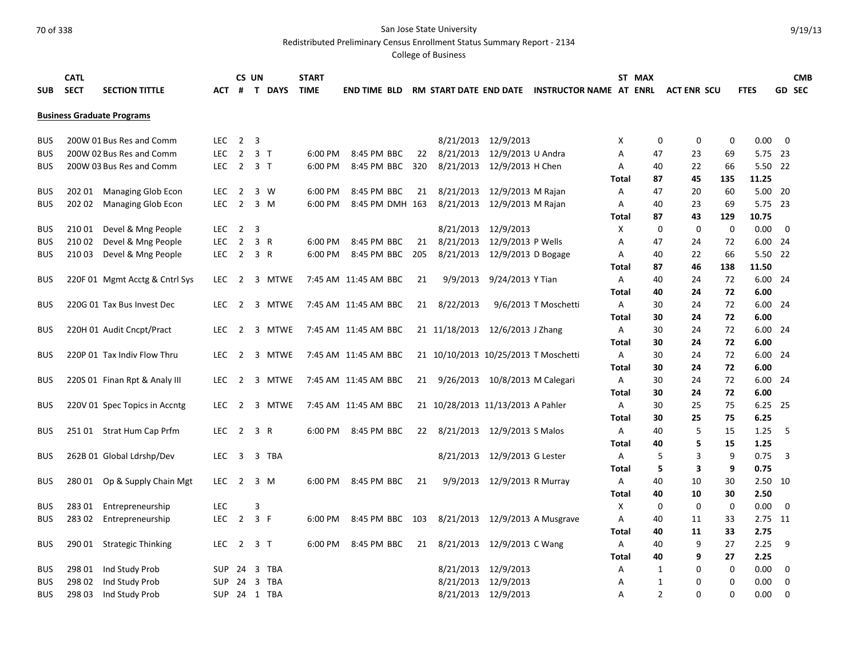Redistributed Preliminary Census Enrollment Status Summary Report - 2134

|            | <b>CATL</b> |                                   |            |                         | CS UN          |                | <b>START</b> |                      |     |                                      |                             |                                                |              | ST MAX         |                    |             |             |                         | <b>CMB</b>    |
|------------|-------------|-----------------------------------|------------|-------------------------|----------------|----------------|--------------|----------------------|-----|--------------------------------------|-----------------------------|------------------------------------------------|--------------|----------------|--------------------|-------------|-------------|-------------------------|---------------|
| <b>SUB</b> | <b>SECT</b> | <b>SECTION TITTLE</b>             | АСТ        | #                       |                | <b>T DAYS</b>  | <b>TIME</b>  | END TIME BLD         |     |                                      |                             | RM START DATE END DATE INSTRUCTOR NAME AT ENRL |              |                | <b>ACT ENR SCU</b> |             | <b>FTES</b> |                         | <b>GD SEC</b> |
|            |             |                                   |            |                         |                |                |              |                      |     |                                      |                             |                                                |              |                |                    |             |             |                         |               |
|            |             | <b>Business Graduate Programs</b> |            |                         |                |                |              |                      |     |                                      |                             |                                                |              |                |                    |             |             |                         |               |
|            |             |                                   |            |                         |                |                |              |                      |     |                                      |                             |                                                |              |                |                    |             |             |                         |               |
| <b>BUS</b> |             | 200W 01 Bus Res and Comm          | LEC.       | $\overline{2}$          | 3              |                |              |                      |     | 8/21/2013                            | 12/9/2013                   |                                                | Χ            | 0              | 0                  | 0           | 0.00        | $\overline{\mathbf{0}}$ |               |
| <b>BUS</b> |             | 200W 02 Bus Res and Comm          | <b>LEC</b> | $\overline{2}$          |                | 3 <sub>1</sub> | 6:00 PM      | 8:45 PM BBC          | 22  | 8/21/2013                            | 12/9/2013 U Andra           |                                                | А            | 47             | 23                 | 69          | 5.75 23     |                         |               |
| <b>BUS</b> |             | 200W 03 Bus Res and Comm          | <b>LEC</b> | $\overline{\mathbf{c}}$ |                | 3 <sub>1</sub> | 6:00 PM      | 8:45 PM BBC          | 320 | 8/21/2013                            | 12/9/2013 H Chen            |                                                | А            | 40             | 22                 | 66          | 5.50 22     |                         |               |
|            |             |                                   |            |                         |                |                |              |                      |     |                                      |                             |                                                | Total        | 87             | 45                 | 135         | 11.25       |                         |               |
| <b>BUS</b> | 202 01      | <b>Managing Glob Econ</b>         | <b>LEC</b> | $\overline{2}$          |                | 3 W            | 6:00 PM      | 8:45 PM BBC          | 21  | 8/21/2013                            | 12/9/2013 M Rajan           |                                                | Α            | 47             | 20                 | 60          | 5.00 20     |                         |               |
| <b>BUS</b> | 202 02      | Managing Glob Econ                | <b>LEC</b> | $\overline{2}$          |                | 3 M            | 6:00 PM      | 8:45 PM DMH 163      |     | 8/21/2013                            | 12/9/2013 M Rajan           |                                                | Α            | 40             | 23                 | 69          | 5.75 23     |                         |               |
|            |             |                                   |            |                         |                |                |              |                      |     |                                      |                             |                                                | Total        | 87             | 43                 | 129         | 10.75       |                         |               |
| <b>BUS</b> | 210 01      | Devel & Mng People                | <b>LEC</b> | $\overline{2}$          | 3              |                |              |                      |     | 8/21/2013                            | 12/9/2013                   |                                                | X            | $\mathbf 0$    | $\mathbf 0$        | $\mathbf 0$ | 0.00        | $\mathbf 0$             |               |
| <b>BUS</b> | 210 02      | Devel & Mng People                | <b>LEC</b> | $\overline{2}$          |                | 3 R            | 6:00 PM      | 8:45 PM BBC          | 21  | 8/21/2013                            | 12/9/2013 P Wells           |                                                | Α            | 47             | 24                 | 72          | 6.00 24     |                         |               |
| <b>BUS</b> | 210 03      | Devel & Mng People                | LEC 2 3 R  |                         |                |                | 6:00 PM      | 8:45 PM BBC 205      |     | 8/21/2013                            | 12/9/2013 D Bogage          |                                                | Α            | 40             | 22                 | 66          | 5.50 22     |                         |               |
|            |             |                                   |            |                         |                |                |              |                      |     |                                      |                             |                                                | <b>Total</b> | 87             | 46                 | 138         | 11.50       |                         |               |
| <b>BUS</b> |             | 220F 01 Mgmt Acctg & Cntrl Sys    | <b>LEC</b> | $\overline{2}$          |                | 3 MTWE         |              | 7:45 AM 11:45 AM BBC | 21  | 9/9/2013                             | 9/24/2013 Y Tian            |                                                | Α            | 40             | 24                 | 72          | 6.00 24     |                         |               |
|            |             |                                   |            |                         |                |                |              |                      |     |                                      |                             |                                                | Total        | 40             | 24                 | 72          | 6.00        |                         |               |
| <b>BUS</b> |             | 220G 01 Tax Bus Invest Dec        | LEC.       | 2                       |                | 3 MTWE         |              | 7:45 AM 11:45 AM BBC | 21  | 8/22/2013                            |                             | 9/6/2013 T Moschetti                           | Α            | 30             | 24                 | 72          | 6.00 24     |                         |               |
|            |             |                                   |            |                         |                |                |              |                      |     |                                      |                             |                                                | Total        | 30             | 24                 | 72          | 6.00        |                         |               |
| <b>BUS</b> |             | 220H 01 Audit Cncpt/Pract         | <b>LEC</b> | 2                       |                | 3 MTWE         |              | 7:45 AM 11:45 AM BBC |     | 21 11/18/2013                        | 12/6/2013 J Zhang           |                                                | Α            | 30             | 24                 | 72          | 6.00 24     |                         |               |
|            |             |                                   |            |                         |                |                |              |                      |     |                                      |                             |                                                | <b>Total</b> | 30             | 24                 | 72          | 6.00        |                         |               |
| <b>BUS</b> |             | 220P 01 Tax Indiv Flow Thru       | <b>LEC</b> | 2                       |                | 3 MTWE         |              | 7:45 AM 11:45 AM BBC |     | 21 10/10/2013 10/25/2013 T Moschetti |                             |                                                | A            | 30             | 24                 | 72          | 6.00 24     |                         |               |
|            |             |                                   |            |                         |                |                |              |                      |     |                                      |                             |                                                | Total        | 30             | 24                 | 72          | 6.00        |                         |               |
| <b>BUS</b> |             | 220S 01 Finan Rpt & Analy III     | <b>LEC</b> | 2                       |                | 3 MTWE         |              | 7:45 AM 11:45 AM BBC |     | 21 9/26/2013 10/8/2013 M Calegari    |                             |                                                | Α            | 30             | 24                 | 72          | 6.00 24     |                         |               |
|            |             |                                   |            |                         |                |                |              |                      |     |                                      |                             |                                                | Total        | 30             | 24                 | 72          | 6.00        |                         |               |
| <b>BUS</b> |             | 220V 01 Spec Topics in Accntg     | LEC.       | $\overline{2}$          |                | 3 MTWE         |              | 7:45 AM 11:45 AM BBC |     | 21 10/28/2013 11/13/2013 A Pahler    |                             |                                                | Α            | 30             | 25                 | 75          | 6.25 25     |                         |               |
|            |             |                                   |            |                         |                |                |              |                      |     |                                      |                             |                                                | Total        | 30             | 25                 | 75          | 6.25        |                         |               |
| <b>BUS</b> |             | 251 01 Strat Hum Cap Prfm         | <b>LEC</b> | $\overline{2}$          |                | 3 R            | $6:00$ PM    | 8:45 PM BBC          | 22  |                                      | 8/21/2013 12/9/2013 S Malos |                                                | Α            | 40             | 5                  | 15          | 1.25        | -5                      |               |
|            |             |                                   |            |                         |                |                |              |                      |     |                                      |                             |                                                | Total        | 40             | 5                  | 15          | 1.25        |                         |               |
| <b>BUS</b> |             | 262B 01 Global Ldrshp/Dev         | LEC.       | $\overline{\mathbf{3}}$ |                | 3 TBA          |              |                      |     | 8/21/2013                            | 12/9/2013 G Lester          |                                                | Α            | 5              | 3                  | 9           | 0.75        | 3                       |               |
|            |             |                                   |            |                         |                |                |              |                      |     |                                      |                             |                                                | Total        | 5              | 3                  | 9           | 0.75        |                         |               |
| <b>BUS</b> | 280 01      | Op & Supply Chain Mgt             | <b>LEC</b> | $\overline{2}$          |                | 3 M            | 6:00 PM      | 8:45 PM BBC          | 21  | 9/9/2013                             | 12/9/2013 R Murray          |                                                | Α            | 40             | 10                 | 30          | 2.50 10     |                         |               |
|            |             |                                   |            |                         |                |                |              |                      |     |                                      |                             |                                                | Total        | 40             | 10                 | 30          | 2.50        |                         |               |
| <b>BUS</b> | 28301       | Entrepreneurship                  | <b>LEC</b> |                         | 3              |                |              |                      |     |                                      |                             |                                                | X            | 0              | 0                  | $\mathbf 0$ | 0.00        | 0                       |               |
| <b>BUS</b> | 28302       | Entrepreneurship                  | <b>LEC</b> | $\overline{2}$          | 3 F            |                | 6:00 PM      | 8:45 PM BBC 103      |     | 8/21/2013                            |                             | 12/9/2013 A Musgrave                           | A            | 40             | 11                 | 33          | 2.75 11     |                         |               |
|            |             |                                   |            |                         |                |                |              |                      |     |                                      |                             |                                                | Total        | 40             | 11                 | 33          | 2.75        |                         |               |
| <b>BUS</b> | 290 01      | <b>Strategic Thinking</b>         | <b>LEC</b> | 2                       |                | 3 T            | 6:00 PM      | 8:45 PM BBC          | 21  | 8/21/2013                            | 12/9/2013 C Wang            |                                                | Α            | 40             | 9                  | 27          | 2.25        | 9                       |               |
|            |             |                                   |            |                         |                |                |              |                      |     |                                      |                             |                                                | Total        | 40             | 9                  | 27          | 2.25        |                         |               |
| <b>BUS</b> | 298 01      | Ind Study Prob                    | <b>SUP</b> | 24                      | $\overline{3}$ | TBA            |              |                      |     | 8/21/2013                            | 12/9/2013                   |                                                | Α            | 1              | 0                  | $\mathbf 0$ | 0.00        | 0                       |               |
| <b>BUS</b> | 298 02      | Ind Study Prob                    | <b>SUP</b> | 24                      | 3              | TBA            |              |                      |     | 8/21/2013                            | 12/9/2013                   |                                                | А            | 1              | 0                  | 0           | 0.00        | $\mathbf 0$             |               |
| <b>BUS</b> | 298 03      | Ind Study Prob                    |            |                         |                | SUP 24 1 TBA   |              |                      |     |                                      | 8/21/2013 12/9/2013         |                                                | A            | $\overline{2}$ | $\Omega$           | $\Omega$    | 0.00        | $\mathbf 0$             |               |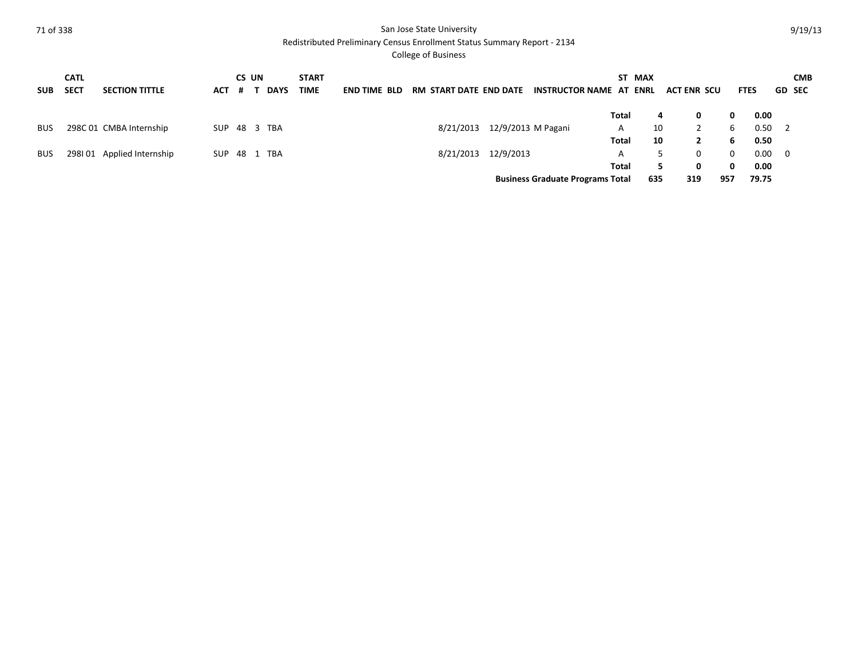Redistributed Preliminary Census Enrollment Status Summary Report - 2134

| <b>SUB</b> | <b>CATL</b><br><b>SECT</b> | <b>SECTION TITTLE</b>   | ACT | CS UN<br>-# | <b>DAYS</b> | <b>START</b><br><b>TIME</b> | <b>END TIME BLD</b> | RM START DATE END DATE |                    | <b>INSTRUCTOR NAME AT ENRL</b>          |       | ST MAX | <b>ACT ENR SCU</b> |     | <b>FTES</b> |       | <b>GD SEC</b>  | <b>CMB</b> |
|------------|----------------------------|-------------------------|-----|-------------|-------------|-----------------------------|---------------------|------------------------|--------------------|-----------------------------------------|-------|--------|--------------------|-----|-------------|-------|----------------|------------|
|            |                            |                         |     |             |             |                             |                     |                        |                    |                                         | Total |        | 4<br>0             |     | 0           | 0.00  |                |            |
| <b>BUS</b> |                            | 298C 01 CMBA Internship | SUP |             | 48 3 TBA    |                             |                     | 8/21/2013              | 12/9/2013 M Pagani |                                         | A     | 10     |                    |     | 6           | 0.50  | $\overline{2}$ |            |
|            |                            |                         |     |             |             |                             |                     |                        |                    |                                         | Total | 10     |                    |     | 6           | 0.50  |                |            |
| <b>BUS</b> | 298101                     | Applied Internship      | SUP | 48 1        | <b>TBA</b>  |                             |                     | 8/21/2013              | 12/9/2013          |                                         | A     |        | 0                  |     | 0           | 0.00  | - 0            |            |
|            |                            |                         |     |             |             |                             |                     |                        |                    |                                         | Total |        | 0<br>5.            |     | 0           | 0.00  |                |            |
|            |                            |                         |     |             |             |                             |                     |                        |                    | <b>Business Graduate Programs Total</b> |       | 635    | 319                | 957 |             | 79.75 |                |            |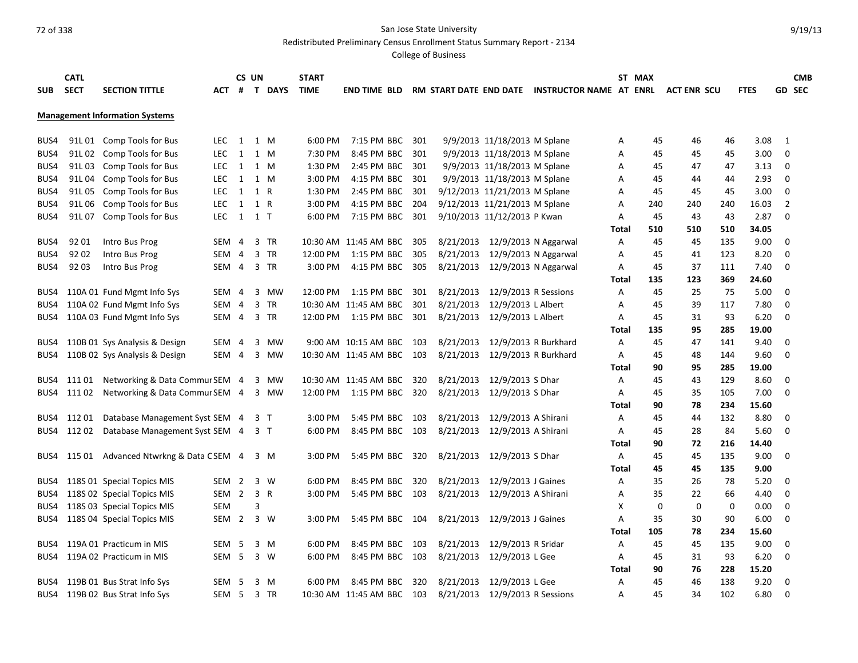Redistributed Preliminary Census Enrollment Status Summary Report - 2134

| <b>CATL</b>               |        |                                       |                  | CS UN |     |          | <b>START</b> |                           |     |           |                               |                                                |       | ST MAX |                    |     |             |                | <b>CMB</b>    |
|---------------------------|--------|---------------------------------------|------------------|-------|-----|----------|--------------|---------------------------|-----|-----------|-------------------------------|------------------------------------------------|-------|--------|--------------------|-----|-------------|----------------|---------------|
| <b>SECT</b><br><b>SUB</b> |        | <b>SECTION TITTLE</b>                 | ACT              |       |     | # T DAYS | <b>TIME</b>  | <b>END TIME BLD</b>       |     |           |                               | RM START DATE END DATE INSTRUCTOR NAME AT ENRL |       |        | <b>ACT ENR SCU</b> |     | <b>FTES</b> |                | <b>GD SEC</b> |
|                           |        |                                       |                  |       |     |          |              |                           |     |           |                               |                                                |       |        |                    |     |             |                |               |
|                           |        | <b>Management Information Systems</b> |                  |       |     |          |              |                           |     |           |                               |                                                |       |        |                    |     |             |                |               |
| BUS4                      |        | 91L 01 Comp Tools for Bus             | LEC.             | 1 1 M |     |          | 6:00 PM      | 7:15 PM BBC               | 301 |           | 9/9/2013 11/18/2013 M Splane  |                                                | А     | 45     | 46                 | 46  | 3.08        | 1              |               |
| BUS4                      | 91L 02 | Comp Tools for Bus                    | <b>LEC</b>       | 1     |     | 1 M      | 7:30 PM      | 8:45 PM BBC               | 301 |           | 9/9/2013 11/18/2013 M Splane  |                                                | А     | 45     | 45                 | 45  | 3.00        | 0              |               |
| BUS4                      | 91L03  | Comp Tools for Bus                    | <b>LEC</b>       | 1 1 M |     |          | 1:30 PM      | 2:45 PM BBC 301           |     |           | 9/9/2013 11/18/2013 M Splane  |                                                | Α     | 45     | 47                 | 47  | 3.13        | 0              |               |
| BUS4                      | 91L 04 | Comp Tools for Bus                    | LEC.             | 1     |     | 1 M      | 3:00 PM      | 4:15 PM BBC 301           |     |           | 9/9/2013 11/18/2013 M Splane  |                                                | А     | 45     | 44                 | 44  | 2.93        | 0              |               |
| BUS4                      | 91L 05 | Comp Tools for Bus                    | LEC.             | 1 1 R |     |          | 1:30 PM      | 2:45 PM BBC 301           |     |           | 9/12/2013 11/21/2013 M Splane |                                                | А     | 45     | 45                 | 45  | 3.00        | 0              |               |
| BUS4                      | 91L06  | Comp Tools for Bus                    | <b>LEC</b>       | 1     | 1 R |          | 3:00 PM      | 4:15 PM BBC 204           |     |           | 9/12/2013 11/21/2013 M Splane |                                                | А     | 240    | 240                | 240 | 16.03       | $\overline{2}$ |               |
| BUS4                      |        | 91L 07 Comp Tools for Bus             | <b>LEC</b>       | 1 1 T |     |          | 6:00 PM      | 7:15 PM BBC 301           |     |           | 9/10/2013 11/12/2013 P Kwan   |                                                | Α     | 45     | 43                 | 43  | 2.87        | $\Omega$       |               |
|                           |        |                                       |                  |       |     |          |              |                           |     |           |                               |                                                | Total | 510    | 510                | 510 | 34.05       |                |               |
| BUS4                      | 92 01  | Intro Bus Prog                        | SEM              | 4     |     | 3 TR     |              | 10:30 AM 11:45 AM BBC     | 305 | 8/21/2013 |                               | 12/9/2013 N Aggarwal                           | Α     | 45     | 45                 | 135 | 9.00        | 0              |               |
| BUS4                      | 9202   | Intro Bus Prog                        | SEM 4            |       |     | 3 TR     | 12:00 PM     | 1:15 PM BBC               | 305 | 8/21/2013 |                               | 12/9/2013 N Aggarwal                           | А     | 45     | 41                 | 123 | 8.20        | 0              |               |
| BUS4                      | 9203   | Intro Bus Prog                        | SEM 4            |       |     | 3 TR     | 3:00 PM      | 4:15 PM BBC               | 305 | 8/21/2013 | 12/9/2013 N Aggarwal          |                                                | A     | 45     | 37                 | 111 | 7.40        | 0              |               |
|                           |        |                                       |                  |       |     |          |              |                           |     |           |                               |                                                | Total | 135    | 123                | 369 | 24.60       |                |               |
| BUS4                      |        | 110A 01 Fund Mgmt Info Sys            | SEM 4            |       |     | 3 MW     | 12:00 PM     | 1:15 PM BBC               | 301 | 8/21/2013 | 12/9/2013 R Sessions          |                                                | А     | 45     | 25                 | 75  | 5.00        | 0              |               |
| BUS4                      |        | 110A 02 Fund Mgmt Info Sys            | SEM 4            |       |     | 3 TR     |              | 10:30 AM 11:45 AM BBC     | 301 | 8/21/2013 | 12/9/2013 L Albert            |                                                | А     | 45     | 39                 | 117 | 7.80        | $\Omega$       |               |
| BUS4                      |        | 110A 03 Fund Mgmt Info Sys            | SEM 4 3 TR       |       |     |          |              | 12:00 PM   1:15 PM BBC    | 301 | 8/21/2013 | 12/9/2013 L Albert            |                                                | А     | 45     | 31                 | 93  | 6.20        | $\Omega$       |               |
|                           |        |                                       |                  |       |     |          |              |                           |     |           |                               |                                                | Total | 135    | 95                 | 285 | 19.00       |                |               |
| BUS4                      |        | 110B 01 Sys Analysis & Design         | SEM              | 4     |     | 3 MW     |              | 9:00 AM 10:15 AM BBC      | 103 | 8/21/2013 |                               | 12/9/2013 R Burkhard                           | Α     | 45     | 47                 | 141 | 9.40        | 0              |               |
| BUS4                      |        | 110B 02 Sys Analysis & Design         | SEM 4            |       |     | 3 MW     |              | 10:30 AM 11:45 AM BBC 103 |     | 8/21/2013 |                               | 12/9/2013 R Burkhard                           | А     | 45     | 48                 | 144 | 9.60        | $\Omega$       |               |
|                           |        |                                       |                  |       |     |          |              |                           |     |           |                               |                                                | Total | 90     | 95                 | 285 | 19.00       |                |               |
| BUS4                      | 111 01 | Networking & Data Commur SEM 4        |                  |       |     | 3 MW     |              | 10:30 AM 11:45 AM BBC     | 320 | 8/21/2013 | 12/9/2013 S Dhar              |                                                | А     | 45     | 43                 | 129 | 8.60        | 0              |               |
| BUS4                      | 111 02 | Networking & Data Commur SEM 4        |                  |       |     | 3 MW     |              | 12:00 PM   1:15 PM BBC    | 320 | 8/21/2013 | 12/9/2013 S Dhar              |                                                | А     | 45     | 35                 | 105 | 7.00        | 0              |               |
|                           |        |                                       |                  |       |     |          |              |                           |     |           |                               |                                                | Total | 90     | 78                 | 234 | 15.60       |                |               |
| BUS4                      | 112 01 | Database Management Syst SEM 4 3 T    |                  |       |     |          | 3:00 PM      | 5:45 PM BBC 103           |     | 8/21/2013 | 12/9/2013 A Shirani           |                                                | А     | 45     | 44                 | 132 | 8.80        | 0              |               |
| BUS4                      | 11202  | Database Management Syst SEM 4 3 T    |                  |       |     |          | 6:00 PM      | 8:45 PM BBC 103           |     | 8/21/2013 | 12/9/2013 A Shirani           |                                                | А     | 45     | 28                 | 84  | 5.60        | $\mathbf 0$    |               |
|                           |        |                                       |                  |       |     |          |              |                           |     |           |                               |                                                | Total | 90     | 72                 | 216 | 14.40       |                |               |
| BUS4                      | 115 01 | Advanced Ntwrkng & Data CSEM 4        |                  |       |     | 3 M      | $3:00$ PM    | 5:45 PM BBC               | 320 | 8/21/2013 | 12/9/2013 S Dhar              |                                                | А     | 45     | 45                 | 135 | 9.00        | 0              |               |
|                           |        |                                       |                  |       |     |          |              |                           |     |           |                               |                                                | Total | 45     | 45                 | 135 | 9.00        |                |               |
| BUS4                      |        | 118S 01 Special Topics MIS            | SEM <sub>2</sub> |       |     | 3 W      | 6:00 PM      | 8:45 PM BBC               | 320 | 8/21/2013 | 12/9/2013 J Gaines            |                                                | Α     | 35     | 26                 | 78  | 5.20        | $\Omega$       |               |
| BUS4                      |        | 118S 02 Special Topics MIS            | SEM 2            |       | 3 R |          | 3:00 PM      | 5:45 PM BBC 103           |     | 8/21/2013 | 12/9/2013 A Shirani           |                                                | Α     | 35     | 22                 | 66  | 4.40        | 0              |               |
| BUS4                      |        | 118S 03 Special Topics MIS            | SEM              |       | 3   |          |              |                           |     |           |                               |                                                | Χ     | 0      | 0                  | 0   | 0.00        | 0              |               |
| BUS4                      |        | 118S 04 Special Topics MIS            | SEM 2            |       |     | 3 W      | 3:00 PM      | 5:45 PM BBC 104           |     | 8/21/2013 | 12/9/2013 J Gaines            |                                                | А     | 35     | 30                 | 90  | 6.00        | 0              |               |
|                           |        |                                       |                  |       |     |          |              |                           |     |           |                               |                                                | Total | 105    | 78                 | 234 | 15.60       |                |               |
| BUS4                      |        | 119A 01 Practicum in MIS              | SEM 5            |       |     | 3 M      | 6:00 PM      | 8:45 PM BBC               | 103 | 8/21/2013 | 12/9/2013 R Sridar            |                                                | А     | 45     | 45                 | 135 | 9.00        | 0              |               |
| BUS4                      |        | 119A 02 Practicum in MIS              | SEM <sub>5</sub> |       |     | $3 \ W$  | 6:00 PM      | 8:45 PM BBC 103           |     | 8/21/2013 | 12/9/2013 L Gee               |                                                | Α     | 45     | 31                 | 93  | 6.20        | 0              |               |
|                           |        |                                       |                  |       |     |          |              |                           |     |           |                               |                                                | Total | 90     | 76                 | 228 | 15.20       |                |               |
| BUS4                      |        | 119B 01 Bus Strat Info Sys            | SEM <sub>5</sub> |       |     | $3 \, M$ | 6:00 PM      | 8:45 PM BBC               | 320 | 8/21/2013 | 12/9/2013 L Gee               |                                                | A     | 45     | 46                 | 138 | 9.20        | 0              |               |
| BUS4                      |        | 119B 02 Bus Strat Info Sys            | SEM <sub>5</sub> |       |     | 3 TR     |              | 10:30 AM 11:45 AM BBC 103 |     | 8/21/2013 | 12/9/2013 R Sessions          |                                                | A     | 45     | 34                 | 102 | 6.80        | $\Omega$       |               |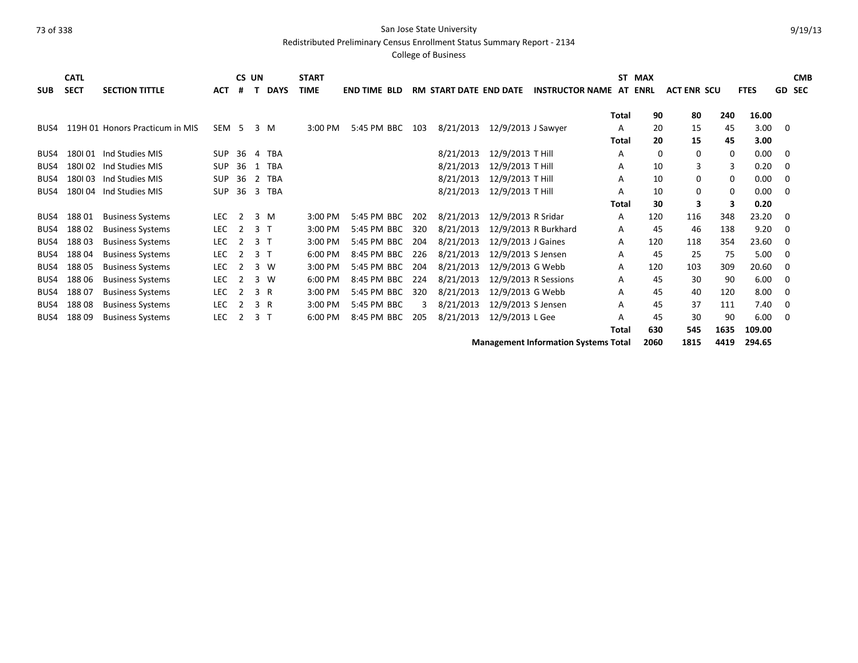Redistributed Preliminary Census Enrollment Status Summary Report - 2134

|            | <b>CATL</b> |                                 |            | CS UN          |                |             | <b>START</b> |                     |     |                               |                    |                                             |              | ST MAX      |                    |             |             |                         | <b>CMB</b> |
|------------|-------------|---------------------------------|------------|----------------|----------------|-------------|--------------|---------------------|-----|-------------------------------|--------------------|---------------------------------------------|--------------|-------------|--------------------|-------------|-------------|-------------------------|------------|
| <b>SUB</b> | <b>SECT</b> | <b>SECTION TITTLE</b>           | <b>ACT</b> | #              |                | <b>DAYS</b> | <b>TIME</b>  | <b>END TIME BLD</b> |     | <b>RM START DATE END DATE</b> |                    | <b>INSTRUCTOR NAME</b>                      | AT           | <b>ENRL</b> | <b>ACT ENR SCU</b> |             | <b>FTES</b> | <b>GD</b>               | <b>SEC</b> |
|            |             |                                 |            |                |                |             |              |                     |     |                               |                    |                                             | <b>Total</b> | 90          | 80                 | 240         | 16.00       |                         |            |
| BUS4       |             | 119H 01 Honors Practicum in MIS | SEM 5      |                |                | 3 M         | 3:00 PM      | 5:45 PM BBC         | 103 | 8/21/2013                     | 12/9/2013 J Sawyer |                                             | A            | 20          | 15                 | 45          | 3.00        | 0                       |            |
|            |             |                                 |            |                |                |             |              |                     |     |                               |                    |                                             | <b>Total</b> | 20          | 15                 | 45          | 3.00        |                         |            |
| BUS4       | 180101      | Ind Studies MIS                 | <b>SUP</b> | 36             | 4              | TBA         |              |                     |     | 8/21/2013                     | 12/9/2013 T Hill   |                                             | A            | $\Omega$    | 0                  | $\mathbf 0$ | 0.00        | - 0                     |            |
| BUS4       | 180102      | Ind Studies MIS                 | SUP        | 36             |                | 1 TBA       |              |                     |     | 8/21/2013                     | 12/9/2013 T Hill   |                                             | A            | 10          | 3                  | 3           | 0.20        | $\Omega$                |            |
| BUS4       | 180103      | Ind Studies MIS                 | <b>SUP</b> | 36             |                | 2 TBA       |              |                     |     | 8/21/2013                     | 12/9/2013 T Hill   |                                             | A            | 10          | 0                  | 0           | 0.00        | - 0                     |            |
| BUS4       | 180104      | Ind Studies MIS                 | <b>SUP</b> | 36             |                | 3 TBA       |              |                     |     | 8/21/2013                     | 12/9/2013 T Hill   |                                             | A            | 10          | 0                  | $\mathbf 0$ | 0.00        | - 0                     |            |
|            |             |                                 |            |                |                |             |              |                     |     |                               |                    |                                             | Total        | 30          | 3                  | 3           | 0.20        |                         |            |
| BUS4       | 18801       | <b>Business Systems</b>         | <b>LEC</b> | 2              |                | 3 M         | 3:00 PM      | 5:45 PM BBC         | 202 | 8/21/2013                     | 12/9/2013 R Sridar |                                             | A            | 120         | 116                | 348         | 23.20       | - 0                     |            |
| BUS4       | 18802       | <b>Business Systems</b>         | <b>LEC</b> | 2              | 3 T            |             | 3:00 PM      | 5:45 PM BBC         | 320 | 8/21/2013                     |                    | 12/9/2013 R Burkhard                        | Α            | 45          | 46                 | 138         | 9.20        | 0                       |            |
| BUS4       | 18803       | <b>Business Systems</b>         | <b>LEC</b> | 2              | 3 <sub>1</sub> |             | 3:00 PM      | 5:45 PM BBC         | 204 | 8/21/2013                     | 12/9/2013 J Gaines |                                             | A            | 120         | 118                | 354         | 23.60       | $\Omega$                |            |
| BUS4       | 18804       | <b>Business Systems</b>         | LEC        | 2              | 3 <sub>1</sub> |             | 6:00 PM      | 8:45 PM BBC 226     |     | 8/21/2013                     | 12/9/2013 S Jensen |                                             | A            | 45          | 25                 | 75          | 5.00        | $\overline{\mathbf{0}}$ |            |
| BUS4       | 18805       | <b>Business Systems</b>         | LEC        | 2              |                | 3 W         | 3:00 PM      | 5:45 PM BBC         | 204 | 8/21/2013                     | 12/9/2013 G Webb   |                                             | A            | 120         | 103                | 309         | 20.60       | $\Omega$                |            |
| BUS4       | 188 06      | <b>Business Systems</b>         | LEC        | 2              |                | 3 W         | 6:00 PM      | 8:45 PM BBC         | 224 | 8/21/2013                     |                    | 12/9/2013 R Sessions                        | Α            | 45          | 30                 | 90          | 6.00        | - 0                     |            |
| BUS4       | 18807       | <b>Business Systems</b>         | LEC        | $\overline{2}$ |                | 3 R         | 3:00 PM      | 5:45 PM BBC         | 320 | 8/21/2013                     | 12/9/2013 G Webb   |                                             | Α            | 45          | 40                 | 120         | 8.00        | - 0                     |            |
| BUS4       | 18808       | <b>Business Systems</b>         | LEC        | 2              |                | 3 R         | 3:00 PM      | 5:45 PM BBC         | 3   | 8/21/2013                     | 12/9/2013 S Jensen |                                             | A            | 45          | 37                 | 111         | 7.40        | - 0                     |            |
| BUS4       | 18809       | <b>Business Systems</b>         | LEC        | 2              | 3 <sub>1</sub> |             | $6:00$ PM    | 8:45 PM BBC         | 205 | 8/21/2013                     | 12/9/2013 L Gee    |                                             | А            | 45          | 30                 | 90          | 6.00        | - 0                     |            |
|            |             |                                 |            |                |                |             |              |                     |     |                               |                    |                                             | Total        | 630         | 545                | 1635        | 109.00      |                         |            |
|            |             |                                 |            |                |                |             |              |                     |     |                               |                    | <b>Management Information Systems Total</b> |              | 2060        | 1815               | 4419        | 294.65      |                         |            |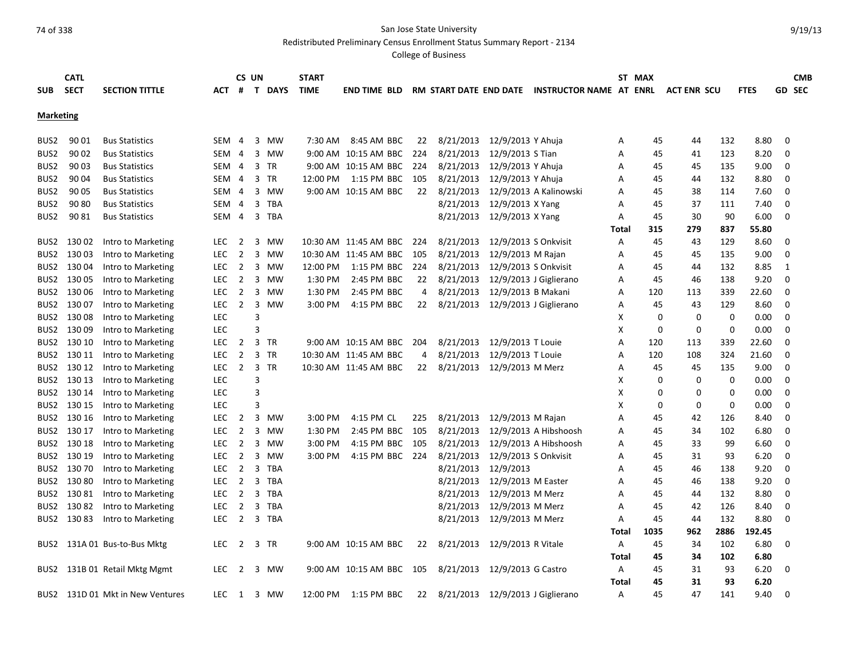Redistributed Preliminary Census Enrollment Status Summary Report - 2134

|                  | <b>CATL</b> |                                  |            |                | CS UN |         | <b>START</b> |                           |     |                                     |                      |                                                |                | ST MAX   |                    |      |             |             | <b>CMB</b>    |
|------------------|-------------|----------------------------------|------------|----------------|-------|---------|--------------|---------------------------|-----|-------------------------------------|----------------------|------------------------------------------------|----------------|----------|--------------------|------|-------------|-------------|---------------|
| <b>SUB</b>       | <b>SECT</b> | <b>SECTION TITTLE</b>            | АСТ        | #              |       | T DAYS  | <b>TIME</b>  | <b>END TIME BLD</b>       |     |                                     |                      | RM START DATE END DATE INSTRUCTOR NAME AT ENRL |                |          | <b>ACT ENR SCU</b> |      | <b>FTES</b> |             | <b>GD SEC</b> |
|                  |             |                                  |            |                |       |         |              |                           |     |                                     |                      |                                                |                |          |                    |      |             |             |               |
| <b>Marketing</b> |             |                                  |            |                |       |         |              |                           |     |                                     |                      |                                                |                |          |                    |      |             |             |               |
|                  |             |                                  |            |                |       |         |              |                           |     |                                     |                      |                                                |                |          |                    |      |             |             |               |
| BUS2             | 90 01       | <b>Bus Statistics</b>            | SEM 4      |                |       | 3 MW    | 7:30 AM      | 8:45 AM BBC               | 22  | 8/21/2013                           | 12/9/2013 Y Ahuja    |                                                | Α              | 45       | 44                 | 132  | 8.80        | 0           |               |
| BUS2             | 90 02       | <b>Bus Statistics</b>            | SEM 4      |                |       | 3 MW    |              | 9:00 AM 10:15 AM BBC      | 224 | 8/21/2013                           | 12/9/2013 S Tian     |                                                | A              | 45       | 41                 | 123  | 8.20        | 0           |               |
| BUS2             | 90 03       | <b>Bus Statistics</b>            | SEM 4      |                |       | 3 TR    |              | 9:00 AM 10:15 AM BBC 224  |     | 8/21/2013                           | 12/9/2013 Y Ahuja    |                                                | A              | 45       | 45                 | 135  | 9.00        | 0           |               |
| BUS2             | 90 04       | <b>Bus Statistics</b>            | SEM 4      |                |       | 3 TR    | 12:00 PM     | 1:15 PM BBC 105           |     | 8/21/2013                           | 12/9/2013 Y Ahuja    |                                                | Α              | 45       | 44                 | 132  | 8.80        | 0           |               |
| BUS2             | 90 05       | <b>Bus Statistics</b>            | SEM 4      |                |       | 3 MW    |              | 9:00 AM 10:15 AM BBC      | 22  | 8/21/2013                           |                      | 12/9/2013 A Kalinowski                         | A              | 45       | 38                 | 114  | 7.60        | $\mathbf 0$ |               |
| BUS2             | 9080        | <b>Bus Statistics</b>            | SEM 4      |                |       | 3 TBA   |              |                           |     | 8/21/2013                           | 12/9/2013 X Yang     |                                                | Α              | 45       | 37                 | 111  | 7.40        | $\mathbf 0$ |               |
| BUS2             | 9081        | <b>Bus Statistics</b>            | SEM 4      |                |       | 3 TBA   |              |                           |     | 8/21/2013                           | 12/9/2013 X Yang     |                                                | Α              | 45       | 30                 | 90   | 6.00        | $\mathbf 0$ |               |
|                  |             |                                  |            |                |       |         |              |                           |     |                                     |                      |                                                | Total          | 315      | 279                | 837  | 55.80       |             |               |
|                  | BUS2 130 02 | Intro to Marketing               | <b>LEC</b> | $\overline{2}$ | 3     | MW      |              | 10:30 AM 11:45 AM BBC 224 |     | 8/21/2013                           | 12/9/2013 S Onkvisit |                                                | Α              | 45       | 43                 | 129  | 8.60        | 0           |               |
|                  | BUS2 130 03 | Intro to Marketing               | LEC        | $\overline{2}$ |       | 3 MW    |              | 10:30 AM 11:45 AM BBC     | 105 | 8/21/2013                           | 12/9/2013 M Rajan    |                                                | A              | 45       | 45                 | 135  | 9.00        | 0           |               |
|                  | BUS2 130 04 | Intro to Marketing               | <b>LEC</b> | $\overline{2}$ | 3     | MW      | 12:00 PM     | 1:15 PM BBC               | 224 | 8/21/2013                           | 12/9/2013 S Onkvisit |                                                | А              | 45       | 44                 | 132  | 8.85        | 1           |               |
|                  | BUS2 130 05 | Intro to Marketing               | <b>LEC</b> | $\overline{2}$ |       | 3 MW    | 1:30 PM      | 2:45 PM BBC               | 22  | 8/21/2013                           |                      | 12/9/2013 J Giglierano                         | A              | 45       | 46                 | 138  | 9.20        | $\mathbf 0$ |               |
|                  | BUS2 130 06 | Intro to Marketing               | LEC        | $\overline{2}$ |       | 3 MW    | 1:30 PM      | 2:45 PM BBC               | 4   | 8/21/2013                           | 12/9/2013 B Makani   |                                                | Α              | 120      | 113                | 339  | 22.60       | $\mathbf 0$ |               |
|                  | BUS2 130 07 | Intro to Marketing               | LEC.       | $\overline{2}$ |       | 3 MW    | $3:00$ PM    | 4:15 PM BBC               | 22  | 8/21/2013                           |                      | 12/9/2013 J Giglierano                         | A              | 45       | 43                 | 129  | 8.60        | $\mathbf 0$ |               |
|                  | BUS2 130 08 | Intro to Marketing               | LEC        |                | 3     |         |              |                           |     |                                     |                      |                                                | х              | $\Omega$ | 0                  | 0    | 0.00        | 0           |               |
|                  | BUS2 130 09 | Intro to Marketing               | <b>LEC</b> |                | 3     |         |              |                           |     |                                     |                      |                                                | X              | 0        | $\mathbf 0$        | 0    | 0.00        | 0           |               |
|                  | BUS2 130 10 | Intro to Marketing               | <b>LEC</b> | $\overline{2}$ |       | 3 TR    |              | 9:00 AM 10:15 AM BBC      | 204 | 8/21/2013                           | 12/9/2013 T Louie    |                                                | A              | 120      | 113                | 339  | 22.60       | $\mathbf 0$ |               |
|                  | BUS2 130 11 | Intro to Marketing               | <b>LEC</b> | 2              |       | 3 TR    |              | 10:30 AM 11:45 AM BBC     | 4   | 8/21/2013                           | 12/9/2013 T Louie    |                                                | Α              | 120      | 108                | 324  | 21.60       | $\mathbf 0$ |               |
|                  | BUS2 130 12 | Intro to Marketing               | LEC        | $\overline{2}$ |       | 3 TR    |              | 10:30 AM 11:45 AM BBC     | 22  | 8/21/2013                           | 12/9/2013 M Merz     |                                                | A              | 45       | 45                 | 135  | 9.00        | $\mathbf 0$ |               |
|                  | BUS2 130 13 | Intro to Marketing               | <b>LEC</b> |                | 3     |         |              |                           |     |                                     |                      |                                                | X              | $\Omega$ | $\Omega$           | 0    | 0.00        | $\mathbf 0$ |               |
|                  | BUS2 130 14 | Intro to Marketing               | <b>LEC</b> |                | 3     |         |              |                           |     |                                     |                      |                                                | X              | 0        | $\Omega$           | 0    | 0.00        | $\mathbf 0$ |               |
|                  | BUS2 130 15 | Intro to Marketing               | <b>LEC</b> |                | 3     |         |              |                           |     |                                     |                      |                                                | X              | 0        | 0                  | 0    | 0.00        | $\mathbf 0$ |               |
|                  | BUS2 130 16 | Intro to Marketing               | LEC.       | $\overline{2}$ |       | 3 MW    | $3:00$ PM    | 4:15 PM CL                | 225 | 8/21/2013                           | 12/9/2013 M Rajan    |                                                | A              | 45       | 42                 | 126  | 8.40        | $\mathbf 0$ |               |
|                  | BUS2 130 17 | Intro to Marketing               | <b>LEC</b> | $\overline{2}$ | 3     | MW      | 1:30 PM      | 2:45 PM BBC 105           |     | 8/21/2013                           |                      | 12/9/2013 A Hibshoosh                          | A              | 45       | 34                 | 102  | 6.80        | 0           |               |
|                  | BUS2 130 18 | Intro to Marketing               | <b>LEC</b> | $\overline{2}$ |       | 3 MW    | 3:00 PM      | 4:15 PM BBC 105           |     | 8/21/2013                           |                      | 12/9/2013 A Hibshoosh                          | A              | 45       | 33                 | 99   | 6.60        | 0           |               |
|                  | BUS2 130 19 | Intro to Marketing               | LEC.       | $\overline{2}$ |       | 3 MW    | $3:00$ PM    | 4:15 PM BBC 224           |     | 8/21/2013                           | 12/9/2013 S Onkvisit |                                                | A              | 45       | 31                 | 93   | 6.20        | $\mathbf 0$ |               |
|                  | BUS2 130 70 | Intro to Marketing               | <b>LEC</b> | 2              |       | 3 TBA   |              |                           |     | 8/21/2013                           | 12/9/2013            |                                                | A              | 45       | 46                 | 138  | 9.20        | $\mathbf 0$ |               |
|                  | BUS2 130 80 | Intro to Marketing               | LEC        | $\overline{2}$ | 3     | TBA     |              |                           |     | 8/21/2013                           | 12/9/2013 M Easter   |                                                | Α              | 45       | 46                 | 138  | 9.20        | $\mathbf 0$ |               |
|                  | BUS2 130 81 | Intro to Marketing               | <b>LEC</b> | $\overline{2}$ | 3     | TBA     |              |                           |     | 8/21/2013                           | 12/9/2013 M Merz     |                                                | A              | 45       | 44                 | 132  | 8.80        | $\mathbf 0$ |               |
|                  | BUS2 130 82 | Intro to Marketing               | <b>LEC</b> | $\overline{2}$ |       | 3 TBA   |              |                           |     | 8/21/2013                           | 12/9/2013 M Merz     |                                                | A              | 45       | 42                 | 126  | 8.40        | $\mathbf 0$ |               |
|                  | BUS2 130 83 | Intro to Marketing               | <b>LEC</b> |                |       | 2 3 TBA |              |                           |     | 8/21/2013                           | 12/9/2013 M Merz     |                                                | $\overline{A}$ | 45       | 44                 | 132  | 8.80        | $\Omega$    |               |
|                  |             |                                  |            |                |       |         |              |                           |     |                                     |                      |                                                | Total          | 1035     | 962                | 2886 | 192.45      |             |               |
|                  |             | BUS2 131A 01 Bus-to-Bus Mktg     | LEC.       | 2              |       | 3 TR    |              | 9:00 AM 10:15 AM BBC      | 22  | 8/21/2013                           | 12/9/2013 R Vitale   |                                                | A              | 45       | 34                 | 102  | 6.80        | $\mathbf 0$ |               |
|                  |             |                                  |            |                |       |         |              |                           |     |                                     |                      |                                                | Total          | 45       | 34                 | 102  | 6.80        |             |               |
|                  |             | BUS2 131B 01 Retail Mktg Mgmt    | LEC.       | $\overline{2}$ |       | 3 MW    |              | 9:00 AM 10:15 AM BBC 105  |     | 8/21/2013 12/9/2013 G Castro        |                      |                                                | Α              | 45       | 31                 | 93   | 6.20        | 0           |               |
|                  |             |                                  |            |                |       |         |              |                           |     |                                     |                      |                                                | Total          | 45       | 31                 | 93   | 6.20        |             |               |
|                  |             | BUS2 131D 01 Mkt in New Ventures | LEC.       | 1              |       | 3 MW    | 12:00 PM     | 1:15 PM BBC               |     | 22 8/21/2013 12/9/2013 J Giglierano |                      |                                                | A              | 45       | 47                 | 141  | 9.40        | $\Omega$    |               |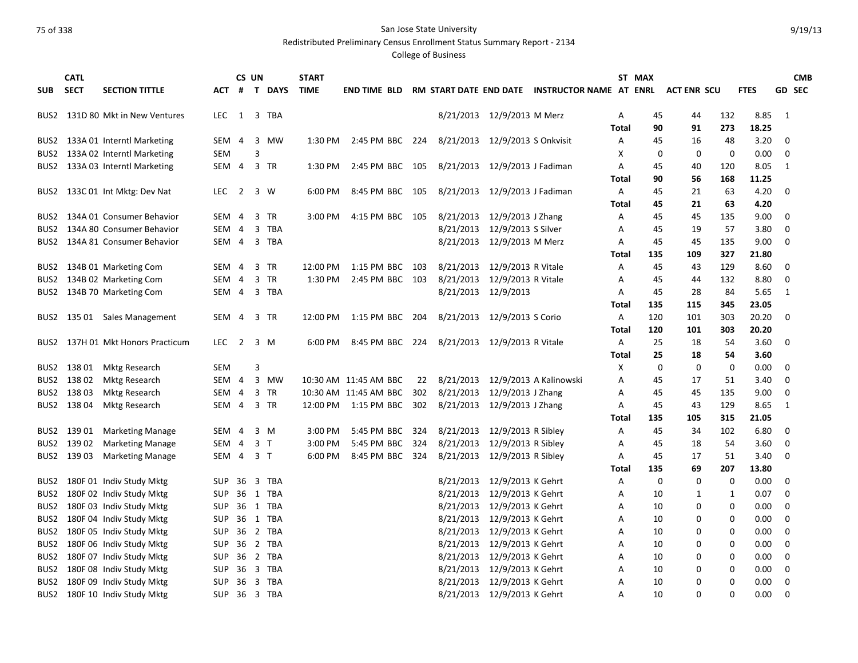Redistributed Preliminary Census Enrollment Status Summary Report - 2134

|                  | <b>CATL</b> |                                 |            | CS UN          |   |                | <b>START</b> |                        |     |                                |                             |                                                |              | ST MAX      |                    |          |             |             | <b>CMB</b>    |
|------------------|-------------|---------------------------------|------------|----------------|---|----------------|--------------|------------------------|-----|--------------------------------|-----------------------------|------------------------------------------------|--------------|-------------|--------------------|----------|-------------|-------------|---------------|
| <b>SUB</b>       | <b>SECT</b> | <b>SECTION TITTLE</b>           | ACT        |                |   | # T DAYS       | <b>TIME</b>  | <b>END TIME BLD</b>    |     |                                |                             | RM START DATE END DATE INSTRUCTOR NAME AT ENRL |              |             | <b>ACT ENR SCU</b> |          | <b>FTES</b> |             | <b>GD SEC</b> |
|                  |             |                                 |            |                |   |                |              |                        |     |                                |                             |                                                |              |             |                    |          |             |             |               |
| BUS2             |             | 131D 80 Mkt in New Ventures     | LEC.       | 1              |   | 3 TBA          |              |                        |     |                                | 8/21/2013 12/9/2013 M Merz  |                                                | Α            | 45          | 44                 | 132      | 8.85        | - 1         |               |
|                  |             |                                 |            |                |   |                |              |                        |     |                                |                             |                                                | Total        | 90          | 91                 | 273      | 18.25       |             |               |
| BUS2             |             | 133A 01 Interntl Marketing      | SEM 4      |                | 3 | MW             | 1:30 PM      | 2:45 PM BBC 224        |     | 8/21/2013 12/9/2013 S Onkvisit |                             |                                                | Α            | 45          | 16                 | 48       | 3.20        | 0           |               |
|                  |             | BUS2 133A 02 Interntl Marketing | SEM        |                | 3 |                |              |                        |     |                                |                             |                                                | х            | $\mathbf 0$ | $\mathbf 0$        | 0        | 0.00        | $\mathbf 0$ |               |
|                  |             | BUS2 133A 03 Interntl Marketing | SEM        | $\overline{4}$ |   | 3 TR           | 1:30 PM      | 2:45 PM BBC 105        |     | 8/21/2013 12/9/2013 J Fadiman  |                             |                                                | A            | 45          | 40                 | 120      | 8.05        | 1           |               |
|                  |             |                                 |            |                |   |                |              |                        |     |                                |                             |                                                | Total        | 90          | 56                 | 168      | 11.25       |             |               |
|                  |             | BUS2 133C 01 Int Mktg: Dev Nat  | <b>LEC</b> | $\overline{2}$ |   | 3 W            | 6:00 PM      | 8:45 PM BBC 105        |     | 8/21/2013 12/9/2013 J Fadiman  |                             |                                                | Α            | 45          | 21                 | 63       | 4.20        | $\Omega$    |               |
|                  |             |                                 |            |                |   |                |              |                        |     |                                |                             |                                                | <b>Total</b> | 45          | 21                 | 63       | 4.20        |             |               |
| BUS2             |             | 134A 01 Consumer Behavior       | SEM        | -4             | 3 | TR             | $3:00$ PM    | 4:15 PM BBC 105        |     | 8/21/2013                      | 12/9/2013 J Zhang           |                                                | A            | 45          | 45                 | 135      | 9.00        | 0           |               |
| BUS <sub>2</sub> |             | 134A 80 Consumer Behavior       | SEM        | $\overline{4}$ |   | 3 TBA          |              |                        |     | 8/21/2013                      | 12/9/2013 S Silver          |                                                | Α            | 45          | 19                 | 57       | 3.80        | 0           |               |
|                  |             | BUS2 134A 81 Consumer Behavior  |            |                |   | SEM 4 3 TBA    |              |                        |     | 8/21/2013 12/9/2013 M Merz     |                             |                                                | A            | 45          | 45                 | 135      | 9.00        | $\mathbf 0$ |               |
|                  |             |                                 |            |                |   |                |              |                        |     |                                |                             |                                                | Total        | 135         | 109                | 327      | 21.80       |             |               |
|                  |             | BUS2 134B 01 Marketing Com      | SEM 4      |                |   | 3 TR           | 12:00 PM     | 1:15 PM BBC 103        |     | 8/21/2013                      | 12/9/2013 R Vitale          |                                                | Α            | 45          | 43                 | 129      | 8.60        | 0           |               |
| BUS2             |             | 134B 02 Marketing Com           | SEM 4      |                |   | 3 TR           | 1:30 PM      | 2:45 PM BBC 103        |     | 8/21/2013                      | 12/9/2013 R Vitale          |                                                | Α            | 45          | 44                 | 132      | 8.80        | $\mathbf 0$ |               |
|                  |             | BUS2 134B 70 Marketing Com      | SEM 4      |                |   | 3 TBA          |              |                        |     | 8/21/2013 12/9/2013            |                             |                                                | Α            | 45          | 28                 | 84       | 5.65        | 1           |               |
|                  |             |                                 |            |                |   |                |              |                        |     |                                |                             |                                                | Total        | 135         | 115                | 345      | 23.05       |             |               |
|                  |             | BUS2 135 01 Sales Management    | SEM 4      |                |   | 3 TR           | 12:00 PM     | 1:15 PM BBC            | 204 | 8/21/2013 12/9/2013 S Corio    |                             |                                                | Α            | 120         | 101                | 303      | 20.20       | $\mathbf 0$ |               |
|                  |             |                                 |            |                |   |                |              |                        |     |                                |                             |                                                | Total        | 120         | 101                | 303      | 20.20       |             |               |
| BUS2             |             | 137H 01 Mkt Honors Practicum    | <b>LEC</b> | $\overline{2}$ |   | 3 M            | 6:00 PM      | 8:45 PM BBC            | 224 | 8/21/2013 12/9/2013 R Vitale   |                             |                                                | Α            | 25          | 18                 | 54       | 3.60        | 0           |               |
|                  |             |                                 |            |                |   |                |              |                        |     |                                |                             |                                                | Total        | 25          | 18                 | 54       | 3.60        |             |               |
|                  | BUS2 138 01 | Mktg Research                   | <b>SEM</b> |                | 3 |                |              |                        |     |                                |                             |                                                | X            | 0           | 0                  | 0        | 0.00        | 0           |               |
|                  | BUS2 13802  | Mktg Research                   | SEM 4      |                |   | 3 MW           |              | 10:30 AM 11:45 AM BBC  | 22  |                                |                             | 8/21/2013 12/9/2013 A Kalinowski               | Α            | 45          | 17                 | 51       | 3.40        | 0           |               |
|                  | BUS2 138 03 | Mktg Research                   | SEM        | $\overline{4}$ |   | 3 TR           |              | 10:30 AM 11:45 AM BBC  | 302 | 8/21/2013                      | 12/9/2013 J Zhang           |                                                | A            | 45          | 45                 | 135      | 9.00        | 0           |               |
|                  | BUS2 138 04 | <b>Mktg Research</b>            | SEM        | 4              |   | 3 TR           |              | 12:00 PM   1:15 PM BBC | 302 | 8/21/2013                      | 12/9/2013 J Zhang           |                                                | Α            | 45          | 43                 | 129      | 8.65        | 1           |               |
|                  |             |                                 |            |                |   |                |              |                        |     |                                |                             |                                                | <b>Total</b> | 135         | 105                | 315      | 21.05       |             |               |
|                  | BUS2 139 01 | <b>Marketing Manage</b>         | SEM        | -4             |   | 3 M            | 3:00 PM      | 5:45 PM BBC            | 324 | 8/21/2013                      | 12/9/2013 R Sibley          |                                                | A            | 45          | 34                 | 102      | 6.80        | 0           |               |
|                  | BUS2 139 02 | <b>Marketing Manage</b>         | SEM 4      |                |   | 3 <sub>1</sub> | 3:00 PM      | 5:45 PM BBC            | 324 | 8/21/2013                      | 12/9/2013 R Sibley          |                                                | A            | 45          | 18                 | 54       | 3.60        | $\mathbf 0$ |               |
|                  | BUS2 139 03 | <b>Marketing Manage</b>         | SEM 4      |                |   | 3 <sub>1</sub> | 6:00 PM      | 8:45 PM BBC 324        |     | 8/21/2013                      | 12/9/2013 R Sibley          |                                                | A            | 45          | 17                 | 51       | 3.40        | $\mathbf 0$ |               |
|                  |             |                                 |            |                |   |                |              |                        |     |                                |                             |                                                | Total        | 135         | 69                 | 207      | 13.80       |             |               |
| BUS2             |             | 180F 01 Indiv Study Mktg        | SUP        |                |   | 36 3 TBA       |              |                        |     | 8/21/2013                      | 12/9/2013 K Gehrt           |                                                | Α            | 0           | 0                  | 0        | 0.00        | 0           |               |
|                  |             | BUS2 180F 02 Indiv Study Mktg   | <b>SUP</b> |                |   | 36 1 TBA       |              |                        |     |                                | 8/21/2013 12/9/2013 K Gehrt |                                                | A            | 10          | 1                  | 1        | 0.07        | 0           |               |
| BUS2             |             | 180F 03 Indiv Study Mktg        | <b>SUP</b> |                |   | 36 1 TBA       |              |                        |     | 8/21/2013                      | 12/9/2013 K Gehrt           |                                                | A            | 10          | 0                  | 0        | 0.00        | 0           |               |
|                  |             | BUS2 180F 04 Indiv Study Mktg   | <b>SUP</b> |                |   | 36 1 TBA       |              |                        |     | 8/21/2013                      | 12/9/2013 K Gehrt           |                                                | A            | 10          | 0                  | 0        | 0.00        | 0           |               |
| BUS2             |             | 180F 05 Indiv Study Mktg        | SUP        |                |   | 36 2 TBA       |              |                        |     | 8/21/2013                      | 12/9/2013 K Gehrt           |                                                | Α            | 10          | 0                  | 0        | 0.00        | 0           |               |
| BUS2             |             | 180F 06 Indiv Study Mktg        | <b>SUP</b> |                |   | 36 2 TBA       |              |                        |     |                                | 8/21/2013 12/9/2013 K Gehrt |                                                | Α            | 10          | 0                  | 0        | 0.00        | 0           |               |
| BUS2             |             | 180F 07 Indiv Study Mktg        | <b>SUP</b> | 36             |   | 2 TBA          |              |                        |     | 8/21/2013                      | 12/9/2013 K Gehrt           |                                                | A            | 10          | 0                  | 0        | 0.00        | 0           |               |
| BUS2             |             | 180F 08 Indiv Study Mktg        | SUP        | -36            |   | 3 TBA          |              |                        |     | 8/21/2013                      | 12/9/2013 K Gehrt           |                                                | A            | 10          | 0                  | 0        | 0.00        | $\mathbf 0$ |               |
|                  |             | BUS2 180F 09 Indiv Study Mktg   | <b>SUP</b> |                |   | 36 3 TBA       |              |                        |     | 8/21/2013                      | 12/9/2013 K Gehrt           |                                                | A            | 10          | $\Omega$           | $\Omega$ | 0.00        | $\mathbf 0$ |               |
|                  |             | BUS2 180F 10 Indiv Study Mktg   | <b>SUP</b> |                |   | 36 3 TBA       |              |                        |     | 8/21/2013 12/9/2013 K Gehrt    |                             |                                                | A            | 10          | $\Omega$           | 0        | 0.00        | $\Omega$    |               |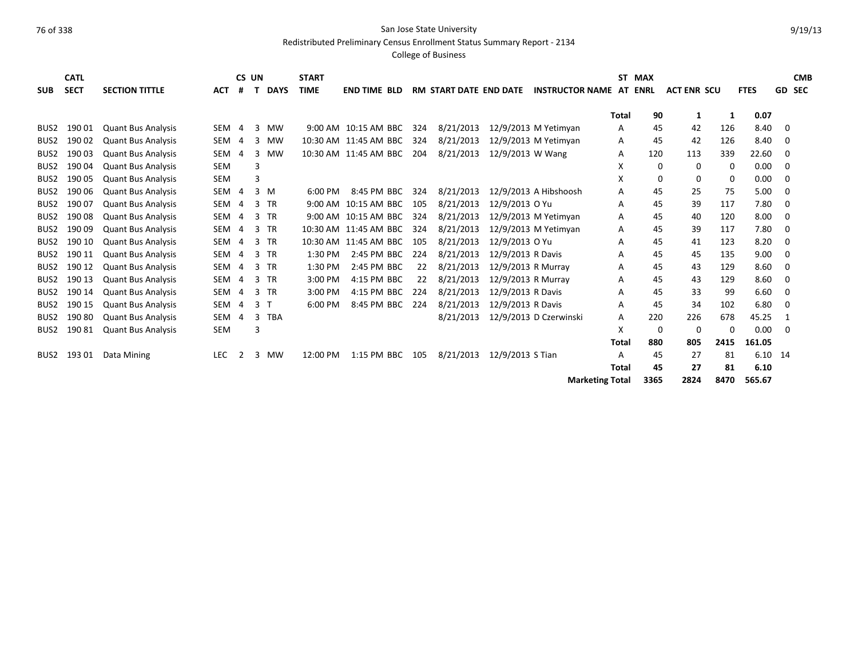Redistributed Preliminary Census Enrollment Status Summary Report - 2134

|                  | <b>CATL</b> |                           |                  |                | CS UN |                | <b>START</b>        |                       |     |                               |                    |                                |              | ST MAX   |                    |          |             |          | <b>CMB</b> |
|------------------|-------------|---------------------------|------------------|----------------|-------|----------------|---------------------|-----------------------|-----|-------------------------------|--------------------|--------------------------------|--------------|----------|--------------------|----------|-------------|----------|------------|
| <b>SUB</b>       | <b>SECT</b> | <b>SECTION TITTLE</b>     | <b>ACT</b>       | #              | т     | <b>DAYS</b>    | <b>TIME</b>         | <b>END TIME BLD</b>   |     | <b>RM START DATE END DATE</b> |                    | <b>INSTRUCTOR NAME AT ENRL</b> |              |          | <b>ACT ENR SCU</b> |          | <b>FTES</b> | GD       | <b>SEC</b> |
|                  |             |                           |                  |                |       |                |                     |                       |     |                               |                    |                                |              |          |                    |          |             |          |            |
|                  |             |                           |                  |                |       |                |                     |                       |     |                               |                    |                                | <b>Total</b> | 90       | 1                  | 1        | 0.07        |          |            |
| BUS <sub>2</sub> | 190 01      | <b>Quant Bus Analysis</b> | SEM              | -4             | 3     | MW             |                     | 9:00 AM 10:15 AM BBC  | 324 | 8/21/2013                     |                    | 12/9/2013 M Yetimyan           | A            | 45       | 42                 | 126      | 8.40        | 0        |            |
| BUS <sub>2</sub> | 190 02      | <b>Quant Bus Analysis</b> | SEM              | -4             | 3     | MW             |                     | 10:30 AM 11:45 AM BBC | 324 | 8/21/2013                     |                    | 12/9/2013 M Yetimvan           | A            | 45       | 42                 | 126      | 8.40        | 0        |            |
| BUS <sub>2</sub> | 190 03      | <b>Quant Bus Analysis</b> | SEM              | -4             | 3     | MW             |                     | 10:30 AM 11:45 AM BBC | 204 | 8/21/2013                     | 12/9/2013 W Wang   |                                | Α            | 120      | 113                | 339      | 22.60       | $\Omega$ |            |
| BUS <sub>2</sub> | 190 04      | <b>Quant Bus Analysis</b> | <b>SEM</b>       |                | 3     |                |                     |                       |     |                               |                    |                                | X            | 0        | $\Omega$           | $\Omega$ | 0.00        | $\Omega$ |            |
| BUS <sub>2</sub> | 190 05      | <b>Quant Bus Analysis</b> | <b>SEM</b>       |                | 3     |                |                     |                       |     |                               |                    |                                | X            | 0        | 0                  | 0        | 0.00        | 0        |            |
| BUS <sub>2</sub> | 190 06      | <b>Quant Bus Analysis</b> | <b>SEM</b>       | $\overline{a}$ |       | $3 \, M$       | $6:00 \, \text{PM}$ | 8:45 PM BBC           | 324 | 8/21/2013                     |                    | 12/9/2013 A Hibshoosh          | A            | 45       | 25                 | 75       | 5.00        | 0        |            |
| BUS <sub>2</sub> | 190 07      | <b>Quant Bus Analysis</b> | SEM              | -4             |       | 3 TR           | $9:00 \text{ AM}$   | 10:15 AM BBC          | 105 | 8/21/2013                     | 12/9/2013 O Yu     |                                | A            | 45       | 39                 | 117      | 7.80        | 0        |            |
| BUS <sub>2</sub> | 190 08      | <b>Quant Bus Analysis</b> | SEM              | -4             |       | $3$ TR         |                     | 9:00 AM 10:15 AM BBC  | 324 | 8/21/2013                     |                    | 12/9/2013 M Yetimyan           | A            | 45       | 40                 | 120      | 8.00        | 0        |            |
| BUS <sub>2</sub> | 190 09      | <b>Quant Bus Analysis</b> | <b>SEM</b>       | -4             |       | 3 TR           |                     | 10:30 AM 11:45 AM BBC | 324 | 8/21/2013                     |                    | 12/9/2013 M Yetimyan           | A            | 45       | 39                 | 117      | 7.80        | 0        |            |
| BUS <sub>2</sub> | 190 10      | <b>Quant Bus Analysis</b> | SEM <sub>4</sub> |                |       | $3$ TR         |                     | 10:30 AM 11:45 AM BBC | 105 | 8/21/2013                     | 12/9/2013 O Yu     |                                | A            | 45       | 41                 | 123      | 8.20        | 0        |            |
| BUS <sub>2</sub> | 190 11      | <b>Quant Bus Analysis</b> | SEM              | -4             |       | $3$ TR         | 1:30 PM             | 2:45 PM BBC           | 224 | 8/21/2013                     | 12/9/2013 R Davis  |                                | A            | 45       | 45                 | 135      | 9.00        | 0        |            |
| BUS <sub>2</sub> | 190 12      | <b>Quant Bus Analysis</b> | SEM <sub>4</sub> |                |       | $3$ TR         | 1:30 PM             | 2:45 PM BBC           | 22  | 8/21/2013                     | 12/9/2013 R Murray |                                | A            | 45       | 43                 | 129      | 8.60        | $\Omega$ |            |
| BUS <sub>2</sub> | 190 13      | <b>Quant Bus Analysis</b> | SEM              | -4             |       | 3 TR           | 3:00 PM             | 4:15 PM BBC           | 22  | 8/21/2013                     | 12/9/2013 R Murrav |                                | A            | 45       | 43                 | 129      | 8.60        | 0        |            |
| BUS <sub>2</sub> | 190 14      | <b>Quant Bus Analysis</b> | SEM              | -4             |       | $3$ TR         | 3:00 PM             | 4:15 PM BBC           | 224 | 8/21/2013                     | 12/9/2013 R Davis  |                                | A            | 45       | 33                 | 99       | 6.60        | 0        |            |
| BUS <sub>2</sub> | 190 15      | <b>Quant Bus Analysis</b> | SEM              | -4             |       | 3 <sub>1</sub> | 6:00 PM             | 8:45 PM BBC           | 224 | 8/21/2013                     | 12/9/2013 R Davis  |                                | A            | 45       | 34                 | 102      | 6.80        | 0        |            |
| BUS <sub>2</sub> | 190 80      | <b>Quant Bus Analysis</b> | SEM              | -4             | 3     | <b>TBA</b>     |                     |                       |     | 8/21/2013                     |                    | 12/9/2013 D Czerwinski         | A            | 220      | 226                | 678      | 45.25       | 1        |            |
| BUS2             | 190 81      | <b>Quant Bus Analysis</b> | SEM              |                | 3     |                |                     |                       |     |                               |                    |                                | X            | $\Omega$ | $\Omega$           | $\Omega$ | 0.00        | $\Omega$ |            |
|                  |             |                           |                  |                |       |                |                     |                       |     |                               |                    |                                | <b>Total</b> | 880      | 805                | 2415     | 161.05      |          |            |
| BUS2             | 193 01      | Data Mining               | LEC              | 2              | 3     | MW             | 12:00 PM            | 1:15 PM BBC           | 105 | 8/21/2013                     | 12/9/2013 S Tian   |                                | A            | 45       | 27                 | 81       | 6.10 14     |          |            |
|                  |             |                           |                  |                |       |                |                     |                       |     |                               |                    |                                | <b>Total</b> | 45       | 27                 | 81       | 6.10        |          |            |
|                  |             |                           |                  |                |       |                |                     |                       |     |                               |                    | <b>Marketing Total</b>         |              | 3365     | 2824               | 8470     | 565.67      |          |            |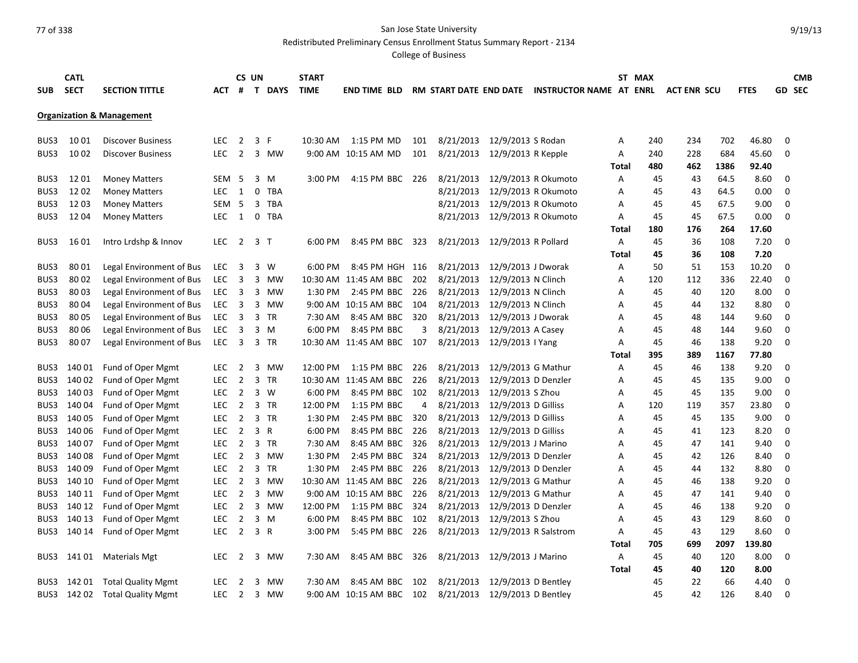Redistributed Preliminary Census Enrollment Status Summary Report - 2134

|            | <b>CATL</b> |                                      |                  |                         | CS UN        |                | <b>START</b> |                           |      |           |                      |                                                |       | ST MAX |                    |      |             |             | <b>CMB</b>    |
|------------|-------------|--------------------------------------|------------------|-------------------------|--------------|----------------|--------------|---------------------------|------|-----------|----------------------|------------------------------------------------|-------|--------|--------------------|------|-------------|-------------|---------------|
| <b>SUB</b> | <b>SECT</b> | <b>SECTION TITTLE</b>                | АСТ              |                         |              | # T DAYS       | <b>TIME</b>  | <b>END TIME BLD</b>       |      |           |                      | RM START DATE END DATE INSTRUCTOR NAME AT ENRL |       |        | <b>ACT ENR SCU</b> |      | <b>FTES</b> |             | <b>GD SEC</b> |
|            |             |                                      |                  |                         |              |                |              |                           |      |           |                      |                                                |       |        |                    |      |             |             |               |
|            |             | <b>Organization &amp; Management</b> |                  |                         |              |                |              |                           |      |           |                      |                                                |       |        |                    |      |             |             |               |
|            |             |                                      |                  |                         |              |                |              |                           |      |           |                      |                                                |       |        |                    |      |             |             |               |
| BUS3       | 1001        | <b>Discover Business</b>             | <b>LEC</b>       | $\overline{2}$          |              | 3 F            | 10:30 AM     | 1:15 PM MD                | 101  | 8/21/2013 | 12/9/2013 S Rodan    |                                                | А     | 240    | 234                | 702  | 46.80       | 0           |               |
| BUS3       | 10 02       | <b>Discover Business</b>             | <b>LEC</b>       | $\overline{2}$          |              | 3 MW           |              | 9:00 AM 10:15 AM MD       | 101  | 8/21/2013 | 12/9/2013 R Kepple   |                                                | А     | 240    | 228                | 684  | 45.60       | 0           |               |
|            |             |                                      |                  |                         |              |                |              |                           |      |           |                      |                                                | Total | 480    | 462                | 1386 | 92.40       |             |               |
| BUS3       | 1201        | <b>Money Matters</b>                 | SEM <sub>5</sub> |                         |              | 3 M            | 3:00 PM      | 4:15 PM BBC 226           |      | 8/21/2013 |                      | 12/9/2013 R Okumoto                            | Α     | 45     | 43                 | 64.5 | 8.60        | 0           |               |
| BUS3       | 1202        | <b>Money Matters</b>                 | <b>LEC</b>       | 1                       |              | 0 TBA          |              |                           |      | 8/21/2013 |                      | 12/9/2013 R Okumoto                            | A     | 45     | 43                 | 64.5 | 0.00        | $\Omega$    |               |
| BUS3       | 1203        | <b>Money Matters</b>                 | <b>SEM</b>       | - 5                     |              | 3 TBA          |              |                           |      | 8/21/2013 |                      | 12/9/2013 R Okumoto                            | А     | 45     | 45                 | 67.5 | 9.00        | 0           |               |
| BUS3       | 1204        | <b>Money Matters</b>                 | <b>LEC</b>       | 1                       | $\mathbf{0}$ | TBA            |              |                           |      | 8/21/2013 |                      | 12/9/2013 R Okumoto                            | A     | 45     | 45                 | 67.5 | 0.00        | $\mathbf 0$ |               |
|            |             |                                      |                  |                         |              |                |              |                           |      |           |                      |                                                | Total | 180    | 176                | 264  | 17.60       |             |               |
| BUS3       | 16 01       | Intro Lrdshp & Innov                 | LEC.             | $\overline{2}$          |              | 3 <sub>T</sub> | 6:00 PM      | 8:45 PM BBC               | 323  | 8/21/2013 | 12/9/2013 R Pollard  |                                                | Α     | 45     | 36                 | 108  | 7.20        | $\Omega$    |               |
|            |             |                                      |                  |                         |              |                |              |                           |      |           |                      |                                                | Total | 45     | 36                 | 108  | 7.20        |             |               |
| BUS3       | 8001        | Legal Environment of Bus             | LEC.             | 3                       |              | 3 W            | 6:00 PM      | 8:45 PM HGH 116           |      | 8/21/2013 | 12/9/2013 J Dworak   |                                                | А     | 50     | 51                 | 153  | 10.20       | 0           |               |
| BUS3       | 80 02       | Legal Environment of Bus             | <b>LEC</b>       | 3                       |              | 3 MW           |              | 10:30 AM 11:45 AM BBC     | 202  | 8/21/2013 | 12/9/2013 N Clinch   |                                                | Α     | 120    | 112                | 336  | 22.40       | 0           |               |
| BUS3       | 8003        | Legal Environment of Bus             | <b>LEC</b>       | $\overline{\mathbf{3}}$ |              | 3 MW           | 1:30 PM      | 2:45 PM BBC 226           |      | 8/21/2013 | 12/9/2013 N Clinch   |                                                | А     | 45     | 40                 | 120  | 8.00        | 0           |               |
| BUS3       | 8004        | Legal Environment of Bus             | <b>LEC</b>       | 3                       |              | 3 MW           |              | 9:00 AM 10:15 AM BBC 104  |      | 8/21/2013 | 12/9/2013 N Clinch   |                                                | А     | 45     | 44                 | 132  | 8.80        | 0           |               |
| BUS3       | 8005        | Legal Environment of Bus             | <b>LEC</b>       | 3                       |              | 3 TR           | 7:30 AM      | 8:45 AM BBC               | 320  | 8/21/2013 | 12/9/2013 J Dworak   |                                                | А     | 45     | 48                 | 144  | 9.60        | 0           |               |
| BUS3       | 8006        | Legal Environment of Bus             | <b>LEC</b>       | 3                       |              | $3 \, M$       | 6:00 PM      | 8:45 PM BBC               | 3    | 8/21/2013 | 12/9/2013 A Casey    |                                                | Α     | 45     | 48                 | 144  | 9.60        | 0           |               |
| BUS3       | 8007        | Legal Environment of Bus             | <b>LEC</b>       | $\overline{3}$          |              | 3 TR           |              | 10:30 AM 11:45 AM BBC 107 |      | 8/21/2013 | 12/9/2013   Yang     |                                                | А     | 45     | 46                 | 138  | 9.20        | $\Omega$    |               |
|            |             |                                      |                  |                         |              |                |              |                           |      |           |                      |                                                | Total | 395    | 389                | 1167 | 77.80       |             |               |
| BUS3       | 140 01      | Fund of Oper Mgmt                    | <b>LEC</b>       | 2                       | 3            | MW             | 12:00 PM     | 1:15 PM BBC               | 226  | 8/21/2013 | 12/9/2013 G Mathur   |                                                | А     | 45     | 46                 | 138  | 9.20        | 0           |               |
| BUS3       | 140 02      | Fund of Oper Mgmt                    | LEC.             | $\overline{2}$          |              | 3 TR           |              | 10:30 AM 11:45 AM BBC     | 226  | 8/21/2013 | 12/9/2013 D Denzler  |                                                | A     | 45     | 45                 | 135  | 9.00        | $\mathbf 0$ |               |
| BUS3       | 140 03      | Fund of Oper Mgmt                    | <b>LEC</b>       | $\overline{2}$          |              | 3 W            | 6:00 PM      | 8:45 PM BBC 102           |      | 8/21/2013 | 12/9/2013 S Zhou     |                                                | А     | 45     | 45                 | 135  | 9.00        | 0           |               |
| BUS3       | 140 04      | Fund of Oper Mgmt                    | LEC.             | $\overline{2}$          |              | 3 TR           | 12:00 PM     | 1:15 PM BBC               | 4    | 8/21/2013 | 12/9/2013 D Gilliss  |                                                | Α     | 120    | 119                | 357  | 23.80       | $\Omega$    |               |
| BUS3       | 140 05      | Fund of Oper Mgmt                    | LEC              | $\overline{2}$          |              | 3 TR           | 1:30 PM      | 2:45 PM BBC               | 320  | 8/21/2013 | 12/9/2013 D Gilliss  |                                                | Α     | 45     | 45                 | 135  | 9.00        | 0           |               |
| BUS3       | 140 06      | Fund of Oper Mgmt                    | <b>LEC</b>       | $\overline{2}$          |              | 3 R            | 6:00 PM      | 8:45 PM BBC 226           |      | 8/21/2013 | 12/9/2013 D Gilliss  |                                                | А     | 45     | 41                 | 123  | 8.20        | 0           |               |
| BUS3       | 140 07      | Fund of Oper Mgmt                    | <b>LEC</b>       | $\overline{2}$          |              | 3 TR           | 7:30 AM      | 8:45 AM BBC               | 326  | 8/21/2013 | 12/9/2013 J Marino   |                                                | Α     | 45     | 47                 | 141  | 9.40        | 0           |               |
| BUS3       | 140 08      | Fund of Oper Mgmt                    | <b>LEC</b>       | $\overline{2}$          |              | 3 MW           | 1:30 PM      | 2:45 PM BBC 324           |      | 8/21/2013 | 12/9/2013 D Denzler  |                                                | Α     | 45     | 42                 | 126  | 8.40        | 0           |               |
| BUS3       | 140 09      | Fund of Oper Mgmt                    | <b>LEC</b>       | $\overline{2}$          |              | 3 TR           | 1:30 PM      | 2:45 PM BBC               | -226 | 8/21/2013 | 12/9/2013 D Denzler  |                                                | А     | 45     | 44                 | 132  | 8.80        | 0           |               |
| BUS3       | 140 10      | Fund of Oper Mgmt                    | <b>LEC</b>       | $\overline{2}$          | 3            | MW             |              | 10:30 AM 11:45 AM BBC 226 |      | 8/21/2013 | 12/9/2013 G Mathur   |                                                | А     | 45     | 46                 | 138  | 9.20        | $\mathbf 0$ |               |
| BUS3       | 140 11      | Fund of Oper Mgmt                    | <b>LEC</b>       | $\overline{2}$          | 3            | MW             |              | 9:00 AM 10:15 AM BBC 226  |      | 8/21/2013 | 12/9/2013 G Mathur   |                                                | Α     | 45     | 47                 | 141  | 9.40        | 0           |               |
| BUS3       | 140 12      | Fund of Oper Mgmt                    | <b>LEC</b>       | $\overline{2}$          |              | 3 MW           | 12:00 PM     | 1:15 PM BBC               | 324  | 8/21/2013 | 12/9/2013 D Denzler  |                                                | A     | 45     | 46                 | 138  | 9.20        | 0           |               |
| BUS3       | 140 13      | Fund of Oper Mgmt                    | <b>LEC</b>       | $\overline{2}$          |              | 3 M            | 6:00 PM      | 8:45 PM BBC 102           |      | 8/21/2013 | 12/9/2013 S Zhou     |                                                | A     | 45     | 43                 | 129  | 8.60        | 0           |               |
| BUS3       | 140 14      | Fund of Oper Mgmt                    | <b>LEC</b>       | $\overline{2}$          |              | 3 R            | 3:00 PM      | 5:45 PM BBC               | 226  | 8/21/2013 | 12/9/2013 R Salstrom |                                                | A     | 45     | 43                 | 129  | 8.60        | $\mathbf 0$ |               |
|            |             |                                      |                  |                         |              |                |              |                           |      |           |                      |                                                | Total | 705    | 699                | 2097 | 139.80      |             |               |
| BUS3       | 141 01      | <b>Materials Mgt</b>                 | LEC.             | $\overline{2}$          | 3            | MW             | 7:30 AM      | 8:45 AM BBC               | 326  | 8/21/2013 | 12/9/2013 J Marino   |                                                | Α     | 45     | 40                 | 120  | 8.00        | 0           |               |
|            |             |                                      |                  |                         |              |                |              |                           |      |           |                      |                                                | Total | 45     | 40                 | 120  | 8.00        |             |               |
| BUS3       | 142 01      | <b>Total Quality Mgmt</b>            | <b>LEC</b>       | 2                       | 3            | MW             | 7:30 AM      | 8:45 AM BBC               | 102  | 8/21/2013 | 12/9/2013 D Bentley  |                                                |       | 45     | 22                 | 66   | 4.40        | 0           |               |
|            | BUS3 142 02 | <b>Total Quality Mgmt</b>            | <b>LEC</b>       | $\overline{2}$          |              | 3 MW           |              | 9:00 AM 10:15 AM BBC 102  |      | 8/21/2013 | 12/9/2013 D Bentley  |                                                |       | 45     | 42                 | 126  | 8.40        | $\mathbf 0$ |               |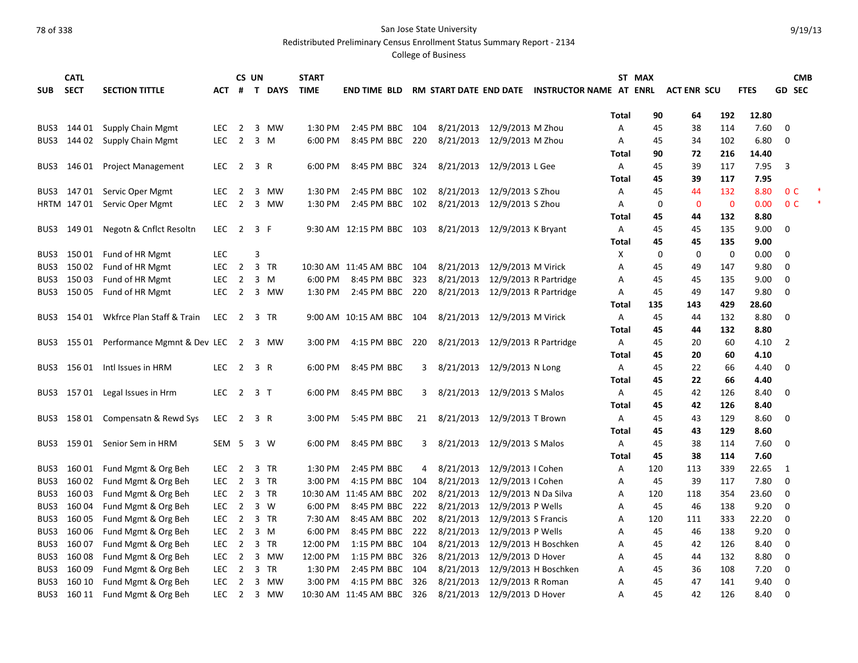Redistributed Preliminary Census Enrollment Status Summary Report - 2134

| <b>SECT</b><br>T DAYS<br><b>TIME</b><br><b>GD SEC</b><br><b>SUB</b><br><b>SECTION TITTLE</b><br>ACT #<br><b>END TIME BLD</b><br><b>RM START DATE END DATE</b><br>INSTRUCTOR NAME AT ENRL<br><b>ACT ENR SCU</b><br><b>FTES</b><br>12.80<br>192<br><b>Total</b><br>90<br>64<br>$\overline{2}$<br>2:45 PM BBC<br>8/21/2013 12/9/2013 M Zhou<br>7.60<br>BUS3<br>144 01<br>Supply Chain Mgmt<br>LEC.<br>3 MW<br>1:30 PM<br>104<br>45<br>38<br>114<br>0<br>A<br>144 02<br><b>LEC</b><br>$\overline{2}$<br>3 M<br>220<br>8/21/2013 12/9/2013 M Zhou<br>6.80<br>Supply Chain Mgmt<br>6:00 PM<br>8:45 PM BBC<br>102<br>0<br>BUS3<br>Α<br>45<br>34<br>Total<br>90<br>72<br>216<br>14.40<br>8/21/2013 12/9/2013 L Gee<br>7.95<br>3<br>146 01<br><b>Project Management</b><br>LEC.<br>$\overline{2}$<br>3 R<br>6:00 PM<br>8:45 PM BBC<br>324<br>Α<br>45<br>39<br>117<br>BUS3<br>39<br>117<br>7.95<br>Total<br>45<br>1:30 PM<br>2:45 PM BBC<br>8/21/2013 12/9/2013 S Zhou<br>132<br>8.80<br>0 <sup>C</sup><br>BUS3 147 01<br>Servic Oper Mgmt<br>LEC.<br>2<br>3 MW<br>102<br>Α<br>45<br>44<br>HRTM 147 01 Servic Oper Mgmt<br>$\overline{2}$<br>3 MW<br>2:45 PM BBC 102<br>8/21/2013 12/9/2013 S Zhou<br>$\mathbf 0$<br>0.00<br>0 <sup>C</sup><br>LEC.<br>1:30 PM<br>Α<br>0<br>0<br>8.80<br>132<br>Total<br>45<br>44<br>9.00<br>149 01<br>Negotn & Cnflct Resoltn<br><b>LEC</b><br>$\overline{2}$<br>3 F<br>9:30 AM 12:15 PM BBC<br>103<br>8/21/2013 12/9/2013 K Bryant<br>135<br>0<br>BUS3<br>A<br>45<br>45<br>9.00<br>45<br>135<br>Total<br>45<br><b>LEC</b><br>3<br>$\mathbf 0$<br>0.00<br>150 01<br>Fund of HR Mgmt<br>X<br>0<br>0<br>$\mathbf 0$<br>BUS3<br>2<br>3 TR<br>8/21/2013 12/9/2013 M Virick<br>$\overline{0}$<br>BUS3<br>150 02<br>Fund of HR Mgmt<br><b>LEC</b><br>10:30 AM 11:45 AM BBC<br>45<br>147<br>9.80<br>- 104<br>A<br>49<br>15003<br><b>LEC</b><br>$\overline{2}$<br>3 M<br>6:00 PM<br>8:45 PM BBC<br>323<br>8/21/2013<br>12/9/2013 R Partridge<br>9.00<br>0<br>BUS3<br>Fund of HR Mgmt<br>45<br>135<br>Α<br>45<br>BUS3 150 05<br>8/21/2013 12/9/2013 R Partridge<br>Fund of HR Mgmt<br><b>LEC</b><br>2 3 MW<br>1:30 PM<br>2:45 PM BBC 220<br>147<br>9.80<br>0<br>Α<br>45<br>49<br>28.60<br>Total<br>135<br>143<br>429<br>Wkfrce Plan Staff & Train<br>8/21/2013 12/9/2013 M Virick<br>8.80<br>$\overline{0}$<br>BUS3 154 01<br>LEC.<br>2<br>3 TR<br>9:00 AM 10:15 AM BBC 104<br>A<br>45<br>44<br>132<br><b>Total</b><br>132<br>8.80<br>45<br>44<br>155 01 Performance Mgmnt & Dev LEC 2 3 MW<br>4:15 PM BBC 220<br>8/21/2013 12/9/2013 R Partridge<br>4.10<br>$\overline{2}$<br>BUS3<br>3:00 PM<br>Α<br>45<br>20<br>60<br>Total<br>45<br>20<br>60<br>4.10<br>156 01<br>$2 \quad 3 \quad R$<br>8:45 PM BBC<br>8/21/2013 12/9/2013 N Long<br>4.40<br>Intl Issues in HRM<br><b>LEC</b><br>6:00 PM<br>45<br>22<br>$\mathbf 0$<br>BUS3<br>3<br>Α<br>66<br>45<br>22<br>66<br>4.40<br>Total<br>157 01 Legal Issues in Hrm<br><b>LEC</b><br>$\overline{2}$<br>3 <sub>T</sub><br>6:00 PM<br>8:45 PM BBC<br>8/21/2013 12/9/2013 S Malos<br>8.40<br>0<br>BUS3<br>45<br>42<br>126<br>3<br>A<br>42<br>126<br>8.40<br>Total<br>45<br>8.60<br><b>LEC</b><br>$\overline{2}$<br>3 R<br>3:00 PM<br>5:45 PM BBC<br>8/21/2013 12/9/2013 T Brown<br>129<br>$\Omega$<br>BUS3 158 01 Compensatn & Rewd Sys<br>21<br>Α<br>45<br>43<br>8.60<br>Total<br>45<br>43<br>129<br>8/21/2013 12/9/2013 S Malos<br>7.60<br>159 01 Senior Sem in HRM<br>SEM <sub>5</sub><br>3 W<br>6:00 PM<br>8:45 PM BBC<br>Α<br>45<br>38<br>114<br>0<br>BUS3<br>3<br>7.60<br>Total<br>45<br>38<br>114<br>160 01<br>Fund Mgmt & Org Beh<br>$\overline{2}$<br>3 TR<br>1:30 PM<br>2:45 PM BBC<br>8/21/2013<br>12/9/2013   Cohen<br>22.65<br>BUS3<br>LEC.<br>4<br>120<br>113<br>339<br>1<br>Α<br>160 02<br>Fund Mgmt & Org Beh<br>$\overline{2}$<br>3:00 PM<br>8/21/2013<br>12/9/2013 I Cohen<br>39<br>7.80<br>$\mathbf 0$<br>BUS3<br><b>LEC</b><br>3 TR<br>4:15 PM BBC<br>104<br>45<br>117<br>Α<br>160 03<br>8/21/2013<br>12/9/2013 N Da Silva<br>BUS3<br>Fund Mgmt & Org Beh<br><b>LEC</b><br>$\overline{2}$<br>3 TR<br>10:30 AM 11:45 AM BBC<br>202<br>118<br>354<br>23.60<br>$\mathbf 0$<br>120<br>A<br>$\overline{2}$<br>3 W<br>8/21/2013<br>12/9/2013 P Wells<br>BUS3<br>160 04<br>Fund Mgmt & Org Beh<br><b>LEC</b><br>6:00 PM<br>8:45 PM BBC<br>222<br>138<br>9.20<br>0<br>45<br>46<br>A<br>160 05<br>Fund Mgmt & Org Beh<br>2 3 TR<br>202<br>8/21/2013<br>12/9/2013 S Francis<br>22.20<br>$\mathbf 0$<br>BUS3<br><b>LEC</b><br>7:30 AM<br>8:45 AM BBC<br>333<br>120<br>111<br>A<br>BUS3 160 06<br>6:00 PM<br>222<br>8/21/2013<br>12/9/2013 P Wells<br>138<br>9.20<br>Fund Mgmt & Org Beh<br><b>LEC</b><br>$\overline{2}$<br>3 M<br>8:45 PM BBC<br>46<br>$\mathbf 0$<br>45<br>A<br>160 07<br>8/21/2013<br>12/9/2013 H Boschken<br>BUS3<br>Fund Mgmt & Org Beh<br><b>LEC</b><br>$\overline{2}$<br>3 TR<br>12:00 PM<br>1:15 PM BBC<br>104<br>126<br>8.40<br>$\mathbf 0$<br>45<br>42<br>A<br>16008<br>$\overline{2}$<br>3 MW<br>12:00 PM<br>8/21/2013<br>12/9/2013 D Hover<br>$\mathbf 0$<br>BUS3<br>Fund Mgmt & Org Beh<br><b>LEC</b><br>1:15 PM BBC<br>326<br>132<br>8.80<br>Α<br>45<br>44<br>8/21/2013<br>12/9/2013 H Boschken<br>16009<br>Fund Mgmt & Org Beh<br><b>LEC</b><br>$\overline{2}$<br>3 TR<br>1:30 PM<br>2:45 PM BBC<br>0<br>BUS3<br>104<br>45<br>36<br>108<br>7.20<br>A<br>8/21/2013<br>160 10<br>Fund Mgmt & Org Beh<br><b>LEC</b><br>$\overline{2}$<br>3:00 PM<br>12/9/2013 R Roman<br>9.40<br>0<br>BUS3<br>3 MW<br>4:15 PM BBC<br>326<br>45<br>47<br>141<br>A<br>8/21/2013 12/9/2013 D Hover | <b>CATL</b> |                     |            |   | CS UN |      | <b>START</b> |                       |     |  |   | ST MAX |    |     |      |             | <b>CMB</b> |  |
|------------------------------------------------------------------------------------------------------------------------------------------------------------------------------------------------------------------------------------------------------------------------------------------------------------------------------------------------------------------------------------------------------------------------------------------------------------------------------------------------------------------------------------------------------------------------------------------------------------------------------------------------------------------------------------------------------------------------------------------------------------------------------------------------------------------------------------------------------------------------------------------------------------------------------------------------------------------------------------------------------------------------------------------------------------------------------------------------------------------------------------------------------------------------------------------------------------------------------------------------------------------------------------------------------------------------------------------------------------------------------------------------------------------------------------------------------------------------------------------------------------------------------------------------------------------------------------------------------------------------------------------------------------------------------------------------------------------------------------------------------------------------------------------------------------------------------------------------------------------------------------------------------------------------------------------------------------------------------------------------------------------------------------------------------------------------------------------------------------------------------------------------------------------------------------------------------------------------------------------------------------------------------------------------------------------------------------------------------------------------------------------------------------------------------------------------------------------------------------------------------------------------------------------------------------------------------------------------------------------------------------------------------------------------------------------------------------------------------------------------------------------------------------------------------------------------------------------------------------------------------------------------------------------------------------------------------------------------------------------------------------------------------------------------------------------------------------------------------------------------------------------------------------------------------------------------------------------------------------------------------------------------------------------------------------------------------------------------------------------------------------------------------------------------------------------------------------------------------------------------------------------------------------------------------------------------------------------------------------------------------------------------------------------------------------------------------------------------------------------------------------------------------------------------------------------------------------------------------------------------------------------------------------------------------------------------------------------------------------------------------------------------------------------------------------------------------------------------------------------------------------------------------------------------------------------------------------------------------------------------------------------------------------------------------------------------------------------------------------------------------------------------------------------------------------------------------------------------------------------------------------------------------------------------------------------------------------------------------------------------------------------------------------------------------------------------------------------------------------------------------------------------------------------------------------------------------------------------------------------------------------------------------------------------------------------------------------------------------------------------------------------------------------------------------------------------------------------------------------------------------------------------------------------------------------------------------------------------------------------------------------------------------------------------------------------------------------------------------------------------------------------------------------------------------------------------------------------------------------------------------------------------------------------------------------------------------|-------------|---------------------|------------|---|-------|------|--------------|-----------------------|-----|--|---|--------|----|-----|------|-------------|------------|--|
|                                                                                                                                                                                                                                                                                                                                                                                                                                                                                                                                                                                                                                                                                                                                                                                                                                                                                                                                                                                                                                                                                                                                                                                                                                                                                                                                                                                                                                                                                                                                                                                                                                                                                                                                                                                                                                                                                                                                                                                                                                                                                                                                                                                                                                                                                                                                                                                                                                                                                                                                                                                                                                                                                                                                                                                                                                                                                                                                                                                                                                                                                                                                                                                                                                                                                                                                                                                                                                                                                                                                                                                                                                                                                                                                                                                                                                                                                                                                                                                                                                                                                                                                                                                                                                                                                                                                                                                                                                                                                                                                                                                                                                                                                                                                                                                                                                                                                                                                                                                                                                                                                                                                                                                                                                                                                                                                                                                                                                                                                                                                                                              |             |                     |            |   |       |      |              |                       |     |  |   |        |    |     |      |             |            |  |
|                                                                                                                                                                                                                                                                                                                                                                                                                                                                                                                                                                                                                                                                                                                                                                                                                                                                                                                                                                                                                                                                                                                                                                                                                                                                                                                                                                                                                                                                                                                                                                                                                                                                                                                                                                                                                                                                                                                                                                                                                                                                                                                                                                                                                                                                                                                                                                                                                                                                                                                                                                                                                                                                                                                                                                                                                                                                                                                                                                                                                                                                                                                                                                                                                                                                                                                                                                                                                                                                                                                                                                                                                                                                                                                                                                                                                                                                                                                                                                                                                                                                                                                                                                                                                                                                                                                                                                                                                                                                                                                                                                                                                                                                                                                                                                                                                                                                                                                                                                                                                                                                                                                                                                                                                                                                                                                                                                                                                                                                                                                                                                              |             |                     |            |   |       |      |              |                       |     |  |   |        |    |     |      |             |            |  |
|                                                                                                                                                                                                                                                                                                                                                                                                                                                                                                                                                                                                                                                                                                                                                                                                                                                                                                                                                                                                                                                                                                                                                                                                                                                                                                                                                                                                                                                                                                                                                                                                                                                                                                                                                                                                                                                                                                                                                                                                                                                                                                                                                                                                                                                                                                                                                                                                                                                                                                                                                                                                                                                                                                                                                                                                                                                                                                                                                                                                                                                                                                                                                                                                                                                                                                                                                                                                                                                                                                                                                                                                                                                                                                                                                                                                                                                                                                                                                                                                                                                                                                                                                                                                                                                                                                                                                                                                                                                                                                                                                                                                                                                                                                                                                                                                                                                                                                                                                                                                                                                                                                                                                                                                                                                                                                                                                                                                                                                                                                                                                                              |             |                     |            |   |       |      |              |                       |     |  |   |        |    |     |      |             |            |  |
|                                                                                                                                                                                                                                                                                                                                                                                                                                                                                                                                                                                                                                                                                                                                                                                                                                                                                                                                                                                                                                                                                                                                                                                                                                                                                                                                                                                                                                                                                                                                                                                                                                                                                                                                                                                                                                                                                                                                                                                                                                                                                                                                                                                                                                                                                                                                                                                                                                                                                                                                                                                                                                                                                                                                                                                                                                                                                                                                                                                                                                                                                                                                                                                                                                                                                                                                                                                                                                                                                                                                                                                                                                                                                                                                                                                                                                                                                                                                                                                                                                                                                                                                                                                                                                                                                                                                                                                                                                                                                                                                                                                                                                                                                                                                                                                                                                                                                                                                                                                                                                                                                                                                                                                                                                                                                                                                                                                                                                                                                                                                                                              |             |                     |            |   |       |      |              |                       |     |  |   |        |    |     |      |             |            |  |
|                                                                                                                                                                                                                                                                                                                                                                                                                                                                                                                                                                                                                                                                                                                                                                                                                                                                                                                                                                                                                                                                                                                                                                                                                                                                                                                                                                                                                                                                                                                                                                                                                                                                                                                                                                                                                                                                                                                                                                                                                                                                                                                                                                                                                                                                                                                                                                                                                                                                                                                                                                                                                                                                                                                                                                                                                                                                                                                                                                                                                                                                                                                                                                                                                                                                                                                                                                                                                                                                                                                                                                                                                                                                                                                                                                                                                                                                                                                                                                                                                                                                                                                                                                                                                                                                                                                                                                                                                                                                                                                                                                                                                                                                                                                                                                                                                                                                                                                                                                                                                                                                                                                                                                                                                                                                                                                                                                                                                                                                                                                                                                              |             |                     |            |   |       |      |              |                       |     |  |   |        |    |     |      |             |            |  |
|                                                                                                                                                                                                                                                                                                                                                                                                                                                                                                                                                                                                                                                                                                                                                                                                                                                                                                                                                                                                                                                                                                                                                                                                                                                                                                                                                                                                                                                                                                                                                                                                                                                                                                                                                                                                                                                                                                                                                                                                                                                                                                                                                                                                                                                                                                                                                                                                                                                                                                                                                                                                                                                                                                                                                                                                                                                                                                                                                                                                                                                                                                                                                                                                                                                                                                                                                                                                                                                                                                                                                                                                                                                                                                                                                                                                                                                                                                                                                                                                                                                                                                                                                                                                                                                                                                                                                                                                                                                                                                                                                                                                                                                                                                                                                                                                                                                                                                                                                                                                                                                                                                                                                                                                                                                                                                                                                                                                                                                                                                                                                                              |             |                     |            |   |       |      |              |                       |     |  |   |        |    |     |      |             |            |  |
|                                                                                                                                                                                                                                                                                                                                                                                                                                                                                                                                                                                                                                                                                                                                                                                                                                                                                                                                                                                                                                                                                                                                                                                                                                                                                                                                                                                                                                                                                                                                                                                                                                                                                                                                                                                                                                                                                                                                                                                                                                                                                                                                                                                                                                                                                                                                                                                                                                                                                                                                                                                                                                                                                                                                                                                                                                                                                                                                                                                                                                                                                                                                                                                                                                                                                                                                                                                                                                                                                                                                                                                                                                                                                                                                                                                                                                                                                                                                                                                                                                                                                                                                                                                                                                                                                                                                                                                                                                                                                                                                                                                                                                                                                                                                                                                                                                                                                                                                                                                                                                                                                                                                                                                                                                                                                                                                                                                                                                                                                                                                                                              |             |                     |            |   |       |      |              |                       |     |  |   |        |    |     |      |             |            |  |
|                                                                                                                                                                                                                                                                                                                                                                                                                                                                                                                                                                                                                                                                                                                                                                                                                                                                                                                                                                                                                                                                                                                                                                                                                                                                                                                                                                                                                                                                                                                                                                                                                                                                                                                                                                                                                                                                                                                                                                                                                                                                                                                                                                                                                                                                                                                                                                                                                                                                                                                                                                                                                                                                                                                                                                                                                                                                                                                                                                                                                                                                                                                                                                                                                                                                                                                                                                                                                                                                                                                                                                                                                                                                                                                                                                                                                                                                                                                                                                                                                                                                                                                                                                                                                                                                                                                                                                                                                                                                                                                                                                                                                                                                                                                                                                                                                                                                                                                                                                                                                                                                                                                                                                                                                                                                                                                                                                                                                                                                                                                                                                              |             |                     |            |   |       |      |              |                       |     |  |   |        |    |     |      |             |            |  |
|                                                                                                                                                                                                                                                                                                                                                                                                                                                                                                                                                                                                                                                                                                                                                                                                                                                                                                                                                                                                                                                                                                                                                                                                                                                                                                                                                                                                                                                                                                                                                                                                                                                                                                                                                                                                                                                                                                                                                                                                                                                                                                                                                                                                                                                                                                                                                                                                                                                                                                                                                                                                                                                                                                                                                                                                                                                                                                                                                                                                                                                                                                                                                                                                                                                                                                                                                                                                                                                                                                                                                                                                                                                                                                                                                                                                                                                                                                                                                                                                                                                                                                                                                                                                                                                                                                                                                                                                                                                                                                                                                                                                                                                                                                                                                                                                                                                                                                                                                                                                                                                                                                                                                                                                                                                                                                                                                                                                                                                                                                                                                                              |             |                     |            |   |       |      |              |                       |     |  |   |        |    |     |      |             |            |  |
|                                                                                                                                                                                                                                                                                                                                                                                                                                                                                                                                                                                                                                                                                                                                                                                                                                                                                                                                                                                                                                                                                                                                                                                                                                                                                                                                                                                                                                                                                                                                                                                                                                                                                                                                                                                                                                                                                                                                                                                                                                                                                                                                                                                                                                                                                                                                                                                                                                                                                                                                                                                                                                                                                                                                                                                                                                                                                                                                                                                                                                                                                                                                                                                                                                                                                                                                                                                                                                                                                                                                                                                                                                                                                                                                                                                                                                                                                                                                                                                                                                                                                                                                                                                                                                                                                                                                                                                                                                                                                                                                                                                                                                                                                                                                                                                                                                                                                                                                                                                                                                                                                                                                                                                                                                                                                                                                                                                                                                                                                                                                                                              |             |                     |            |   |       |      |              |                       |     |  |   |        |    |     |      |             |            |  |
|                                                                                                                                                                                                                                                                                                                                                                                                                                                                                                                                                                                                                                                                                                                                                                                                                                                                                                                                                                                                                                                                                                                                                                                                                                                                                                                                                                                                                                                                                                                                                                                                                                                                                                                                                                                                                                                                                                                                                                                                                                                                                                                                                                                                                                                                                                                                                                                                                                                                                                                                                                                                                                                                                                                                                                                                                                                                                                                                                                                                                                                                                                                                                                                                                                                                                                                                                                                                                                                                                                                                                                                                                                                                                                                                                                                                                                                                                                                                                                                                                                                                                                                                                                                                                                                                                                                                                                                                                                                                                                                                                                                                                                                                                                                                                                                                                                                                                                                                                                                                                                                                                                                                                                                                                                                                                                                                                                                                                                                                                                                                                                              |             |                     |            |   |       |      |              |                       |     |  |   |        |    |     |      |             |            |  |
|                                                                                                                                                                                                                                                                                                                                                                                                                                                                                                                                                                                                                                                                                                                                                                                                                                                                                                                                                                                                                                                                                                                                                                                                                                                                                                                                                                                                                                                                                                                                                                                                                                                                                                                                                                                                                                                                                                                                                                                                                                                                                                                                                                                                                                                                                                                                                                                                                                                                                                                                                                                                                                                                                                                                                                                                                                                                                                                                                                                                                                                                                                                                                                                                                                                                                                                                                                                                                                                                                                                                                                                                                                                                                                                                                                                                                                                                                                                                                                                                                                                                                                                                                                                                                                                                                                                                                                                                                                                                                                                                                                                                                                                                                                                                                                                                                                                                                                                                                                                                                                                                                                                                                                                                                                                                                                                                                                                                                                                                                                                                                                              |             |                     |            |   |       |      |              |                       |     |  |   |        |    |     |      |             |            |  |
|                                                                                                                                                                                                                                                                                                                                                                                                                                                                                                                                                                                                                                                                                                                                                                                                                                                                                                                                                                                                                                                                                                                                                                                                                                                                                                                                                                                                                                                                                                                                                                                                                                                                                                                                                                                                                                                                                                                                                                                                                                                                                                                                                                                                                                                                                                                                                                                                                                                                                                                                                                                                                                                                                                                                                                                                                                                                                                                                                                                                                                                                                                                                                                                                                                                                                                                                                                                                                                                                                                                                                                                                                                                                                                                                                                                                                                                                                                                                                                                                                                                                                                                                                                                                                                                                                                                                                                                                                                                                                                                                                                                                                                                                                                                                                                                                                                                                                                                                                                                                                                                                                                                                                                                                                                                                                                                                                                                                                                                                                                                                                                              |             |                     |            |   |       |      |              |                       |     |  |   |        |    |     |      |             |            |  |
|                                                                                                                                                                                                                                                                                                                                                                                                                                                                                                                                                                                                                                                                                                                                                                                                                                                                                                                                                                                                                                                                                                                                                                                                                                                                                                                                                                                                                                                                                                                                                                                                                                                                                                                                                                                                                                                                                                                                                                                                                                                                                                                                                                                                                                                                                                                                                                                                                                                                                                                                                                                                                                                                                                                                                                                                                                                                                                                                                                                                                                                                                                                                                                                                                                                                                                                                                                                                                                                                                                                                                                                                                                                                                                                                                                                                                                                                                                                                                                                                                                                                                                                                                                                                                                                                                                                                                                                                                                                                                                                                                                                                                                                                                                                                                                                                                                                                                                                                                                                                                                                                                                                                                                                                                                                                                                                                                                                                                                                                                                                                                                              |             |                     |            |   |       |      |              |                       |     |  |   |        |    |     |      |             |            |  |
|                                                                                                                                                                                                                                                                                                                                                                                                                                                                                                                                                                                                                                                                                                                                                                                                                                                                                                                                                                                                                                                                                                                                                                                                                                                                                                                                                                                                                                                                                                                                                                                                                                                                                                                                                                                                                                                                                                                                                                                                                                                                                                                                                                                                                                                                                                                                                                                                                                                                                                                                                                                                                                                                                                                                                                                                                                                                                                                                                                                                                                                                                                                                                                                                                                                                                                                                                                                                                                                                                                                                                                                                                                                                                                                                                                                                                                                                                                                                                                                                                                                                                                                                                                                                                                                                                                                                                                                                                                                                                                                                                                                                                                                                                                                                                                                                                                                                                                                                                                                                                                                                                                                                                                                                                                                                                                                                                                                                                                                                                                                                                                              |             |                     |            |   |       |      |              |                       |     |  |   |        |    |     |      |             |            |  |
|                                                                                                                                                                                                                                                                                                                                                                                                                                                                                                                                                                                                                                                                                                                                                                                                                                                                                                                                                                                                                                                                                                                                                                                                                                                                                                                                                                                                                                                                                                                                                                                                                                                                                                                                                                                                                                                                                                                                                                                                                                                                                                                                                                                                                                                                                                                                                                                                                                                                                                                                                                                                                                                                                                                                                                                                                                                                                                                                                                                                                                                                                                                                                                                                                                                                                                                                                                                                                                                                                                                                                                                                                                                                                                                                                                                                                                                                                                                                                                                                                                                                                                                                                                                                                                                                                                                                                                                                                                                                                                                                                                                                                                                                                                                                                                                                                                                                                                                                                                                                                                                                                                                                                                                                                                                                                                                                                                                                                                                                                                                                                                              |             |                     |            |   |       |      |              |                       |     |  |   |        |    |     |      |             |            |  |
|                                                                                                                                                                                                                                                                                                                                                                                                                                                                                                                                                                                                                                                                                                                                                                                                                                                                                                                                                                                                                                                                                                                                                                                                                                                                                                                                                                                                                                                                                                                                                                                                                                                                                                                                                                                                                                                                                                                                                                                                                                                                                                                                                                                                                                                                                                                                                                                                                                                                                                                                                                                                                                                                                                                                                                                                                                                                                                                                                                                                                                                                                                                                                                                                                                                                                                                                                                                                                                                                                                                                                                                                                                                                                                                                                                                                                                                                                                                                                                                                                                                                                                                                                                                                                                                                                                                                                                                                                                                                                                                                                                                                                                                                                                                                                                                                                                                                                                                                                                                                                                                                                                                                                                                                                                                                                                                                                                                                                                                                                                                                                                              |             |                     |            |   |       |      |              |                       |     |  |   |        |    |     |      |             |            |  |
|                                                                                                                                                                                                                                                                                                                                                                                                                                                                                                                                                                                                                                                                                                                                                                                                                                                                                                                                                                                                                                                                                                                                                                                                                                                                                                                                                                                                                                                                                                                                                                                                                                                                                                                                                                                                                                                                                                                                                                                                                                                                                                                                                                                                                                                                                                                                                                                                                                                                                                                                                                                                                                                                                                                                                                                                                                                                                                                                                                                                                                                                                                                                                                                                                                                                                                                                                                                                                                                                                                                                                                                                                                                                                                                                                                                                                                                                                                                                                                                                                                                                                                                                                                                                                                                                                                                                                                                                                                                                                                                                                                                                                                                                                                                                                                                                                                                                                                                                                                                                                                                                                                                                                                                                                                                                                                                                                                                                                                                                                                                                                                              |             |                     |            |   |       |      |              |                       |     |  |   |        |    |     |      |             |            |  |
|                                                                                                                                                                                                                                                                                                                                                                                                                                                                                                                                                                                                                                                                                                                                                                                                                                                                                                                                                                                                                                                                                                                                                                                                                                                                                                                                                                                                                                                                                                                                                                                                                                                                                                                                                                                                                                                                                                                                                                                                                                                                                                                                                                                                                                                                                                                                                                                                                                                                                                                                                                                                                                                                                                                                                                                                                                                                                                                                                                                                                                                                                                                                                                                                                                                                                                                                                                                                                                                                                                                                                                                                                                                                                                                                                                                                                                                                                                                                                                                                                                                                                                                                                                                                                                                                                                                                                                                                                                                                                                                                                                                                                                                                                                                                                                                                                                                                                                                                                                                                                                                                                                                                                                                                                                                                                                                                                                                                                                                                                                                                                                              |             |                     |            |   |       |      |              |                       |     |  |   |        |    |     |      |             |            |  |
|                                                                                                                                                                                                                                                                                                                                                                                                                                                                                                                                                                                                                                                                                                                                                                                                                                                                                                                                                                                                                                                                                                                                                                                                                                                                                                                                                                                                                                                                                                                                                                                                                                                                                                                                                                                                                                                                                                                                                                                                                                                                                                                                                                                                                                                                                                                                                                                                                                                                                                                                                                                                                                                                                                                                                                                                                                                                                                                                                                                                                                                                                                                                                                                                                                                                                                                                                                                                                                                                                                                                                                                                                                                                                                                                                                                                                                                                                                                                                                                                                                                                                                                                                                                                                                                                                                                                                                                                                                                                                                                                                                                                                                                                                                                                                                                                                                                                                                                                                                                                                                                                                                                                                                                                                                                                                                                                                                                                                                                                                                                                                                              |             |                     |            |   |       |      |              |                       |     |  |   |        |    |     |      |             |            |  |
|                                                                                                                                                                                                                                                                                                                                                                                                                                                                                                                                                                                                                                                                                                                                                                                                                                                                                                                                                                                                                                                                                                                                                                                                                                                                                                                                                                                                                                                                                                                                                                                                                                                                                                                                                                                                                                                                                                                                                                                                                                                                                                                                                                                                                                                                                                                                                                                                                                                                                                                                                                                                                                                                                                                                                                                                                                                                                                                                                                                                                                                                                                                                                                                                                                                                                                                                                                                                                                                                                                                                                                                                                                                                                                                                                                                                                                                                                                                                                                                                                                                                                                                                                                                                                                                                                                                                                                                                                                                                                                                                                                                                                                                                                                                                                                                                                                                                                                                                                                                                                                                                                                                                                                                                                                                                                                                                                                                                                                                                                                                                                                              |             |                     |            |   |       |      |              |                       |     |  |   |        |    |     |      |             |            |  |
|                                                                                                                                                                                                                                                                                                                                                                                                                                                                                                                                                                                                                                                                                                                                                                                                                                                                                                                                                                                                                                                                                                                                                                                                                                                                                                                                                                                                                                                                                                                                                                                                                                                                                                                                                                                                                                                                                                                                                                                                                                                                                                                                                                                                                                                                                                                                                                                                                                                                                                                                                                                                                                                                                                                                                                                                                                                                                                                                                                                                                                                                                                                                                                                                                                                                                                                                                                                                                                                                                                                                                                                                                                                                                                                                                                                                                                                                                                                                                                                                                                                                                                                                                                                                                                                                                                                                                                                                                                                                                                                                                                                                                                                                                                                                                                                                                                                                                                                                                                                                                                                                                                                                                                                                                                                                                                                                                                                                                                                                                                                                                                              |             |                     |            |   |       |      |              |                       |     |  |   |        |    |     |      |             |            |  |
|                                                                                                                                                                                                                                                                                                                                                                                                                                                                                                                                                                                                                                                                                                                                                                                                                                                                                                                                                                                                                                                                                                                                                                                                                                                                                                                                                                                                                                                                                                                                                                                                                                                                                                                                                                                                                                                                                                                                                                                                                                                                                                                                                                                                                                                                                                                                                                                                                                                                                                                                                                                                                                                                                                                                                                                                                                                                                                                                                                                                                                                                                                                                                                                                                                                                                                                                                                                                                                                                                                                                                                                                                                                                                                                                                                                                                                                                                                                                                                                                                                                                                                                                                                                                                                                                                                                                                                                                                                                                                                                                                                                                                                                                                                                                                                                                                                                                                                                                                                                                                                                                                                                                                                                                                                                                                                                                                                                                                                                                                                                                                                              |             |                     |            |   |       |      |              |                       |     |  |   |        |    |     |      |             |            |  |
|                                                                                                                                                                                                                                                                                                                                                                                                                                                                                                                                                                                                                                                                                                                                                                                                                                                                                                                                                                                                                                                                                                                                                                                                                                                                                                                                                                                                                                                                                                                                                                                                                                                                                                                                                                                                                                                                                                                                                                                                                                                                                                                                                                                                                                                                                                                                                                                                                                                                                                                                                                                                                                                                                                                                                                                                                                                                                                                                                                                                                                                                                                                                                                                                                                                                                                                                                                                                                                                                                                                                                                                                                                                                                                                                                                                                                                                                                                                                                                                                                                                                                                                                                                                                                                                                                                                                                                                                                                                                                                                                                                                                                                                                                                                                                                                                                                                                                                                                                                                                                                                                                                                                                                                                                                                                                                                                                                                                                                                                                                                                                                              |             |                     |            |   |       |      |              |                       |     |  |   |        |    |     |      |             |            |  |
|                                                                                                                                                                                                                                                                                                                                                                                                                                                                                                                                                                                                                                                                                                                                                                                                                                                                                                                                                                                                                                                                                                                                                                                                                                                                                                                                                                                                                                                                                                                                                                                                                                                                                                                                                                                                                                                                                                                                                                                                                                                                                                                                                                                                                                                                                                                                                                                                                                                                                                                                                                                                                                                                                                                                                                                                                                                                                                                                                                                                                                                                                                                                                                                                                                                                                                                                                                                                                                                                                                                                                                                                                                                                                                                                                                                                                                                                                                                                                                                                                                                                                                                                                                                                                                                                                                                                                                                                                                                                                                                                                                                                                                                                                                                                                                                                                                                                                                                                                                                                                                                                                                                                                                                                                                                                                                                                                                                                                                                                                                                                                                              |             |                     |            |   |       |      |              |                       |     |  |   |        |    |     |      |             |            |  |
|                                                                                                                                                                                                                                                                                                                                                                                                                                                                                                                                                                                                                                                                                                                                                                                                                                                                                                                                                                                                                                                                                                                                                                                                                                                                                                                                                                                                                                                                                                                                                                                                                                                                                                                                                                                                                                                                                                                                                                                                                                                                                                                                                                                                                                                                                                                                                                                                                                                                                                                                                                                                                                                                                                                                                                                                                                                                                                                                                                                                                                                                                                                                                                                                                                                                                                                                                                                                                                                                                                                                                                                                                                                                                                                                                                                                                                                                                                                                                                                                                                                                                                                                                                                                                                                                                                                                                                                                                                                                                                                                                                                                                                                                                                                                                                                                                                                                                                                                                                                                                                                                                                                                                                                                                                                                                                                                                                                                                                                                                                                                                                              |             |                     |            |   |       |      |              |                       |     |  |   |        |    |     |      |             |            |  |
|                                                                                                                                                                                                                                                                                                                                                                                                                                                                                                                                                                                                                                                                                                                                                                                                                                                                                                                                                                                                                                                                                                                                                                                                                                                                                                                                                                                                                                                                                                                                                                                                                                                                                                                                                                                                                                                                                                                                                                                                                                                                                                                                                                                                                                                                                                                                                                                                                                                                                                                                                                                                                                                                                                                                                                                                                                                                                                                                                                                                                                                                                                                                                                                                                                                                                                                                                                                                                                                                                                                                                                                                                                                                                                                                                                                                                                                                                                                                                                                                                                                                                                                                                                                                                                                                                                                                                                                                                                                                                                                                                                                                                                                                                                                                                                                                                                                                                                                                                                                                                                                                                                                                                                                                                                                                                                                                                                                                                                                                                                                                                                              |             |                     |            |   |       |      |              |                       |     |  |   |        |    |     |      |             |            |  |
|                                                                                                                                                                                                                                                                                                                                                                                                                                                                                                                                                                                                                                                                                                                                                                                                                                                                                                                                                                                                                                                                                                                                                                                                                                                                                                                                                                                                                                                                                                                                                                                                                                                                                                                                                                                                                                                                                                                                                                                                                                                                                                                                                                                                                                                                                                                                                                                                                                                                                                                                                                                                                                                                                                                                                                                                                                                                                                                                                                                                                                                                                                                                                                                                                                                                                                                                                                                                                                                                                                                                                                                                                                                                                                                                                                                                                                                                                                                                                                                                                                                                                                                                                                                                                                                                                                                                                                                                                                                                                                                                                                                                                                                                                                                                                                                                                                                                                                                                                                                                                                                                                                                                                                                                                                                                                                                                                                                                                                                                                                                                                                              |             |                     |            |   |       |      |              |                       |     |  |   |        |    |     |      |             |            |  |
|                                                                                                                                                                                                                                                                                                                                                                                                                                                                                                                                                                                                                                                                                                                                                                                                                                                                                                                                                                                                                                                                                                                                                                                                                                                                                                                                                                                                                                                                                                                                                                                                                                                                                                                                                                                                                                                                                                                                                                                                                                                                                                                                                                                                                                                                                                                                                                                                                                                                                                                                                                                                                                                                                                                                                                                                                                                                                                                                                                                                                                                                                                                                                                                                                                                                                                                                                                                                                                                                                                                                                                                                                                                                                                                                                                                                                                                                                                                                                                                                                                                                                                                                                                                                                                                                                                                                                                                                                                                                                                                                                                                                                                                                                                                                                                                                                                                                                                                                                                                                                                                                                                                                                                                                                                                                                                                                                                                                                                                                                                                                                                              |             |                     |            |   |       |      |              |                       |     |  |   |        |    |     |      |             |            |  |
|                                                                                                                                                                                                                                                                                                                                                                                                                                                                                                                                                                                                                                                                                                                                                                                                                                                                                                                                                                                                                                                                                                                                                                                                                                                                                                                                                                                                                                                                                                                                                                                                                                                                                                                                                                                                                                                                                                                                                                                                                                                                                                                                                                                                                                                                                                                                                                                                                                                                                                                                                                                                                                                                                                                                                                                                                                                                                                                                                                                                                                                                                                                                                                                                                                                                                                                                                                                                                                                                                                                                                                                                                                                                                                                                                                                                                                                                                                                                                                                                                                                                                                                                                                                                                                                                                                                                                                                                                                                                                                                                                                                                                                                                                                                                                                                                                                                                                                                                                                                                                                                                                                                                                                                                                                                                                                                                                                                                                                                                                                                                                                              |             |                     |            |   |       |      |              |                       |     |  |   |        |    |     |      |             |            |  |
|                                                                                                                                                                                                                                                                                                                                                                                                                                                                                                                                                                                                                                                                                                                                                                                                                                                                                                                                                                                                                                                                                                                                                                                                                                                                                                                                                                                                                                                                                                                                                                                                                                                                                                                                                                                                                                                                                                                                                                                                                                                                                                                                                                                                                                                                                                                                                                                                                                                                                                                                                                                                                                                                                                                                                                                                                                                                                                                                                                                                                                                                                                                                                                                                                                                                                                                                                                                                                                                                                                                                                                                                                                                                                                                                                                                                                                                                                                                                                                                                                                                                                                                                                                                                                                                                                                                                                                                                                                                                                                                                                                                                                                                                                                                                                                                                                                                                                                                                                                                                                                                                                                                                                                                                                                                                                                                                                                                                                                                                                                                                                                              |             |                     |            |   |       |      |              |                       |     |  |   |        |    |     |      |             |            |  |
|                                                                                                                                                                                                                                                                                                                                                                                                                                                                                                                                                                                                                                                                                                                                                                                                                                                                                                                                                                                                                                                                                                                                                                                                                                                                                                                                                                                                                                                                                                                                                                                                                                                                                                                                                                                                                                                                                                                                                                                                                                                                                                                                                                                                                                                                                                                                                                                                                                                                                                                                                                                                                                                                                                                                                                                                                                                                                                                                                                                                                                                                                                                                                                                                                                                                                                                                                                                                                                                                                                                                                                                                                                                                                                                                                                                                                                                                                                                                                                                                                                                                                                                                                                                                                                                                                                                                                                                                                                                                                                                                                                                                                                                                                                                                                                                                                                                                                                                                                                                                                                                                                                                                                                                                                                                                                                                                                                                                                                                                                                                                                                              |             |                     |            |   |       |      |              |                       |     |  |   |        |    |     |      |             |            |  |
|                                                                                                                                                                                                                                                                                                                                                                                                                                                                                                                                                                                                                                                                                                                                                                                                                                                                                                                                                                                                                                                                                                                                                                                                                                                                                                                                                                                                                                                                                                                                                                                                                                                                                                                                                                                                                                                                                                                                                                                                                                                                                                                                                                                                                                                                                                                                                                                                                                                                                                                                                                                                                                                                                                                                                                                                                                                                                                                                                                                                                                                                                                                                                                                                                                                                                                                                                                                                                                                                                                                                                                                                                                                                                                                                                                                                                                                                                                                                                                                                                                                                                                                                                                                                                                                                                                                                                                                                                                                                                                                                                                                                                                                                                                                                                                                                                                                                                                                                                                                                                                                                                                                                                                                                                                                                                                                                                                                                                                                                                                                                                                              |             |                     |            |   |       |      |              |                       |     |  |   |        |    |     |      |             |            |  |
|                                                                                                                                                                                                                                                                                                                                                                                                                                                                                                                                                                                                                                                                                                                                                                                                                                                                                                                                                                                                                                                                                                                                                                                                                                                                                                                                                                                                                                                                                                                                                                                                                                                                                                                                                                                                                                                                                                                                                                                                                                                                                                                                                                                                                                                                                                                                                                                                                                                                                                                                                                                                                                                                                                                                                                                                                                                                                                                                                                                                                                                                                                                                                                                                                                                                                                                                                                                                                                                                                                                                                                                                                                                                                                                                                                                                                                                                                                                                                                                                                                                                                                                                                                                                                                                                                                                                                                                                                                                                                                                                                                                                                                                                                                                                                                                                                                                                                                                                                                                                                                                                                                                                                                                                                                                                                                                                                                                                                                                                                                                                                                              |             |                     |            |   |       |      |              |                       |     |  |   |        |    |     |      |             |            |  |
|                                                                                                                                                                                                                                                                                                                                                                                                                                                                                                                                                                                                                                                                                                                                                                                                                                                                                                                                                                                                                                                                                                                                                                                                                                                                                                                                                                                                                                                                                                                                                                                                                                                                                                                                                                                                                                                                                                                                                                                                                                                                                                                                                                                                                                                                                                                                                                                                                                                                                                                                                                                                                                                                                                                                                                                                                                                                                                                                                                                                                                                                                                                                                                                                                                                                                                                                                                                                                                                                                                                                                                                                                                                                                                                                                                                                                                                                                                                                                                                                                                                                                                                                                                                                                                                                                                                                                                                                                                                                                                                                                                                                                                                                                                                                                                                                                                                                                                                                                                                                                                                                                                                                                                                                                                                                                                                                                                                                                                                                                                                                                                              |             |                     |            |   |       |      |              |                       |     |  |   |        |    |     |      |             |            |  |
|                                                                                                                                                                                                                                                                                                                                                                                                                                                                                                                                                                                                                                                                                                                                                                                                                                                                                                                                                                                                                                                                                                                                                                                                                                                                                                                                                                                                                                                                                                                                                                                                                                                                                                                                                                                                                                                                                                                                                                                                                                                                                                                                                                                                                                                                                                                                                                                                                                                                                                                                                                                                                                                                                                                                                                                                                                                                                                                                                                                                                                                                                                                                                                                                                                                                                                                                                                                                                                                                                                                                                                                                                                                                                                                                                                                                                                                                                                                                                                                                                                                                                                                                                                                                                                                                                                                                                                                                                                                                                                                                                                                                                                                                                                                                                                                                                                                                                                                                                                                                                                                                                                                                                                                                                                                                                                                                                                                                                                                                                                                                                                              |             |                     |            |   |       |      |              |                       |     |  |   |        |    |     |      |             |            |  |
|                                                                                                                                                                                                                                                                                                                                                                                                                                                                                                                                                                                                                                                                                                                                                                                                                                                                                                                                                                                                                                                                                                                                                                                                                                                                                                                                                                                                                                                                                                                                                                                                                                                                                                                                                                                                                                                                                                                                                                                                                                                                                                                                                                                                                                                                                                                                                                                                                                                                                                                                                                                                                                                                                                                                                                                                                                                                                                                                                                                                                                                                                                                                                                                                                                                                                                                                                                                                                                                                                                                                                                                                                                                                                                                                                                                                                                                                                                                                                                                                                                                                                                                                                                                                                                                                                                                                                                                                                                                                                                                                                                                                                                                                                                                                                                                                                                                                                                                                                                                                                                                                                                                                                                                                                                                                                                                                                                                                                                                                                                                                                                              |             |                     |            |   |       |      |              |                       |     |  |   |        |    |     |      |             |            |  |
|                                                                                                                                                                                                                                                                                                                                                                                                                                                                                                                                                                                                                                                                                                                                                                                                                                                                                                                                                                                                                                                                                                                                                                                                                                                                                                                                                                                                                                                                                                                                                                                                                                                                                                                                                                                                                                                                                                                                                                                                                                                                                                                                                                                                                                                                                                                                                                                                                                                                                                                                                                                                                                                                                                                                                                                                                                                                                                                                                                                                                                                                                                                                                                                                                                                                                                                                                                                                                                                                                                                                                                                                                                                                                                                                                                                                                                                                                                                                                                                                                                                                                                                                                                                                                                                                                                                                                                                                                                                                                                                                                                                                                                                                                                                                                                                                                                                                                                                                                                                                                                                                                                                                                                                                                                                                                                                                                                                                                                                                                                                                                                              |             |                     |            |   |       |      |              |                       |     |  |   |        |    |     |      |             |            |  |
|                                                                                                                                                                                                                                                                                                                                                                                                                                                                                                                                                                                                                                                                                                                                                                                                                                                                                                                                                                                                                                                                                                                                                                                                                                                                                                                                                                                                                                                                                                                                                                                                                                                                                                                                                                                                                                                                                                                                                                                                                                                                                                                                                                                                                                                                                                                                                                                                                                                                                                                                                                                                                                                                                                                                                                                                                                                                                                                                                                                                                                                                                                                                                                                                                                                                                                                                                                                                                                                                                                                                                                                                                                                                                                                                                                                                                                                                                                                                                                                                                                                                                                                                                                                                                                                                                                                                                                                                                                                                                                                                                                                                                                                                                                                                                                                                                                                                                                                                                                                                                                                                                                                                                                                                                                                                                                                                                                                                                                                                                                                                                                              |             |                     |            |   |       |      |              |                       |     |  |   |        |    |     |      |             |            |  |
|                                                                                                                                                                                                                                                                                                                                                                                                                                                                                                                                                                                                                                                                                                                                                                                                                                                                                                                                                                                                                                                                                                                                                                                                                                                                                                                                                                                                                                                                                                                                                                                                                                                                                                                                                                                                                                                                                                                                                                                                                                                                                                                                                                                                                                                                                                                                                                                                                                                                                                                                                                                                                                                                                                                                                                                                                                                                                                                                                                                                                                                                                                                                                                                                                                                                                                                                                                                                                                                                                                                                                                                                                                                                                                                                                                                                                                                                                                                                                                                                                                                                                                                                                                                                                                                                                                                                                                                                                                                                                                                                                                                                                                                                                                                                                                                                                                                                                                                                                                                                                                                                                                                                                                                                                                                                                                                                                                                                                                                                                                                                                                              |             |                     |            |   |       |      |              |                       |     |  |   |        |    |     |      |             |            |  |
|                                                                                                                                                                                                                                                                                                                                                                                                                                                                                                                                                                                                                                                                                                                                                                                                                                                                                                                                                                                                                                                                                                                                                                                                                                                                                                                                                                                                                                                                                                                                                                                                                                                                                                                                                                                                                                                                                                                                                                                                                                                                                                                                                                                                                                                                                                                                                                                                                                                                                                                                                                                                                                                                                                                                                                                                                                                                                                                                                                                                                                                                                                                                                                                                                                                                                                                                                                                                                                                                                                                                                                                                                                                                                                                                                                                                                                                                                                                                                                                                                                                                                                                                                                                                                                                                                                                                                                                                                                                                                                                                                                                                                                                                                                                                                                                                                                                                                                                                                                                                                                                                                                                                                                                                                                                                                                                                                                                                                                                                                                                                                                              | BUS3 160 11 | Fund Mgmt & Org Beh | <b>LEC</b> | 2 |       | 3 MW |              | 10:30 AM 11:45 AM BBC | 326 |  | A | 45     | 42 | 126 | 8.40 | $\mathbf 0$ |            |  |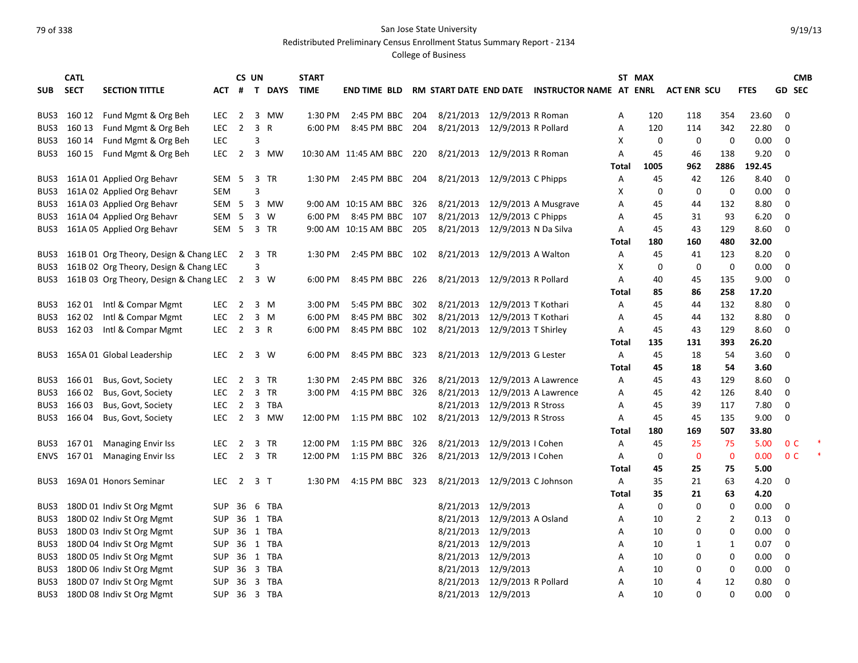Redistributed Preliminary Census Enrollment Status Summary Report - 2134

| <b>SECT</b><br>ACT # T DAYS<br><b>TIME</b><br>RM START DATE END DATE INSTRUCTOR NAME AT ENRL<br><b>FTES</b><br><b>GD SEC</b><br><b>SUB</b><br><b>SECTION TITTLE</b><br><b>END TIME BLD</b><br><b>ACT ENR SCU</b><br>160 12<br>Fund Mgmt & Org Beh<br>3 MW<br>2:45 PM BBC<br>8/21/2013 12/9/2013 R Roman<br>$\mathbf 0$<br>BUS3<br>LEC.<br>$\overline{2}$<br>1:30 PM<br>204<br>120<br>118<br>354<br>23.60<br>Α<br>160 13<br>Fund Mgmt & Org Beh<br>$\overline{2}$<br>3 R<br>8:45 PM BBC<br>8/21/2013 12/9/2013 R Pollard<br>22.80<br>BUS3<br>LEC.<br>6:00 PM<br>204<br>Α<br>120<br>114<br>342<br>0<br>160 14<br>Fund Mgmt & Org Beh<br>BUS3<br><b>LEC</b><br>3<br>X<br>0<br>0<br>0<br>0.00<br>0<br>BUS3<br>160 15<br>Fund Mgmt & Org Beh<br><b>LEC</b><br>$\overline{2}$<br>3 MW<br>10:30 AM 11:45 AM BBC 220<br>8/21/2013 12/9/2013 R Roman<br>45<br>138<br>9.20<br>0<br>A<br>46<br>2886<br>1005<br>962<br>192.45<br>Total<br>161A 01 Applied Org Behavr<br>SEM 5<br>3 TR<br>1:30 PM 2:45 PM BBC 204<br>8/21/2013 12/9/2013 C Phipps<br>42<br>126<br>8.40<br>0<br>BUS3<br>Α<br>45<br>161A 02 Applied Org Behavr<br>3<br>0<br>$\mathbf 0$<br>0<br>0.00<br>0<br>BUS3<br><b>SEM</b><br>X<br>161A 03 Applied Org Behavr<br>8/21/2013 12/9/2013 A Musgrave<br>SEM 5<br>3 MW<br>9:00 AM 10:15 AM BBC<br>326<br>132<br>8.80<br>0<br>BUS3<br>Α<br>45<br>44<br>161A 04 Applied Org Behavr<br>8/21/2013 12/9/2013 C Phipps<br>SEM <sub>5</sub><br>3 W<br>6:00 PM<br>8:45 PM BBC 107<br>45<br>93<br>6.20<br>0<br>BUS3<br>Α<br>31<br>161A 05 Applied Org Behavr<br>SEM <sub>5</sub><br>3 TR<br>8/21/2013 12/9/2013 N Da Silva<br>0<br>BUS3<br>9:00 AM 10:15 AM BBC 205<br>Α<br>45<br>43<br>129<br>8.60<br>160<br>480<br>32.00<br>Total<br>180<br>161B 01 Org Theory, Design & Chang LEC<br>2:45 PM BBC 102<br>8/21/2013 12/9/2013 A Walton<br>123<br>8.20<br>0<br>BUS3<br>$\overline{2}$<br>3 TR<br>1:30 PM<br>Α<br>45<br>41<br>161B 02 Org Theory, Design & Chang LEC<br>0<br>0.00<br>$\mathbf 0$<br>BUS3<br>3<br>Χ<br>0<br>0<br>161B 03 Org Theory, Design & Chang LEC<br>8/21/2013 12/9/2013 R Pollard<br>9.00<br>$\mathbf 0$<br>BUS3<br>2 3 W<br>6:00 PM<br>8:45 PM BBC 226<br>40<br>135<br>Α<br>45<br>17.20<br>85<br>86<br>258<br>Total | <b>CMB</b> |
|----------------------------------------------------------------------------------------------------------------------------------------------------------------------------------------------------------------------------------------------------------------------------------------------------------------------------------------------------------------------------------------------------------------------------------------------------------------------------------------------------------------------------------------------------------------------------------------------------------------------------------------------------------------------------------------------------------------------------------------------------------------------------------------------------------------------------------------------------------------------------------------------------------------------------------------------------------------------------------------------------------------------------------------------------------------------------------------------------------------------------------------------------------------------------------------------------------------------------------------------------------------------------------------------------------------------------------------------------------------------------------------------------------------------------------------------------------------------------------------------------------------------------------------------------------------------------------------------------------------------------------------------------------------------------------------------------------------------------------------------------------------------------------------------------------------------------------------------------------------------------------------------------------------------------------------------------------------------------------------------------------------------------------------------------------------------------------------------------------------------------------------------------------------------------------------------------------------------------------|------------|
|                                                                                                                                                                                                                                                                                                                                                                                                                                                                                                                                                                                                                                                                                                                                                                                                                                                                                                                                                                                                                                                                                                                                                                                                                                                                                                                                                                                                                                                                                                                                                                                                                                                                                                                                                                                                                                                                                                                                                                                                                                                                                                                                                                                                                                  |            |
|                                                                                                                                                                                                                                                                                                                                                                                                                                                                                                                                                                                                                                                                                                                                                                                                                                                                                                                                                                                                                                                                                                                                                                                                                                                                                                                                                                                                                                                                                                                                                                                                                                                                                                                                                                                                                                                                                                                                                                                                                                                                                                                                                                                                                                  |            |
|                                                                                                                                                                                                                                                                                                                                                                                                                                                                                                                                                                                                                                                                                                                                                                                                                                                                                                                                                                                                                                                                                                                                                                                                                                                                                                                                                                                                                                                                                                                                                                                                                                                                                                                                                                                                                                                                                                                                                                                                                                                                                                                                                                                                                                  |            |
|                                                                                                                                                                                                                                                                                                                                                                                                                                                                                                                                                                                                                                                                                                                                                                                                                                                                                                                                                                                                                                                                                                                                                                                                                                                                                                                                                                                                                                                                                                                                                                                                                                                                                                                                                                                                                                                                                                                                                                                                                                                                                                                                                                                                                                  |            |
|                                                                                                                                                                                                                                                                                                                                                                                                                                                                                                                                                                                                                                                                                                                                                                                                                                                                                                                                                                                                                                                                                                                                                                                                                                                                                                                                                                                                                                                                                                                                                                                                                                                                                                                                                                                                                                                                                                                                                                                                                                                                                                                                                                                                                                  |            |
|                                                                                                                                                                                                                                                                                                                                                                                                                                                                                                                                                                                                                                                                                                                                                                                                                                                                                                                                                                                                                                                                                                                                                                                                                                                                                                                                                                                                                                                                                                                                                                                                                                                                                                                                                                                                                                                                                                                                                                                                                                                                                                                                                                                                                                  |            |
|                                                                                                                                                                                                                                                                                                                                                                                                                                                                                                                                                                                                                                                                                                                                                                                                                                                                                                                                                                                                                                                                                                                                                                                                                                                                                                                                                                                                                                                                                                                                                                                                                                                                                                                                                                                                                                                                                                                                                                                                                                                                                                                                                                                                                                  |            |
|                                                                                                                                                                                                                                                                                                                                                                                                                                                                                                                                                                                                                                                                                                                                                                                                                                                                                                                                                                                                                                                                                                                                                                                                                                                                                                                                                                                                                                                                                                                                                                                                                                                                                                                                                                                                                                                                                                                                                                                                                                                                                                                                                                                                                                  |            |
|                                                                                                                                                                                                                                                                                                                                                                                                                                                                                                                                                                                                                                                                                                                                                                                                                                                                                                                                                                                                                                                                                                                                                                                                                                                                                                                                                                                                                                                                                                                                                                                                                                                                                                                                                                                                                                                                                                                                                                                                                                                                                                                                                                                                                                  |            |
|                                                                                                                                                                                                                                                                                                                                                                                                                                                                                                                                                                                                                                                                                                                                                                                                                                                                                                                                                                                                                                                                                                                                                                                                                                                                                                                                                                                                                                                                                                                                                                                                                                                                                                                                                                                                                                                                                                                                                                                                                                                                                                                                                                                                                                  |            |
|                                                                                                                                                                                                                                                                                                                                                                                                                                                                                                                                                                                                                                                                                                                                                                                                                                                                                                                                                                                                                                                                                                                                                                                                                                                                                                                                                                                                                                                                                                                                                                                                                                                                                                                                                                                                                                                                                                                                                                                                                                                                                                                                                                                                                                  |            |
|                                                                                                                                                                                                                                                                                                                                                                                                                                                                                                                                                                                                                                                                                                                                                                                                                                                                                                                                                                                                                                                                                                                                                                                                                                                                                                                                                                                                                                                                                                                                                                                                                                                                                                                                                                                                                                                                                                                                                                                                                                                                                                                                                                                                                                  |            |
|                                                                                                                                                                                                                                                                                                                                                                                                                                                                                                                                                                                                                                                                                                                                                                                                                                                                                                                                                                                                                                                                                                                                                                                                                                                                                                                                                                                                                                                                                                                                                                                                                                                                                                                                                                                                                                                                                                                                                                                                                                                                                                                                                                                                                                  |            |
|                                                                                                                                                                                                                                                                                                                                                                                                                                                                                                                                                                                                                                                                                                                                                                                                                                                                                                                                                                                                                                                                                                                                                                                                                                                                                                                                                                                                                                                                                                                                                                                                                                                                                                                                                                                                                                                                                                                                                                                                                                                                                                                                                                                                                                  |            |
|                                                                                                                                                                                                                                                                                                                                                                                                                                                                                                                                                                                                                                                                                                                                                                                                                                                                                                                                                                                                                                                                                                                                                                                                                                                                                                                                                                                                                                                                                                                                                                                                                                                                                                                                                                                                                                                                                                                                                                                                                                                                                                                                                                                                                                  |            |
|                                                                                                                                                                                                                                                                                                                                                                                                                                                                                                                                                                                                                                                                                                                                                                                                                                                                                                                                                                                                                                                                                                                                                                                                                                                                                                                                                                                                                                                                                                                                                                                                                                                                                                                                                                                                                                                                                                                                                                                                                                                                                                                                                                                                                                  |            |
|                                                                                                                                                                                                                                                                                                                                                                                                                                                                                                                                                                                                                                                                                                                                                                                                                                                                                                                                                                                                                                                                                                                                                                                                                                                                                                                                                                                                                                                                                                                                                                                                                                                                                                                                                                                                                                                                                                                                                                                                                                                                                                                                                                                                                                  |            |
| Intl & Compar Mgmt<br>8/21/2013 12/9/2013 T Kothari<br>8.80<br>BUS3<br>162 01<br>2 3 M<br>$3:00$ PM<br>5:45 PM BBC<br>302<br>45<br>132<br>0<br>LEC.<br>A<br>44                                                                                                                                                                                                                                                                                                                                                                                                                                                                                                                                                                                                                                                                                                                                                                                                                                                                                                                                                                                                                                                                                                                                                                                                                                                                                                                                                                                                                                                                                                                                                                                                                                                                                                                                                                                                                                                                                                                                                                                                                                                                   |            |
| 162 02<br>Intl & Compar Mgmt<br>$\overline{2}$<br>3 M<br>6:00 PM<br>302<br>8/21/2013 12/9/2013 T Kothari<br>8.80<br>BUS3<br><b>LEC</b><br>8:45 PM BBC<br>45<br>132<br>$\mathbf 0$<br>A<br>44                                                                                                                                                                                                                                                                                                                                                                                                                                                                                                                                                                                                                                                                                                                                                                                                                                                                                                                                                                                                                                                                                                                                                                                                                                                                                                                                                                                                                                                                                                                                                                                                                                                                                                                                                                                                                                                                                                                                                                                                                                     |            |
| 8/21/2013 12/9/2013 T Shirley<br>BUS3<br>16203<br>Intl & Compar Mgmt<br><b>LEC</b><br>$\overline{2}$<br>3 R<br>6:00 PM<br>8:45 PM BBC 102<br>45<br>129<br>8.60<br>$\mathbf 0$<br>A<br>43                                                                                                                                                                                                                                                                                                                                                                                                                                                                                                                                                                                                                                                                                                                                                                                                                                                                                                                                                                                                                                                                                                                                                                                                                                                                                                                                                                                                                                                                                                                                                                                                                                                                                                                                                                                                                                                                                                                                                                                                                                         |            |
| 131<br>393<br>26.20<br>Total<br>135                                                                                                                                                                                                                                                                                                                                                                                                                                                                                                                                                                                                                                                                                                                                                                                                                                                                                                                                                                                                                                                                                                                                                                                                                                                                                                                                                                                                                                                                                                                                                                                                                                                                                                                                                                                                                                                                                                                                                                                                                                                                                                                                                                                              |            |
| 8/21/2013 12/9/2013 G Lester<br>3.60<br>165A 01 Global Leadership<br><b>LEC</b><br>$\overline{2}$<br>3 W<br>6:00 PM<br>8:45 PM BBC 323<br>45<br>18<br>0<br>BUS3<br>Α<br>54                                                                                                                                                                                                                                                                                                                                                                                                                                                                                                                                                                                                                                                                                                                                                                                                                                                                                                                                                                                                                                                                                                                                                                                                                                                                                                                                                                                                                                                                                                                                                                                                                                                                                                                                                                                                                                                                                                                                                                                                                                                       |            |
| 3.60<br>Total<br>45<br>18<br>54                                                                                                                                                                                                                                                                                                                                                                                                                                                                                                                                                                                                                                                                                                                                                                                                                                                                                                                                                                                                                                                                                                                                                                                                                                                                                                                                                                                                                                                                                                                                                                                                                                                                                                                                                                                                                                                                                                                                                                                                                                                                                                                                                                                                  |            |
| 8/21/2013 12/9/2013 A Lawrence<br>129<br>8.60<br>BUS3<br>166 01<br>Bus, Govt, Society<br><b>LEC</b><br>$\overline{2}$<br>3 TR<br>1:30 PM<br>2:45 PM BBC<br>326<br>45<br>43<br>0<br>Α                                                                                                                                                                                                                                                                                                                                                                                                                                                                                                                                                                                                                                                                                                                                                                                                                                                                                                                                                                                                                                                                                                                                                                                                                                                                                                                                                                                                                                                                                                                                                                                                                                                                                                                                                                                                                                                                                                                                                                                                                                             |            |
| $\overline{2}$<br>3 TR<br>8/21/2013 12/9/2013 A Lawrence<br>BUS3<br>166 02<br>Bus, Govt, Society<br><b>LEC</b><br>3:00 PM<br>4:15 PM BBC 326<br>45<br>42<br>126<br>8.40<br>0<br>Α                                                                                                                                                                                                                                                                                                                                                                                                                                                                                                                                                                                                                                                                                                                                                                                                                                                                                                                                                                                                                                                                                                                                                                                                                                                                                                                                                                                                                                                                                                                                                                                                                                                                                                                                                                                                                                                                                                                                                                                                                                                |            |
| 8/21/2013 12/9/2013 R Stross<br>BUS3<br>166 03<br>Bus, Govt, Society<br><b>LEC</b><br>$\overline{2}$<br>3 TBA<br>39<br>117<br>7.80<br>0<br>45<br>A                                                                                                                                                                                                                                                                                                                                                                                                                                                                                                                                                                                                                                                                                                                                                                                                                                                                                                                                                                                                                                                                                                                                                                                                                                                                                                                                                                                                                                                                                                                                                                                                                                                                                                                                                                                                                                                                                                                                                                                                                                                                               |            |
| 166 04<br>Bus, Govt, Society<br>2 3 MW<br>8/21/2013 12/9/2013 R Stross<br>9.00<br>0<br>BUS3<br>LEC.<br>12:00 PM 1:15 PM BBC 102<br>45<br>45<br>135<br>A                                                                                                                                                                                                                                                                                                                                                                                                                                                                                                                                                                                                                                                                                                                                                                                                                                                                                                                                                                                                                                                                                                                                                                                                                                                                                                                                                                                                                                                                                                                                                                                                                                                                                                                                                                                                                                                                                                                                                                                                                                                                          |            |
| 507<br>33.80<br>180<br>169<br>Total                                                                                                                                                                                                                                                                                                                                                                                                                                                                                                                                                                                                                                                                                                                                                                                                                                                                                                                                                                                                                                                                                                                                                                                                                                                                                                                                                                                                                                                                                                                                                                                                                                                                                                                                                                                                                                                                                                                                                                                                                                                                                                                                                                                              |            |
| 8/21/2013 12/9/2013   Cohen<br>0 <sup>C</sup><br><b>LEC</b><br>3 TR<br>12:00 PM<br>1:15 PM BBC<br>45<br>25<br>75<br>5.00<br>BUS3<br>167 01<br><b>Managing Envir Iss</b><br>2<br>326<br>A                                                                                                                                                                                                                                                                                                                                                                                                                                                                                                                                                                                                                                                                                                                                                                                                                                                                                                                                                                                                                                                                                                                                                                                                                                                                                                                                                                                                                                                                                                                                                                                                                                                                                                                                                                                                                                                                                                                                                                                                                                         |            |
| 167 01<br><b>LEC</b><br>$\overline{2}$<br>3 TR<br>1:15 PM BBC 326<br>8/21/2013 12/9/2013   Cohen<br>0.00<br>0 <sup>C</sup><br>ENVS<br><b>Managing Envir Iss</b><br>12:00 PM<br>0<br>0<br>$\mathbf 0$<br>A                                                                                                                                                                                                                                                                                                                                                                                                                                                                                                                                                                                                                                                                                                                                                                                                                                                                                                                                                                                                                                                                                                                                                                                                                                                                                                                                                                                                                                                                                                                                                                                                                                                                                                                                                                                                                                                                                                                                                                                                                        |            |
| 5.00<br>Total<br>45<br>25<br>75                                                                                                                                                                                                                                                                                                                                                                                                                                                                                                                                                                                                                                                                                                                                                                                                                                                                                                                                                                                                                                                                                                                                                                                                                                                                                                                                                                                                                                                                                                                                                                                                                                                                                                                                                                                                                                                                                                                                                                                                                                                                                                                                                                                                  |            |
| $\overline{2}$<br>3 <sub>7</sub><br>4:15 PM BBC<br>8/21/2013 12/9/2013 C Johnson<br>4.20<br>BUS3<br>169A 01 Honors Seminar<br><b>LEC</b><br>1:30 PM<br>323<br>Α<br>35<br>21<br>63<br>0                                                                                                                                                                                                                                                                                                                                                                                                                                                                                                                                                                                                                                                                                                                                                                                                                                                                                                                                                                                                                                                                                                                                                                                                                                                                                                                                                                                                                                                                                                                                                                                                                                                                                                                                                                                                                                                                                                                                                                                                                                           |            |
| Total<br>35<br>21<br>63<br>4.20                                                                                                                                                                                                                                                                                                                                                                                                                                                                                                                                                                                                                                                                                                                                                                                                                                                                                                                                                                                                                                                                                                                                                                                                                                                                                                                                                                                                                                                                                                                                                                                                                                                                                                                                                                                                                                                                                                                                                                                                                                                                                                                                                                                                  |            |
| 8/21/2013 12/9/2013<br>180D 01 Indiv St Org Mgmt<br>36 6 TBA<br>0<br>$\Omega$<br>0<br>0.00<br>0<br>BUS3<br><b>SUP</b><br>Α                                                                                                                                                                                                                                                                                                                                                                                                                                                                                                                                                                                                                                                                                                                                                                                                                                                                                                                                                                                                                                                                                                                                                                                                                                                                                                                                                                                                                                                                                                                                                                                                                                                                                                                                                                                                                                                                                                                                                                                                                                                                                                       |            |
| 180D 02 Indiv St Org Mgmt<br>36 1 TBA<br>8/21/2013 12/9/2013 A Osland<br>$\overline{2}$<br>0.13<br>0<br>BUS3<br><b>SUP</b><br>10<br>2<br>Α                                                                                                                                                                                                                                                                                                                                                                                                                                                                                                                                                                                                                                                                                                                                                                                                                                                                                                                                                                                                                                                                                                                                                                                                                                                                                                                                                                                                                                                                                                                                                                                                                                                                                                                                                                                                                                                                                                                                                                                                                                                                                       |            |
| 180D 03 Indiv St Org Mgmt<br>36 1 TBA<br>8/21/2013 12/9/2013<br>BUS3<br><b>SUP</b><br>$\mathbf 0$<br>0<br>0.00<br>0<br>10<br>Α                                                                                                                                                                                                                                                                                                                                                                                                                                                                                                                                                                                                                                                                                                                                                                                                                                                                                                                                                                                                                                                                                                                                                                                                                                                                                                                                                                                                                                                                                                                                                                                                                                                                                                                                                                                                                                                                                                                                                                                                                                                                                                   |            |
| 8/21/2013 12/9/2013<br>180D 04 Indiv St Org Mgmt<br><b>SUP</b><br>36 1 TBA<br>0.07<br>$\mathbf 0$<br>BUS3<br>10<br>1<br>1<br>A                                                                                                                                                                                                                                                                                                                                                                                                                                                                                                                                                                                                                                                                                                                                                                                                                                                                                                                                                                                                                                                                                                                                                                                                                                                                                                                                                                                                                                                                                                                                                                                                                                                                                                                                                                                                                                                                                                                                                                                                                                                                                                   |            |
| 8/21/2013 12/9/2013<br>180D 05 Indiv St Org Mgmt<br>1 TBA<br>$\mathbf 0$<br>0<br>0<br>BUS3<br>SUP<br>36<br>10<br>0.00<br>A                                                                                                                                                                                                                                                                                                                                                                                                                                                                                                                                                                                                                                                                                                                                                                                                                                                                                                                                                                                                                                                                                                                                                                                                                                                                                                                                                                                                                                                                                                                                                                                                                                                                                                                                                                                                                                                                                                                                                                                                                                                                                                       |            |
| 180D 06 Indiv St Org Mgmt<br>3 TBA<br>8/21/2013 12/9/2013<br>BUS3<br><b>SUP</b><br>36<br>$\mathbf 0$<br>0<br>0.00<br>0<br>A<br>10                                                                                                                                                                                                                                                                                                                                                                                                                                                                                                                                                                                                                                                                                                                                                                                                                                                                                                                                                                                                                                                                                                                                                                                                                                                                                                                                                                                                                                                                                                                                                                                                                                                                                                                                                                                                                                                                                                                                                                                                                                                                                                |            |
| 180D 07 Indiv St Org Mgmt<br>8/21/2013 12/9/2013 R Pollard<br><b>SUP</b><br>36 3 TBA<br>10<br>4<br>12<br>0.80<br>0<br>BUS3<br>A                                                                                                                                                                                                                                                                                                                                                                                                                                                                                                                                                                                                                                                                                                                                                                                                                                                                                                                                                                                                                                                                                                                                                                                                                                                                                                                                                                                                                                                                                                                                                                                                                                                                                                                                                                                                                                                                                                                                                                                                                                                                                                  |            |
| 8/21/2013 12/9/2013<br>0.00<br>BUS3<br>180D 08 Indiv St Org Mgmt<br><b>SUP</b><br>36 3 TBA<br>10<br>$\Omega$<br>$\Omega$<br>$\Omega$<br>A                                                                                                                                                                                                                                                                                                                                                                                                                                                                                                                                                                                                                                                                                                                                                                                                                                                                                                                                                                                                                                                                                                                                                                                                                                                                                                                                                                                                                                                                                                                                                                                                                                                                                                                                                                                                                                                                                                                                                                                                                                                                                        |            |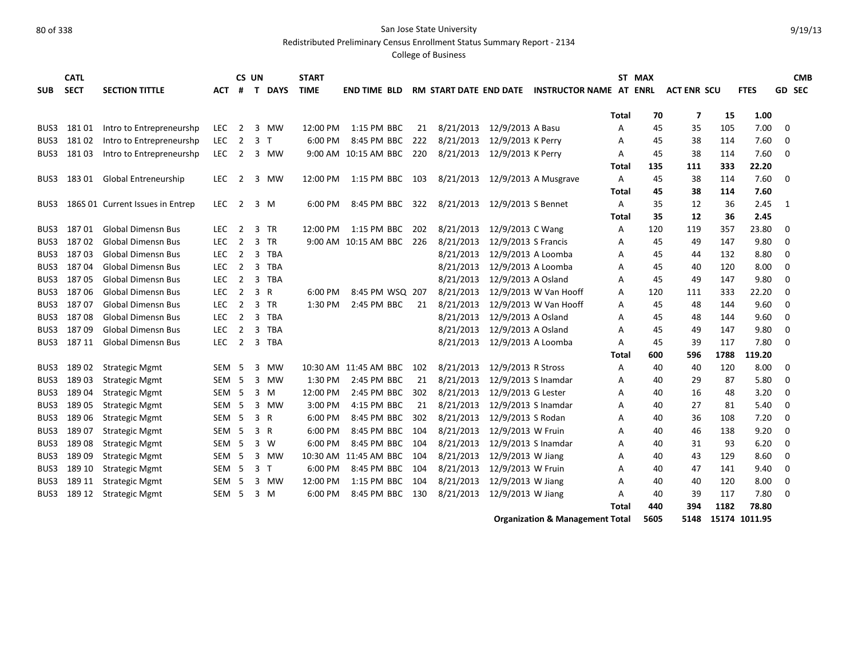Redistributed Preliminary Census Enrollment Status Summary Report - 2134

College of Business

|            | <b>CATL</b> |                                  |                  |                | CS UN        |             | <b>START</b> |                          |     |                               |                     |                                |              | ST MAX |                    |      |             |             | <b>CMB</b> |
|------------|-------------|----------------------------------|------------------|----------------|--------------|-------------|--------------|--------------------------|-----|-------------------------------|---------------------|--------------------------------|--------------|--------|--------------------|------|-------------|-------------|------------|
| <b>SUB</b> | <b>SECT</b> | <b>SECTION TITTLE</b>            | <b>ACT</b>       | #              | $\mathbf{T}$ | <b>DAYS</b> | <b>TIME</b>  | <b>END TIME BLD</b>      |     | <b>RM START DATE END DATE</b> |                     | <b>INSTRUCTOR NAME AT ENRL</b> |              |        | <b>ACT ENR SCU</b> |      | <b>FTES</b> |             | GD SEC     |
|            |             |                                  |                  |                |              |             |              |                          |     |                               |                     |                                |              |        |                    |      |             |             |            |
|            |             |                                  |                  |                |              |             |              |                          |     |                               |                     |                                | Total        | 70     | 7                  | 15   | 1.00        |             |            |
| BUS3       | 18101       | Intro to Entrepreneurshp         | LEC.             | 2              |              | 3 MW        | 12:00 PM     | 1:15 PM BBC              | 21  | 8/21/2013                     | 12/9/2013 A Basu    |                                | A            | 45     | 35                 | 105  | 7.00        | 0           |            |
| BUS3       | 18102       | Intro to Entrepreneurshp         | <b>LEC</b>       | $\overline{2}$ | 3            | $\top$      | 6:00 PM      | 8:45 PM BBC              | 222 | 8/21/2013                     | 12/9/2013 K Perry   |                                | А            | 45     | 38                 | 114  | 7.60        | 0           |            |
| BUS3       | 18103       | Intro to Entrepreneurshp         | <b>LEC</b>       | 2              |              | 3 MW        |              | 9:00 AM 10:15 AM BBC     | 220 | 8/21/2013                     | 12/9/2013 K Perry   |                                | A            | 45     | 38                 | 114  | 7.60        | $\Omega$    |            |
|            |             |                                  |                  |                |              |             |              |                          |     |                               |                     |                                | <b>Total</b> | 135    | 111                | 333  | 22.20       |             |            |
| BUS3       | 18301       | <b>Global Entreneurship</b>      | <b>LEC</b>       | $\overline{2}$ | 3            | <b>MW</b>   | 12:00 PM     | 1:15 PM BBC              | 103 | 8/21/2013                     |                     | 12/9/2013 A Musgrave           | Α            | 45     | 38                 | 114  | 7.60        | 0           |            |
|            |             |                                  |                  |                |              |             |              |                          |     |                               |                     |                                | <b>Total</b> | 45     | 38                 | 114  | 7.60        |             |            |
| BUS3       |             | 186S 01 Current Issues in Entrep | <b>LEC</b>       | $\overline{2}$ |              | $3 \, M$    | 6:00 PM      | 8:45 PM BBC              | 322 | 8/21/2013                     | 12/9/2013 S Bennet  |                                | A            | 35     | 12                 | 36   | 2.45        | 1           |            |
|            |             |                                  |                  |                |              |             |              |                          |     |                               |                     |                                | <b>Total</b> | 35     | 12                 | 36   | 2.45        |             |            |
| BUS3       | 18701       | <b>Global Dimensn Bus</b>        | LEC.             | $\overline{2}$ |              | 3 TR        | 12:00 PM     | 1:15 PM BBC              | 202 | 8/21/2013                     | 12/9/2013 C Wang    |                                | A            | 120    | 119                | 357  | 23.80       | 0           |            |
| BUS3       | 18702       | <b>Global Dimensn Bus</b>        | <b>LEC</b>       | $\overline{2}$ |              | 3 TR        |              | 9:00 AM 10:15 AM BBC 226 |     | 8/21/2013                     | 12/9/2013 S Francis |                                | Α            | 45     | 49                 | 147  | 9.80        | 0           |            |
| BUS3       | 18703       | <b>Global Dimensn Bus</b>        | <b>LEC</b>       | $\overline{2}$ |              | 3 TBA       |              |                          |     | 8/21/2013                     | 12/9/2013 A Loomba  |                                | Α            | 45     | 44                 | 132  | 8.80        | 0           |            |
| BUS3       | 18704       | <b>Global Dimensn Bus</b>        | <b>LEC</b>       | $\overline{2}$ |              | 3 TBA       |              |                          |     | 8/21/2013                     | 12/9/2013 A Loomba  |                                | A            | 45     | 40                 | 120  | 8.00        | 0           |            |
| BUS3       | 18705       | <b>Global Dimensn Bus</b>        | <b>LEC</b>       | $\overline{2}$ |              | 3 TBA       |              |                          |     | 8/21/2013                     | 12/9/2013 A Osland  |                                | A            | 45     | 49                 | 147  | 9.80        | 0           |            |
| BUS3       | 18706       | <b>Global Dimensn Bus</b>        | <b>LEC</b>       | 2              |              | 3 R         | 6:00 PM      | 8:45 PM WSQ 207          |     | 8/21/2013                     |                     | 12/9/2013 W Van Hooff          | A            | 120    | 111                | 333  | 22.20       | 0           |            |
| BUS3       | 18707       | <b>Global Dimensn Bus</b>        | LEC.             | 2              |              | 3 TR        | 1:30 PM      | 2:45 PM BBC              | 21  | 8/21/2013                     |                     | 12/9/2013 W Van Hooff          | A            | 45     | 48                 | 144  | 9.60        | $\mathbf 0$ |            |
| BUS3       | 18708       | <b>Global Dimensn Bus</b>        | <b>LEC</b>       | $\overline{2}$ | 3            | TBA         |              |                          |     | 8/21/2013                     | 12/9/2013 A Osland  |                                | А            | 45     | 48                 | 144  | 9.60        | $\mathbf 0$ |            |
| BUS3       | 18709       | <b>Global Dimensn Bus</b>        | <b>LEC</b>       | $\overline{2}$ | 3            | TBA         |              |                          |     | 8/21/2013                     | 12/9/2013 A Osland  |                                | A            | 45     | 49                 | 147  | 9.80        | $\mathbf 0$ |            |
| BUS3       | 187 11      | <b>Global Dimensn Bus</b>        | <b>LEC</b>       | $\overline{2}$ |              | 3 TBA       |              |                          |     | 8/21/2013                     | 12/9/2013 A Loomba  |                                | A            | 45     | 39                 | 117  | 7.80        | $\Omega$    |            |
|            |             |                                  |                  |                |              |             |              |                          |     |                               |                     |                                | <b>Total</b> | 600    | 596                | 1788 | 119.20      |             |            |
| BUS3       | 18902       | <b>Strategic Mgmt</b>            | <b>SEM</b>       | - 5            | 3            | MW          |              | 10:30 AM 11:45 AM BBC    | 102 | 8/21/2013                     | 12/9/2013 R Stross  |                                | Α            | 40     | 40                 | 120  | 8.00        | 0           |            |
| BUS3       | 18903       | <b>Strategic Mgmt</b>            | <b>SEM</b>       | - 5            | 3            | MW          | 1:30 PM      | 2:45 PM BBC              | 21  | 8/21/2013                     | 12/9/2013 S Inamdar |                                | Α            | 40     | 29                 | 87   | 5.80        | 0           |            |
| BUS3       | 18904       | <b>Strategic Mgmt</b>            | SEM <sub>5</sub> |                |              | 3 M         | 12:00 PM     | 2:45 PM BBC              | 302 | 8/21/2013                     | 12/9/2013 G Lester  |                                | A            | 40     | 16                 | 48   | 3.20        | 0           |            |
| BUS3       | 189 05      | <b>Strategic Mgmt</b>            | <b>SEM</b>       | - 5            | 3            | MW          | 3:00 PM      | 4:15 PM BBC              | 21  | 8/21/2013                     | 12/9/2013 S Inamdar |                                | Α            | 40     | 27                 | 81   | 5.40        | $\mathbf 0$ |            |
| BUS3       | 189 06      | <b>Strategic Mgmt</b>            | SEM <sub>5</sub> |                |              | 3 R         | 6:00 PM      | 8:45 PM BBC              | 302 | 8/21/2013                     | 12/9/2013 S Rodan   |                                | A            | 40     | 36                 | 108  | 7.20        | $\mathbf 0$ |            |
| BUS3       | 18907       | <b>Strategic Mgmt</b>            | SEM <sub>5</sub> |                |              | 3 R         | 6:00 PM      | 8:45 PM BBC              | 104 | 8/21/2013                     | 12/9/2013 W Fruin   |                                | A            | 40     | 46                 | 138  | 9.20        | 0           |            |
| BUS3       | 18908       | <b>Strategic Mgmt</b>            | SEM <sub>5</sub> |                |              | 3 W         | 6:00 PM      | 8:45 PM BBC              | 104 | 8/21/2013                     | 12/9/2013 S Inamdar |                                | A            | 40     | 31                 | 93   | 6.20        | 0           |            |
| BUS3       | 18909       | <b>Strategic Mgmt</b>            | SEM <sub>5</sub> |                |              | 3 MW        |              | 10:30 AM 11:45 AM BBC    | 104 | 8/21/2013                     | 12/9/2013 W Jiang   |                                | A            | 40     | 43                 | 129  | 8.60        | 0           |            |
| BUS3       | 189 10      | <b>Strategic Mgmt</b>            | SEM <sub>5</sub> |                | 3            | $\top$      | 6:00 PM      | 8:45 PM BBC              | 104 | 8/21/2013                     | 12/9/2013 W Fruin   |                                | A            | 40     | 47                 | 141  | 9.40        | 0           |            |
| BUS3       | 189 11      | <b>Strategic Mgmt</b>            | SEM              | - 5            | 3            | MW          | 12:00 PM     | 1:15 PM BBC              | 104 | 8/21/2013                     | 12/9/2013 W Jiang   |                                | A            | 40     | 40                 | 120  | 8.00        | $\mathbf 0$ |            |
| BUS3       | 189 12      | <b>Strategic Mgmt</b>            | <b>SEM</b>       | -5             |              | 3 M         | 6:00 PM      | 8:45 PM BBC              | 130 | 8/21/2013                     | 12/9/2013 W Jiang   |                                | A            | 40     | 39                 | 117  | 7.80        | 0           |            |
|            |             |                                  |                  |                |              |             |              |                          |     |                               |                     |                                | <b>Total</b> | 440    | 394                | 1182 | 78.80       |             |            |

**Organization & Management Total 5605 5148 15174 1011.95**